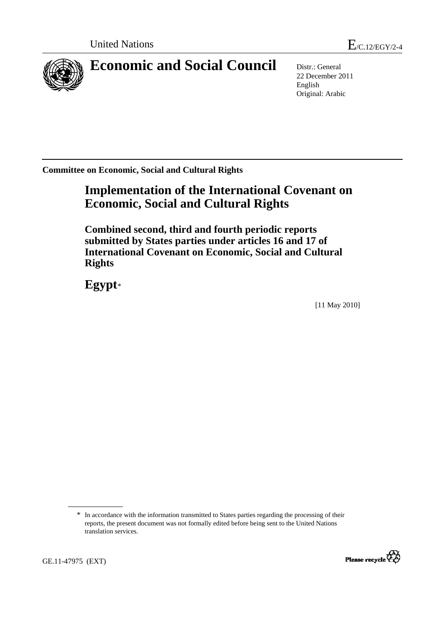

# **Economic and Social Council** Distr.: General

22 December 2011 English Original: Arabic

**Committee on Economic, Social and Cultural Rights** 

# **Implementation of the International Covenant on Economic, Social and Cultural Rights**

 **Combined second, third and fourth periodic reports submitted by States parties under articles 16 and 17 of International Covenant on Economic, Social and Cultural Rights** 

 **Egypt**[\\*](#page-0-0)

[11 May 2010]

<sup>\*</sup> In accordance with the information transmitted to States parties regarding the processing of their reports, the present document was not formally edited before being sent to the United Nations translation services.



<span id="page-0-0"></span>GE.11-47975 (EXT)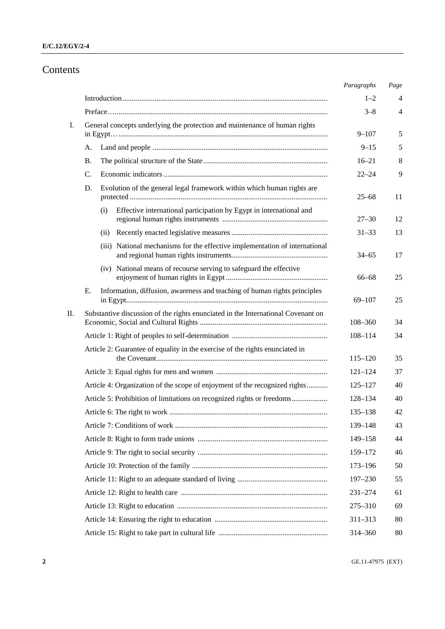# Contents

|    |                                                                                  | Paragraphs         | Page     |
|----|----------------------------------------------------------------------------------|--------------------|----------|
|    |                                                                                  | $1 - 2$            | 4        |
|    |                                                                                  | $3 - 8$            | 4        |
| I. | General concepts underlying the protection and maintenance of human rights       |                    |          |
|    |                                                                                  | $9 - 107$          | 5        |
|    | А.                                                                               | $9 - 15$           | 5        |
|    | В.                                                                               | $16 - 21$          | 8        |
|    | $\mathbf{C}$ .                                                                   | $22 - 24$          | 9        |
|    | Evolution of the general legal framework within which human rights are<br>D.     | $25 - 68$          | 11       |
|    | Effective international participation by Egypt in international and<br>(i)       | $27 - 30$          | 12       |
|    | (ii)                                                                             | $31 - 33$          | 13       |
|    | (iii) National mechanisms for the effective implementation of international      | $34 - 65$          | 17       |
|    | (iv) National means of recourse serving to safeguard the effective               | $66 - 68$          | 25       |
|    | Information, diffusion, awareness and teaching of human rights principles<br>Е.  | $69 - 107$         | 25       |
| П. | Substantive discussion of the rights enunciated in the International Covenant on | $108 - 360$        | 34       |
|    |                                                                                  | $108 - 114$        | 34       |
|    | Article 2: Guarantee of equality in the exercise of the rights enunciated in     |                    |          |
|    |                                                                                  | $115 - 120$        | 35       |
|    |                                                                                  | $121 - 124$        | 37       |
|    | Article 4: Organization of the scope of enjoyment of the recognized rights       | $125 - 127$        | 40       |
|    | Article 5: Prohibition of limitations on recognized rights or freedoms           | 128-134            | 40       |
|    |                                                                                  | $135 - 138$        | 42       |
|    |                                                                                  | 139-148<br>149-158 | 43<br>44 |
|    |                                                                                  | 159-172            | 46       |
|    |                                                                                  | $173 - 196$        | 50       |
|    |                                                                                  | $197 - 230$        | 55       |
|    |                                                                                  | $231 - 274$        | 61       |
|    |                                                                                  | 275-310            | 69       |
|    |                                                                                  | $311 - 313$        | 80       |
|    |                                                                                  | 314-360            | 80       |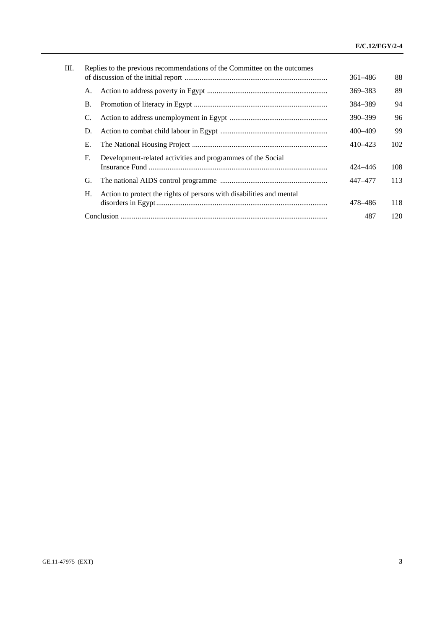| Ш. |    |                                                             |                                                                                                                                                  | 88                 |
|----|----|-------------------------------------------------------------|--------------------------------------------------------------------------------------------------------------------------------------------------|--------------------|
|    |    |                                                             |                                                                                                                                                  |                    |
|    | А. |                                                             |                                                                                                                                                  | 89                 |
|    | В. |                                                             | 384-389                                                                                                                                          | 94                 |
|    | C. |                                                             | $390 - 399$                                                                                                                                      | 96                 |
|    | D. |                                                             | 400-409                                                                                                                                          | 99                 |
|    | Е. |                                                             | 410–423                                                                                                                                          | 102                |
|    | F. | Development-related activities and programmes of the Social |                                                                                                                                                  |                    |
|    |    |                                                             | 424–446                                                                                                                                          | 108                |
|    | G. |                                                             | 447–477                                                                                                                                          | 113                |
|    | Н. |                                                             |                                                                                                                                                  |                    |
|    |    |                                                             | 478–486                                                                                                                                          | 118                |
|    |    |                                                             | 487                                                                                                                                              | 120                |
|    |    |                                                             | Replies to the previous recommendations of the Committee on the outcomes<br>Action to protect the rights of persons with disabilities and mental | 361-486<br>369–383 |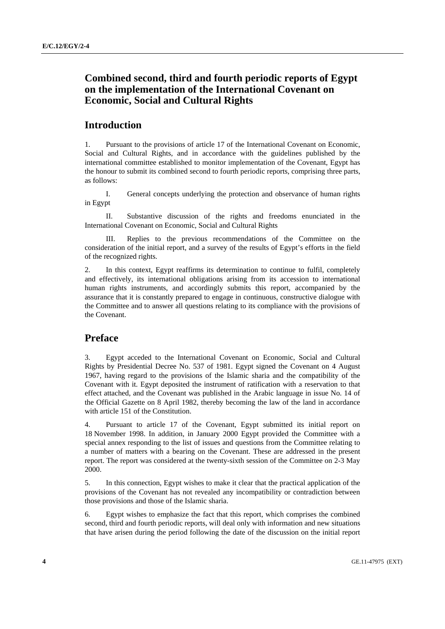# **Combined second, third and fourth periodic reports of Egypt on the implementation of the International Covenant on Economic, Social and Cultural Rights**

# **Introduction**

1. Pursuant to the provisions of article 17 of the International Covenant on Economic, Social and Cultural Rights, and in accordance with the guidelines published by the international committee established to monitor implementation of the Covenant, Egypt has the honour to submit its combined second to fourth periodic reports, comprising three parts, as follows:

 I. General concepts underlying the protection and observance of human rights in Egypt

 II. Substantive discussion of the rights and freedoms enunciated in the International Covenant on Economic, Social and Cultural Rights

 III. Replies to the previous recommendations of the Committee on the consideration of the initial report, and a survey of the results of Egypt's efforts in the field of the recognized rights.

2. In this context, Egypt reaffirms its determination to continue to fulfil, completely and effectively, its international obligations arising from its accession to international human rights instruments, and accordingly submits this report, accompanied by the assurance that it is constantly prepared to engage in continuous, constructive dialogue with the Committee and to answer all questions relating to its compliance with the provisions of the Covenant.

# **Preface**

3. Egypt acceded to the International Covenant on Economic, Social and Cultural Rights by Presidential Decree No. 537 of 1981. Egypt signed the Covenant on 4 August 1967, having regard to the provisions of the Islamic sharia and the compatibility of the Covenant with it. Egypt deposited the instrument of ratification with a reservation to that effect attached, and the Covenant was published in the Arabic language in issue No. 14 of the Official Gazette on 8 April 1982, thereby becoming the law of the land in accordance with article 151 of the Constitution.

4. Pursuant to article 17 of the Covenant, Egypt submitted its initial report on 18 November 1998. In addition, in January 2000 Egypt provided the Committee with a special annex responding to the list of issues and questions from the Committee relating to a number of matters with a bearing on the Covenant. These are addressed in the present report. The report was considered at the twenty-sixth session of the Committee on 2-3 May 2000.

5. In this connection, Egypt wishes to make it clear that the practical application of the provisions of the Covenant has not revealed any incompatibility or contradiction between those provisions and those of the Islamic sharia.

6. Egypt wishes to emphasize the fact that this report, which comprises the combined second, third and fourth periodic reports, will deal only with information and new situations that have arisen during the period following the date of the discussion on the initial report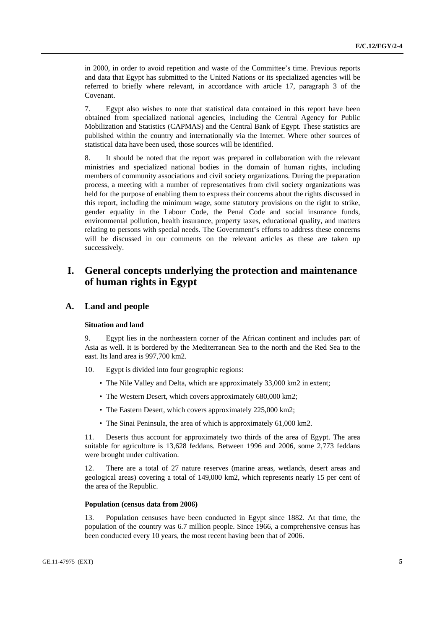in 2000, in order to avoid repetition and waste of the Committee's time. Previous reports and data that Egypt has submitted to the United Nations or its specialized agencies will be referred to briefly where relevant, in accordance with article 17, paragraph 3 of the Covenant.

7. Egypt also wishes to note that statistical data contained in this report have been obtained from specialized national agencies, including the Central Agency for Public Mobilization and Statistics (CAPMAS) and the Central Bank of Egypt. These statistics are published within the country and internationally via the Internet. Where other sources of statistical data have been used, those sources will be identified.

8. It should be noted that the report was prepared in collaboration with the relevant ministries and specialized national bodies in the domain of human rights, including members of community associations and civil society organizations. During the preparation process, a meeting with a number of representatives from civil society organizations was held for the purpose of enabling them to express their concerns about the rights discussed in this report, including the minimum wage, some statutory provisions on the right to strike, gender equality in the Labour Code, the Penal Code and social insurance funds, environmental pollution, health insurance, property taxes, educational quality, and matters relating to persons with special needs. The Government's efforts to address these concerns will be discussed in our comments on the relevant articles as these are taken up successively.

# **I. General concepts underlying the protection and maintenance of human rights in Egypt**

# **A. Land and people**

### **Situation and land**

9. Egypt lies in the northeastern corner of the African continent and includes part of Asia as well. It is bordered by the Mediterranean Sea to the north and the Red Sea to the east. Its land area is 997,700 km2.

- 10. Egypt is divided into four geographic regions:
	- The Nile Valley and Delta, which are approximately 33,000 km2 in extent;
	- The Western Desert, which covers approximately 680,000 km2;
	- The Eastern Desert, which covers approximately 225,000 km2;
	- The Sinai Peninsula, the area of which is approximately 61,000 km2.

11. Deserts thus account for approximately two thirds of the area of Egypt. The area suitable for agriculture is 13,628 feddans. Between 1996 and 2006, some 2,773 feddans were brought under cultivation.

12. There are a total of 27 nature reserves (marine areas, wetlands, desert areas and geological areas) covering a total of 149,000 km2, which represents nearly 15 per cent of the area of the Republic.

### **Population (census data from 2006)**

13. Population censuses have been conducted in Egypt since 1882. At that time, the population of the country was 6.7 million people. Since 1966, a comprehensive census has been conducted every 10 years, the most recent having been that of 2006.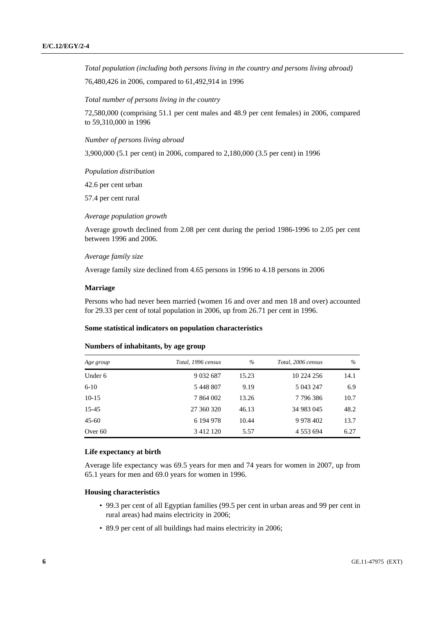*Total population (including both persons living in the country and persons living abroad)* 

76,480,426 in 2006, compared to 61,492,914 in 1996

 *Total number of persons living in the country* 

72,580,000 (comprising 51.1 per cent males and 48.9 per cent females) in 2006, compared to 59,310,000 in 1996

 *Number of persons living abroad* 

3,900,000 (5.1 per cent) in 2006, compared to 2,180,000 (3.5 per cent) in 1996

 *Population distribution* 

42.6 per cent urban

57.4 per cent rural

 *Average population growth* 

Average growth declined from 2.08 per cent during the period 1986-1996 to 2.05 per cent between 1996 and 2006.

#### *Average family size*

Average family size declined from 4.65 persons in 1996 to 4.18 persons in 2006

#### **Marriage**

Persons who had never been married (women 16 and over and men 18 and over) accounted for 29.33 per cent of total population in 2006, up from 26.71 per cent in 1996.

#### **Some statistical indicators on population characteristics**

#### **Numbers of inhabitants, by age group**

| Age group | Total, 1996 census | $\%$  | Total, 2006 census | $\%$ |
|-----------|--------------------|-------|--------------------|------|
| Under 6   | 9 0 3 2 6 8 7      | 15.23 | 10 224 256         | 14.1 |
| $6-10$    | 5 448 807          | 9.19  | 5 043 247          | 6.9  |
| $10-15$   | 7 864 002          | 13.26 | 7796386            | 10.7 |
| 15-45     | 27 360 320         | 46.13 | 34 983 045         | 48.2 |
| $45 - 60$ | 6 194 978          | 10.44 | 9 9 78 4 02        | 13.7 |
| Over 60   | 3 4 1 2 1 2 0      | 5.57  | 4 5 5 3 6 9 4      | 6.27 |

#### **Life expectancy at birth**

Average life expectancy was 69.5 years for men and 74 years for women in 2007, up from 65.1 years for men and 69.0 years for women in 1996.

### **Housing characteristics**

- 99.3 per cent of all Egyptian families (99.5 per cent in urban areas and 99 per cent in rural areas) had mains electricity in 2006;
- 89.9 per cent of all buildings had mains electricity in 2006;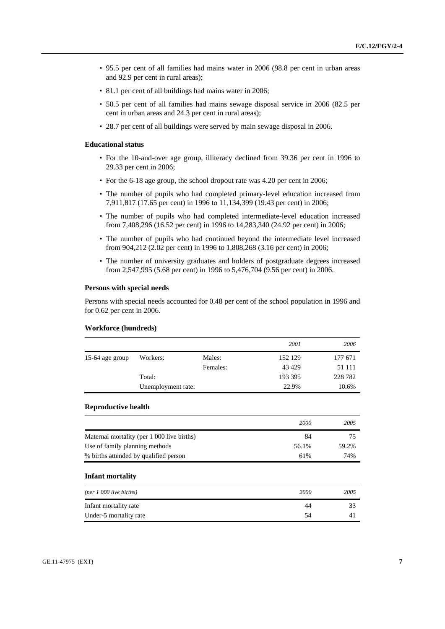- 95.5 per cent of all families had mains water in 2006 (98.8 per cent in urban areas and 92.9 per cent in rural areas);
- 81.1 per cent of all buildings had mains water in 2006;
- 50.5 per cent of all families had mains sewage disposal service in 2006 (82.5 per cent in urban areas and 24.3 per cent in rural areas);
- 28.7 per cent of all buildings were served by main sewage disposal in 2006.

#### **Educational status**

- For the 10-and-over age group, illiteracy declined from 39.36 per cent in 1996 to 29.33 per cent in 2006;
- For the 6-18 age group, the school dropout rate was 4.20 per cent in 2006;
- The number of pupils who had completed primary-level education increased from 7,911,817 (17.65 per cent) in 1996 to 11,134,399 (19.43 per cent) in 2006;
- The number of pupils who had completed intermediate-level education increased from 7,408,296 (16.52 per cent) in 1996 to 14,283,340 (24.92 per cent) in 2006;
- The number of pupils who had continued beyond the intermediate level increased from 904,212 (2.02 per cent) in 1996 to 1,808,268 (3.16 per cent) in 2006;
- The number of university graduates and holders of postgraduate degrees increased from 2,547,995 (5.68 per cent) in 1996 to 5,476,704 (9.56 per cent) in 2006.

#### **Persons with special needs**

Persons with special needs accounted for 0.48 per cent of the school population in 1996 and for 0.62 per cent in 2006.

### **Workforce (hundreds)**

|                 |                    |          | 2001    | 2006    |
|-----------------|--------------------|----------|---------|---------|
| 15-64 age group | Workers:           | Males:   | 152 129 | 177 671 |
|                 |                    | Females: | 43 4 29 | 51 111  |
|                 | Total:             |          | 193 395 | 228 782 |
|                 | Unemployment rate: |          | 22.9%   | 10.6%   |

### **Reproductive health**

|                                            | 2000  | 2005  |
|--------------------------------------------|-------|-------|
| Maternal mortality (per 1 000 live births) | 84    |       |
| Use of family planning methods             | 56.1% | 59.2% |
| % births attended by qualified person      | 61%   | 74%   |

#### **Infant mortality**

| ${\rm (per~1~000~live~births)}$ | 2000 | 2005 |
|---------------------------------|------|------|
| Infant mortality rate           | 44   |      |
| Under-5 mortality rate          | 54   |      |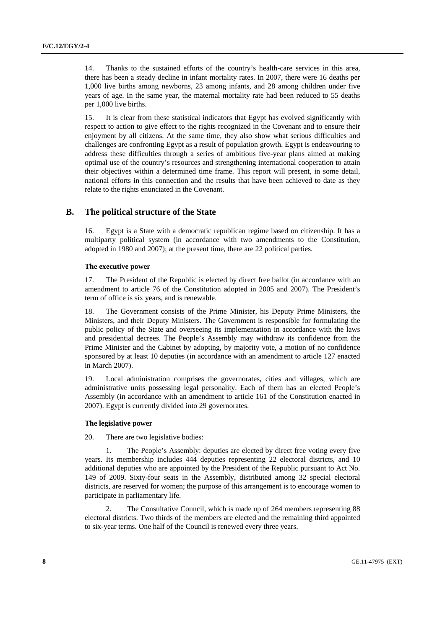14. Thanks to the sustained efforts of the country's health-care services in this area, there has been a steady decline in infant mortality rates. In 2007, there were 16 deaths per 1,000 live births among newborns, 23 among infants, and 28 among children under five years of age. In the same year, the maternal mortality rate had been reduced to 55 deaths per 1,000 live births.

15. It is clear from these statistical indicators that Egypt has evolved significantly with respect to action to give effect to the rights recognized in the Covenant and to ensure their enjoyment by all citizens. At the same time, they also show what serious difficulties and challenges are confronting Egypt as a result of population growth. Egypt is endeavouring to address these difficulties through a series of ambitious five-year plans aimed at making optimal use of the country's resources and strengthening international cooperation to attain their objectives within a determined time frame. This report will present, in some detail, national efforts in this connection and the results that have been achieved to date as they relate to the rights enunciated in the Covenant.

# **B. The political structure of the State**

16. Egypt is a State with a democratic republican regime based on citizenship. It has a multiparty political system (in accordance with two amendments to the Constitution, adopted in 1980 and 2007); at the present time, there are 22 political parties.

# **The executive power**

17. The President of the Republic is elected by direct free ballot (in accordance with an amendment to article 76 of the Constitution adopted in 2005 and 2007). The President's term of office is six years, and is renewable.

18. The Government consists of the Prime Minister, his Deputy Prime Ministers, the Ministers, and their Deputy Ministers. The Government is responsible for formulating the public policy of the State and overseeing its implementation in accordance with the laws and presidential decrees. The People's Assembly may withdraw its confidence from the Prime Minister and the Cabinet by adopting, by majority vote, a motion of no confidence sponsored by at least 10 deputies (in accordance with an amendment to article 127 enacted in March 2007).

19. Local administration comprises the governorates, cities and villages, which are administrative units possessing legal personality. Each of them has an elected People's Assembly (in accordance with an amendment to article 161 of the Constitution enacted in 2007). Egypt is currently divided into 29 governorates.

# **The legislative power**

20. There are two legislative bodies:

The People's Assembly: deputies are elected by direct free voting every five years. Its membership includes 444 deputies representing 22 electoral districts, and 10 additional deputies who are appointed by the President of the Republic pursuant to Act No. 149 of 2009. Sixty-four seats in the Assembly, distributed among 32 special electoral districts, are reserved for women; the purpose of this arrangement is to encourage women to participate in parliamentary life.

 2. The Consultative Council, which is made up of 264 members representing 88 electoral districts. Two thirds of the members are elected and the remaining third appointed to six-year terms. One half of the Council is renewed every three years.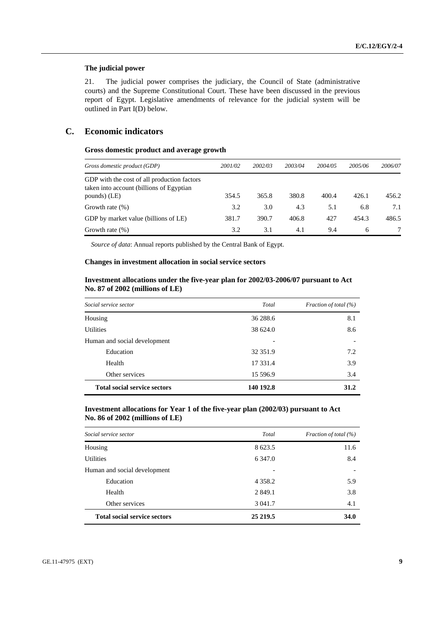# **The judicial power**

21. The judicial power comprises the judiciary, the Council of State (administrative courts) and the Supreme Constitutional Court. These have been discussed in the previous report of Egypt. Legislative amendments of relevance for the judicial system will be outlined in Part I(D) below.

# **C. Economic indicators**

# **Gross domestic product and average growth**

| Gross domestic product (GDP)                                                                            | 2001/02 | 2002/03 | 2003/04 | 2004/05 | 2005/06 | 2006/07 |
|---------------------------------------------------------------------------------------------------------|---------|---------|---------|---------|---------|---------|
| GDP with the cost of all production factors<br>taken into account (billions of Egyptian<br>pounds) (LE) | 354.5   | 365.8   | 380.8   | 400.4   | 426.1   | 456.2   |
| Growth rate $(\%)$                                                                                      | 3.2     | 3.0     | 4.3     | 5.1     | 6.8     | 7.1     |
| GDP by market value (billions of LE)                                                                    | 381.7   | 390.7   | 406.8   | 427     | 454.3   | 486.5   |
| Growth rate $(\%)$                                                                                      | 3.2     | 3.1     | 4.1     | 9.4     | 6       |         |

*Source of data*: Annual reports published by the Central Bank of Egypt.

# **Changes in investment allocation in social service sectors**

# **Investment allocations under the five-year plan for 2002/03-2006/07 pursuant to Act No. 87 of 2002 (millions of LE)**

| Social service sector               | Total     | Fraction of total (%) |  |
|-------------------------------------|-----------|-----------------------|--|
| Housing                             | 36 288.6  | 8.1                   |  |
| <b>Utilities</b>                    | 38 624.0  | 8.6                   |  |
| Human and social development        |           |                       |  |
| Education                           | 32 35 1.9 | 7.2                   |  |
| Health                              | 17 331.4  | 3.9                   |  |
| Other services                      | 15 596.9  | 3.4                   |  |
| <b>Total social service sectors</b> | 140 192.8 | 31.2                  |  |

# **Investment allocations for Year 1 of the five-year plan (2002/03) pursuant to Act No. 86 of 2002 (millions of LE)**

| Social service sector               | Total      | Fraction of total (%) |
|-------------------------------------|------------|-----------------------|
| Housing                             | 8 623.5    | 11.6                  |
| <b>Utilities</b>                    | 6 3 4 7 .0 | 8.4                   |
| Human and social development        |            |                       |
| Education                           | 4 3 5 8 .2 | 5.9                   |
| Health                              | 2 8 4 9 .1 | 3.8                   |
| Other services                      | 3 041.7    | 4.1                   |
| <b>Total social service sectors</b> | 25 219.5   | 34.0                  |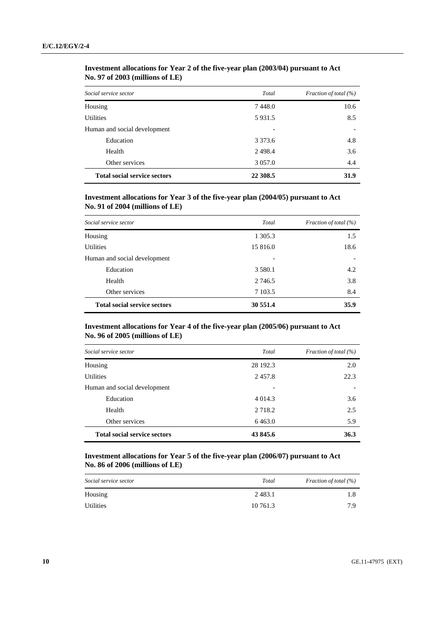| Social service sector               | Total       | Fraction of total (%) |
|-------------------------------------|-------------|-----------------------|
| Housing                             | 7448.0      | 10.6                  |
| <b>Utilities</b>                    | 5931.5      | 8.5                   |
| Human and social development        |             |                       |
| Education                           | 3 3 7 3 . 6 | 4.8                   |
| Health                              | 2498.4      | 3.6                   |
| Other services                      | 3 0 5 7 .0  | 4.4                   |
| <b>Total social service sectors</b> | 22 308.5    | 31.9                  |

# **Investment allocations for Year 2 of the five-year plan (2003/04) pursuant to Act No. 97 of 2003 (millions of LE)**

# **Investment allocations for Year 3 of the five-year plan (2004/05) pursuant to Act No. 91 of 2004 (millions of LE)**

| Social service sector               | Total       | Fraction of total (%) |
|-------------------------------------|-------------|-----------------------|
| Housing                             | 1 305.3     | 1.5                   |
| <b>Utilities</b>                    | 15 816.0    | 18.6                  |
| Human and social development        |             |                       |
| Education                           | 3 5 8 0 . 1 | 4.2                   |
| Health                              | 2 746.5     | 3.8                   |
| Other services                      | 7 103.5     | 8.4                   |
| <b>Total social service sectors</b> | 30 551.4    | 35.9                  |

# **Investment allocations for Year 4 of the five-year plan (2005/06) pursuant to Act No. 96 of 2005 (millions of LE)**

| Social service sector               | Total      | Fraction of total (%) |
|-------------------------------------|------------|-----------------------|
| Housing                             | 28 192.3   | 2.0                   |
| <b>Utilities</b>                    | 2457.8     | 22.3                  |
| Human and social development        |            |                       |
| Education                           | 4 0 1 4 .3 | 3.6                   |
| Health                              | 2 7 1 8 .2 | 2.5                   |
| Other services                      | 6463.0     | 5.9                   |
| <b>Total social service sectors</b> | 43 845.6   | 36.3                  |

# **Investment allocations for Year 5 of the five-year plan (2006/07) pursuant to Act No. 86 of 2006 (millions of LE)**

| Social service sector | Total    | Fraction of total (%) |
|-----------------------|----------|-----------------------|
| Housing               | 2483.1   |                       |
| Utilities             | 10 761.3 | 7 Q                   |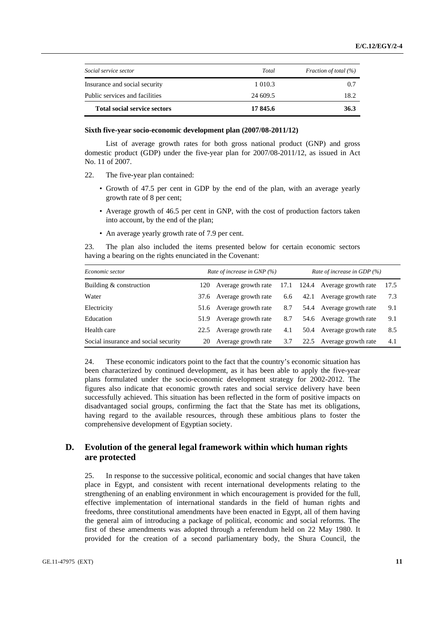| <b>Total social service sectors</b> | 17845.6    | 36.3                  |
|-------------------------------------|------------|-----------------------|
| Public services and facilities      | 24 609.5   | 18.2                  |
| Insurance and social security       | 1 0 1 0 .3 | 0.7                   |
| Social service sector               | Total      | Fraction of total (%) |
|                                     |            |                       |

### **Sixth five-year socio-economic development plan (2007/08-2011/12)**

 List of average growth rates for both gross national product (GNP) and gross domestic product (GDP) under the five-year plan for 2007/08-2011/12, as issued in Act No. 11 of 2007.

- 22. The five-year plan contained:
	- Growth of 47.5 per cent in GDP by the end of the plan, with an average yearly growth rate of 8 per cent;
	- Average growth of 46.5 per cent in GNP, with the cost of production factors taken into account, by the end of the plan;
	- An average yearly growth rate of 7.9 per cent.

23. The plan also included the items presented below for certain economic sectors having a bearing on the rights enunciated in the Covenant:

| Economic sector                      | Rate of increase in GNP $(\%)$ |                          | Rate of increase in GDP (%) |  |                                |      |
|--------------------------------------|--------------------------------|--------------------------|-----------------------------|--|--------------------------------|------|
| Building & construction              | 120                            | Average growth rate      |                             |  | 17.1 124.4 Average growth rate | 17.5 |
| Water                                |                                | 37.6 Average growth rate | 6.6                         |  | 42.1 Average growth rate       | 7.3  |
| Electricity                          |                                | 51.6 Average growth rate | 8.7                         |  | 54.4 Average growth rate       | 9.1  |
| Education                            |                                | 51.9 Average growth rate | 8.7                         |  | 54.6 Average growth rate       | 9.1  |
| Health care                          | 22.5                           | Average growth rate      | 4.1                         |  | 50.4 Average growth rate       | 8.5  |
| Social insurance and social security | 20                             | Average growth rate      | 3.7                         |  | 22.5 Average growth rate       | 4.1  |

24. These economic indicators point to the fact that the country's economic situation has been characterized by continued development, as it has been able to apply the five-year plans formulated under the socio-economic development strategy for 2002-2012. The figures also indicate that economic growth rates and social service delivery have been successfully achieved. This situation has been reflected in the form of positive impacts on disadvantaged social groups, confirming the fact that the State has met its obligations, having regard to the available resources, through these ambitious plans to foster the comprehensive development of Egyptian society.

# **D. Evolution of the general legal framework within which human rights are protected**

25. In response to the successive political, economic and social changes that have taken place in Egypt, and consistent with recent international developments relating to the strengthening of an enabling environment in which encouragement is provided for the full, effective implementation of international standards in the field of human rights and freedoms, three constitutional amendments have been enacted in Egypt, all of them having the general aim of introducing a package of political, economic and social reforms. The first of these amendments was adopted through a referendum held on 22 May 1980. It provided for the creation of a second parliamentary body, the Shura Council, the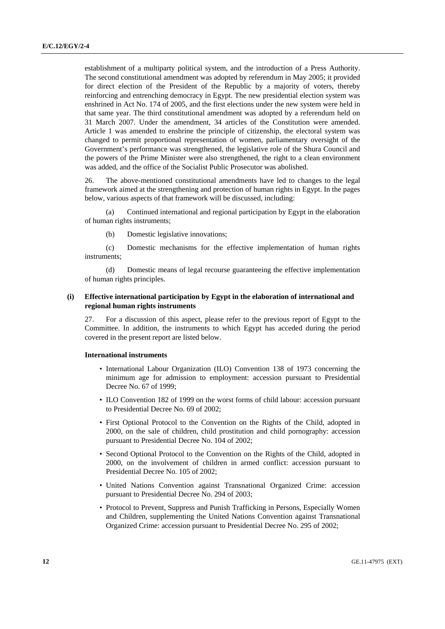establishment of a multiparty political system, and the introduction of a Press Authority. The second constitutional amendment was adopted by referendum in May 2005; it provided for direct election of the President of the Republic by a majority of voters, thereby reinforcing and entrenching democracy in Egypt. The new presidential election system was enshrined in Act No. 174 of 2005, and the first elections under the new system were held in that same year. The third constitutional amendment was adopted by a referendum held on 31 March 2007. Under the amendment, 34 articles of the Constitution were amended. Article 1 was amended to enshrine the principle of citizenship, the electoral system was changed to permit proportional representation of women, parliamentary oversight of the Government's performance was strengthened, the legislative role of the Shura Council and the powers of the Prime Minister were also strengthened, the right to a clean environment was added, and the office of the Socialist Public Prosecutor was abolished.

26. The above-mentioned constitutional amendments have led to changes to the legal framework aimed at the strengthening and protection of human rights in Egypt. In the pages below, various aspects of that framework will be discussed, including:

 (a) Continued international and regional participation by Egypt in the elaboration of human rights instruments;

(b) Domestic legislative innovations;

 (c) Domestic mechanisms for the effective implementation of human rights instruments;

 (d) Domestic means of legal recourse guaranteeing the effective implementation of human rights principles.

# **(i) Effective international participation by Egypt in the elaboration of international and regional human rights instruments**

27. For a discussion of this aspect, please refer to the previous report of Egypt to the Committee. In addition, the instruments to which Egypt has acceded during the period covered in the present report are listed below.

# **International instruments**

- International Labour Organization (ILO) Convention 138 of 1973 concerning the minimum age for admission to employment: accession pursuant to Presidential Decree No. 67 of 1999;
- ILO Convention 182 of 1999 on the worst forms of child labour: accession pursuant to Presidential Decree No. 69 of 2002;
- First Optional Protocol to the Convention on the Rights of the Child, adopted in 2000, on the sale of children, child prostitution and child pornography: accession pursuant to Presidential Decree No. 104 of 2002;
- Second Optional Protocol to the Convention on the Rights of the Child, adopted in 2000, on the involvement of children in armed conflict: accession pursuant to Presidential Decree No. 105 of 2002;
- United Nations Convention against Transnational Organized Crime: accession pursuant to Presidential Decree No. 294 of 2003;
- Protocol to Prevent, Suppress and Punish Trafficking in Persons, Especially Women and Children, supplementing the United Nations Convention against Transnational Organized Crime: accession pursuant to Presidential Decree No. 295 of 2002;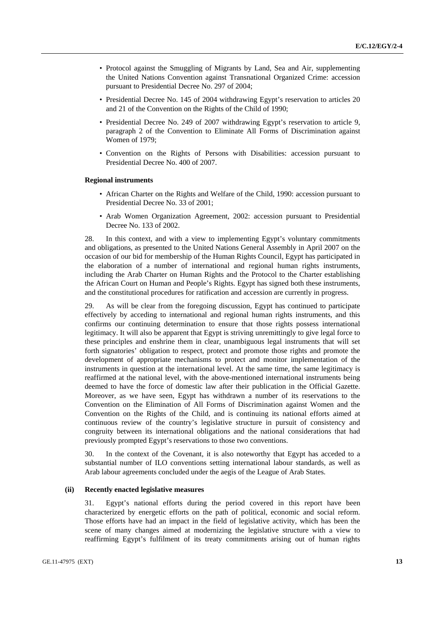- Protocol against the Smuggling of Migrants by Land, Sea and Air, supplementing the United Nations Convention against Transnational Organized Crime: accession pursuant to Presidential Decree No. 297 of 2004;
- Presidential Decree No. 145 of 2004 withdrawing Egypt's reservation to articles 20 and 21 of the Convention on the Rights of the Child of 1990;
- Presidential Decree No. 249 of 2007 withdrawing Egypt's reservation to article 9, paragraph 2 of the Convention to Eliminate All Forms of Discrimination against Women of 1979;
- Convention on the Rights of Persons with Disabilities: accession pursuant to Presidential Decree No. 400 of 2007.

#### **Regional instruments**

- African Charter on the Rights and Welfare of the Child, 1990: accession pursuant to Presidential Decree No. 33 of 2001;
- Arab Women Organization Agreement, 2002: accession pursuant to Presidential Decree No. 133 of 2002.

28. In this context, and with a view to implementing Egypt's voluntary commitments and obligations, as presented to the United Nations General Assembly in April 2007 on the occasion of our bid for membership of the Human Rights Council, Egypt has participated in the elaboration of a number of international and regional human rights instruments, including the Arab Charter on Human Rights and the Protocol to the Charter establishing the African Court on Human and People's Rights. Egypt has signed both these instruments, and the constitutional procedures for ratification and accession are currently in progress.

29. As will be clear from the foregoing discussion, Egypt has continued to participate effectively by acceding to international and regional human rights instruments, and this confirms our continuing determination to ensure that those rights possess international legitimacy. It will also be apparent that Egypt is striving unremittingly to give legal force to these principles and enshrine them in clear, unambiguous legal instruments that will set forth signatories' obligation to respect, protect and promote those rights and promote the development of appropriate mechanisms to protect and monitor implementation of the instruments in question at the international level. At the same time, the same legitimacy is reaffirmed at the national level, with the above-mentioned international instruments being deemed to have the force of domestic law after their publication in the Official Gazette. Moreover, as we have seen, Egypt has withdrawn a number of its reservations to the Convention on the Elimination of All Forms of Discrimination against Women and the Convention on the Rights of the Child, and is continuing its national efforts aimed at continuous review of the country's legislative structure in pursuit of consistency and congruity between its international obligations and the national considerations that had previously prompted Egypt's reservations to those two conventions.

30. In the context of the Covenant, it is also noteworthy that Egypt has acceded to a substantial number of ILO conventions setting international labour standards, as well as Arab labour agreements concluded under the aegis of the League of Arab States.

#### **(ii) Recently enacted legislative measures**

31. Egypt's national efforts during the period covered in this report have been characterized by energetic efforts on the path of political, economic and social reform. Those efforts have had an impact in the field of legislative activity, which has been the scene of many changes aimed at modernizing the legislative structure with a view to reaffirming Egypt's fulfilment of its treaty commitments arising out of human rights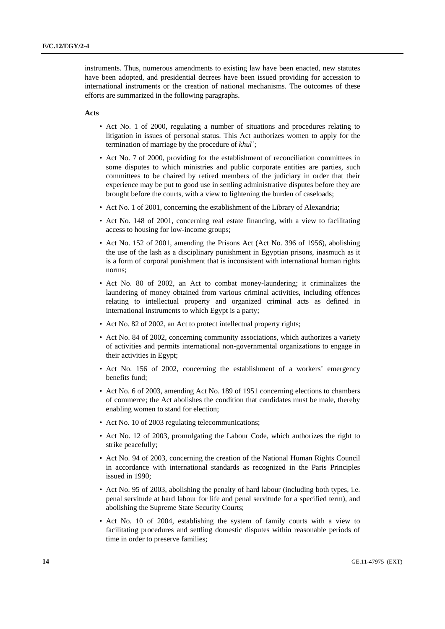instruments. Thus, numerous amendments to existing law have been enacted, new statutes have been adopted, and presidential decrees have been issued providing for accession to international instruments or the creation of national mechanisms. The outcomes of these efforts are summarized in the following paragraphs.

#### **Acts**

- Act No. 1 of 2000, regulating a number of situations and procedures relating to litigation in issues of personal status. This Act authorizes women to apply for the termination of marriage by the procedure of *khul`;*
- Act No. 7 of 2000, providing for the establishment of reconciliation committees in some disputes to which ministries and public corporate entities are parties, such committees to be chaired by retired members of the judiciary in order that their experience may be put to good use in settling administrative disputes before they are brought before the courts, with a view to lightening the burden of caseloads;
- Act No. 1 of 2001, concerning the establishment of the Library of Alexandria;
- Act No. 148 of 2001, concerning real estate financing, with a view to facilitating access to housing for low-income groups;
- Act No. 152 of 2001, amending the Prisons Act (Act No. 396 of 1956), abolishing the use of the lash as a disciplinary punishment in Egyptian prisons, inasmuch as it is a form of corporal punishment that is inconsistent with international human rights norms;
- Act No. 80 of 2002, an Act to combat money-laundering; it criminalizes the laundering of money obtained from various criminal activities, including offences relating to intellectual property and organized criminal acts as defined in international instruments to which Egypt is a party;
- Act No. 82 of 2002, an Act to protect intellectual property rights;
- Act No. 84 of 2002, concerning community associations, which authorizes a variety of activities and permits international non-governmental organizations to engage in their activities in Egypt;
- Act No. 156 of 2002, concerning the establishment of a workers' emergency benefits fund;
- Act No. 6 of 2003, amending Act No. 189 of 1951 concerning elections to chambers of commerce; the Act abolishes the condition that candidates must be male, thereby enabling women to stand for election;
- Act No. 10 of 2003 regulating telecommunications;
- Act No. 12 of 2003, promulgating the Labour Code, which authorizes the right to strike peacefully;
- Act No. 94 of 2003, concerning the creation of the National Human Rights Council in accordance with international standards as recognized in the Paris Principles issued in 1990;
- Act No. 95 of 2003, abolishing the penalty of hard labour (including both types, i.e. penal servitude at hard labour for life and penal servitude for a specified term), and abolishing the Supreme State Security Courts;
- Act No. 10 of 2004, establishing the system of family courts with a view to facilitating procedures and settling domestic disputes within reasonable periods of time in order to preserve families;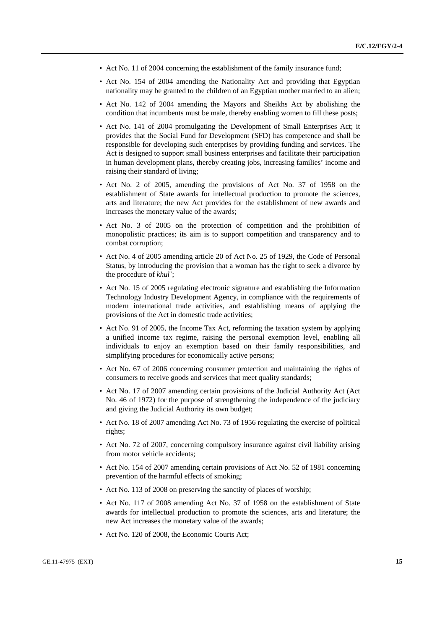- Act No. 11 of 2004 concerning the establishment of the family insurance fund;
- Act No. 154 of 2004 amending the Nationality Act and providing that Egyptian nationality may be granted to the children of an Egyptian mother married to an alien;
- Act No. 142 of 2004 amending the Mayors and Sheikhs Act by abolishing the condition that incumbents must be male, thereby enabling women to fill these posts;
- Act No. 141 of 2004 promulgating the Development of Small Enterprises Act; it provides that the Social Fund for Development (SFD) has competence and shall be responsible for developing such enterprises by providing funding and services. The Act is designed to support small business enterprises and facilitate their participation in human development plans, thereby creating jobs, increasing families' income and raising their standard of living;
- Act No. 2 of 2005, amending the provisions of Act No. 37 of 1958 on the establishment of State awards for intellectual production to promote the sciences, arts and literature; the new Act provides for the establishment of new awards and increases the monetary value of the awards;
- Act No. 3 of 2005 on the protection of competition and the prohibition of monopolistic practices; its aim is to support competition and transparency and to combat corruption;
- Act No. 4 of 2005 amending article 20 of Act No. 25 of 1929, the Code of Personal Status, by introducing the provision that a woman has the right to seek a divorce by the procedure of *khul`*;
- Act No. 15 of 2005 regulating electronic signature and establishing the Information Technology Industry Development Agency, in compliance with the requirements of modern international trade activities, and establishing means of applying the provisions of the Act in domestic trade activities;
- Act No. 91 of 2005, the Income Tax Act, reforming the taxation system by applying a unified income tax regime, raising the personal exemption level, enabling all individuals to enjoy an exemption based on their family responsibilities, and simplifying procedures for economically active persons;
- Act No. 67 of 2006 concerning consumer protection and maintaining the rights of consumers to receive goods and services that meet quality standards;
- Act No. 17 of 2007 amending certain provisions of the Judicial Authority Act (Act No. 46 of 1972) for the purpose of strengthening the independence of the judiciary and giving the Judicial Authority its own budget;
- Act No. 18 of 2007 amending Act No. 73 of 1956 regulating the exercise of political rights;
- Act No. 72 of 2007, concerning compulsory insurance against civil liability arising from motor vehicle accidents;
- Act No. 154 of 2007 amending certain provisions of Act No. 52 of 1981 concerning prevention of the harmful effects of smoking;
- Act No. 113 of 2008 on preserving the sanctity of places of worship;
- Act No. 117 of 2008 amending Act No. 37 of 1958 on the establishment of State awards for intellectual production to promote the sciences, arts and literature; the new Act increases the monetary value of the awards;
- Act No. 120 of 2008, the Economic Courts Act;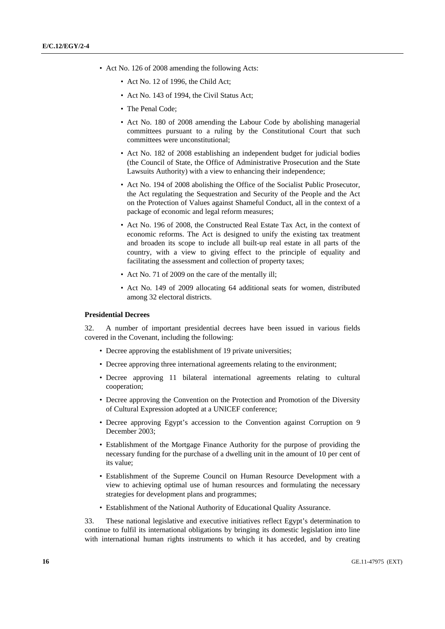- Act No. 126 of 2008 amending the following Acts:
	- Act No. 12 of 1996, the Child Act:
	- Act No. 143 of 1994, the Civil Status Act;
	- The Penal Code:
	- Act No. 180 of 2008 amending the Labour Code by abolishing managerial committees pursuant to a ruling by the Constitutional Court that such committees were unconstitutional;
	- Act No. 182 of 2008 establishing an independent budget for judicial bodies (the Council of State, the Office of Administrative Prosecution and the State Lawsuits Authority) with a view to enhancing their independence;
	- Act No. 194 of 2008 abolishing the Office of the Socialist Public Prosecutor, the Act regulating the Sequestration and Security of the People and the Act on the Protection of Values against Shameful Conduct, all in the context of a package of economic and legal reform measures;
	- Act No. 196 of 2008, the Constructed Real Estate Tax Act, in the context of economic reforms. The Act is designed to unify the existing tax treatment and broaden its scope to include all built-up real estate in all parts of the country, with a view to giving effect to the principle of equality and facilitating the assessment and collection of property taxes;
	- Act No. 71 of 2009 on the care of the mentally ill;
	- Act No. 149 of 2009 allocating 64 additional seats for women, distributed among 32 electoral districts.

## **Presidential Decrees**

32. A number of important presidential decrees have been issued in various fields covered in the Covenant, including the following:

- Decree approving the establishment of 19 private universities;
- Decree approving three international agreements relating to the environment;
- Decree approving 11 bilateral international agreements relating to cultural cooperation;
- Decree approving the Convention on the Protection and Promotion of the Diversity of Cultural Expression adopted at a UNICEF conference;
- Decree approving Egypt's accession to the Convention against Corruption on 9 December 2003;
- Establishment of the Mortgage Finance Authority for the purpose of providing the necessary funding for the purchase of a dwelling unit in the amount of 10 per cent of its value;
- Establishment of the Supreme Council on Human Resource Development with a view to achieving optimal use of human resources and formulating the necessary strategies for development plans and programmes;
- Establishment of the National Authority of Educational Quality Assurance.

33. These national legislative and executive initiatives reflect Egypt's determination to continue to fulfil its international obligations by bringing its domestic legislation into line with international human rights instruments to which it has acceded, and by creating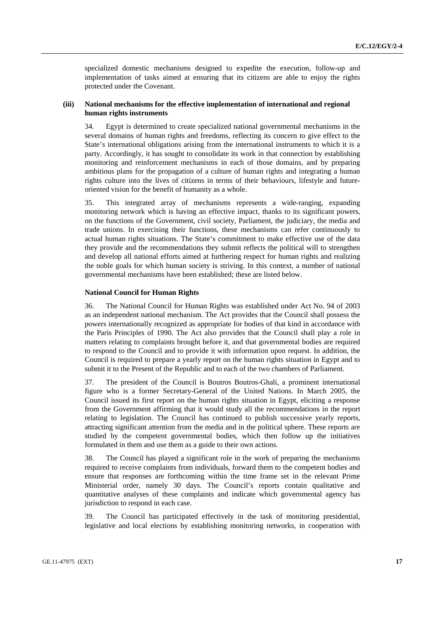specialized domestic mechanisms designed to expedite the execution, follow-up and implementation of tasks aimed at ensuring that its citizens are able to enjoy the rights protected under the Covenant.

## **(iii) National mechanisms for the effective implementation of international and regional human rights instruments**

34. Egypt is determined to create specialized national governmental mechanisms in the several domains of human rights and freedoms, reflecting its concern to give effect to the State's international obligations arising from the international instruments to which it is a party. Accordingly, it has sought to consolidate its work in that connection by establishing monitoring and reinforcement mechanisms in each of those domains, and by preparing ambitious plans for the propagation of a culture of human rights and integrating a human rights culture into the lives of citizens in terms of their behaviours, lifestyle and futureoriented vision for the benefit of humanity as a whole.

35. This integrated array of mechanisms represents a wide-ranging, expanding monitoring network which is having an effective impact, thanks to its significant powers, on the functions of the Government, civil society, Parliament, the judiciary, the media and trade unions. In exercising their functions, these mechanisms can refer continuously to actual human rights situations. The State's commitment to make effective use of the data they provide and the recommendations they submit reflects the political will to strengthen and develop all national efforts aimed at furthering respect for human rights and realizing the noble goals for which human society is striving. In this context, a number of national governmental mechanisms have been established; these are listed below.

# **National Council for Human Rights**

36. The National Council for Human Rights was established under Act No. 94 of 2003 as an independent national mechanism. The Act provides that the Council shall possess the powers internationally recognized as appropriate for bodies of that kind in accordance with the Paris Principles of 1990. The Act also provides that the Council shall play a role in matters relating to complaints brought before it, and that governmental bodies are required to respond to the Council and to provide it with information upon request. In addition, the Council is required to prepare a yearly report on the human rights situation in Egypt and to submit it to the Present of the Republic and to each of the two chambers of Parliament.

37. The president of the Council is Boutros Boutros-Ghali, a prominent international figure who is a former Secretary-General of the United Nations. In March 2005, the Council issued its first report on the human rights situation in Egypt, eliciting a response from the Government affirming that it would study all the recommendations in the report relating to legislation. The Council has continued to publish successive yearly reports, attracting significant attention from the media and in the political sphere. These reports are studied by the competent governmental bodies, which then follow up the initiatives formulated in them and use them as a guide to their own actions.

38. The Council has played a significant role in the work of preparing the mechanisms required to receive complaints from individuals, forward them to the competent bodies and ensure that responses are forthcoming within the time frame set in the relevant Prime Ministerial order, namely 30 days. The Council's reports contain qualitative and quantitative analyses of these complaints and indicate which governmental agency has jurisdiction to respond in each case.

39. The Council has participated effectively in the task of monitoring presidential, legislative and local elections by establishing monitoring networks, in cooperation with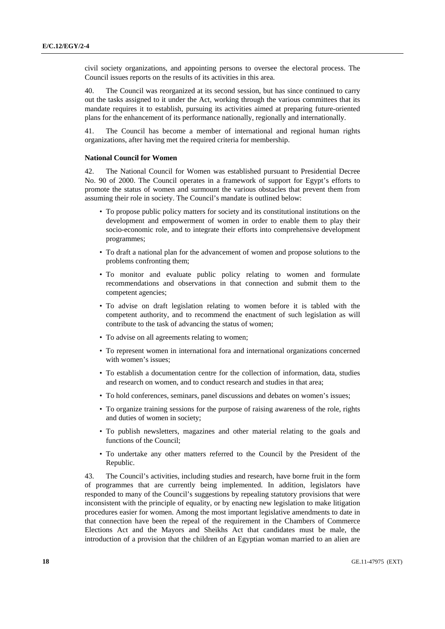civil society organizations, and appointing persons to oversee the electoral process. The Council issues reports on the results of its activities in this area.

40. The Council was reorganized at its second session, but has since continued to carry out the tasks assigned to it under the Act, working through the various committees that its mandate requires it to establish, pursuing its activities aimed at preparing future-oriented plans for the enhancement of its performance nationally, regionally and internationally.

41. The Council has become a member of international and regional human rights organizations, after having met the required criteria for membership.

### **National Council for Women**

42. The National Council for Women was established pursuant to Presidential Decree No. 90 of 2000. The Council operates in a framework of support for Egypt's efforts to promote the status of women and surmount the various obstacles that prevent them from assuming their role in society. The Council's mandate is outlined below:

- To propose public policy matters for society and its constitutional institutions on the development and empowerment of women in order to enable them to play their socio-economic role, and to integrate their efforts into comprehensive development programmes;
- To draft a national plan for the advancement of women and propose solutions to the problems confronting them;
- To monitor and evaluate public policy relating to women and formulate recommendations and observations in that connection and submit them to the competent agencies;
- To advise on draft legislation relating to women before it is tabled with the competent authority, and to recommend the enactment of such legislation as will contribute to the task of advancing the status of women;
- To advise on all agreements relating to women;
- To represent women in international fora and international organizations concerned with women's issues;
- To establish a documentation centre for the collection of information, data, studies and research on women, and to conduct research and studies in that area;
- To hold conferences, seminars, panel discussions and debates on women's issues;
- To organize training sessions for the purpose of raising awareness of the role, rights and duties of women in society;
- To publish newsletters, magazines and other material relating to the goals and functions of the Council;
- To undertake any other matters referred to the Council by the President of the Republic.

43. The Council's activities, including studies and research, have borne fruit in the form of programmes that are currently being implemented. In addition, legislators have responded to many of the Council's suggestions by repealing statutory provisions that were inconsistent with the principle of equality, or by enacting new legislation to make litigation procedures easier for women. Among the most important legislative amendments to date in that connection have been the repeal of the requirement in the Chambers of Commerce Elections Act and the Mayors and Sheikhs Act that candidates must be male, the introduction of a provision that the children of an Egyptian woman married to an alien are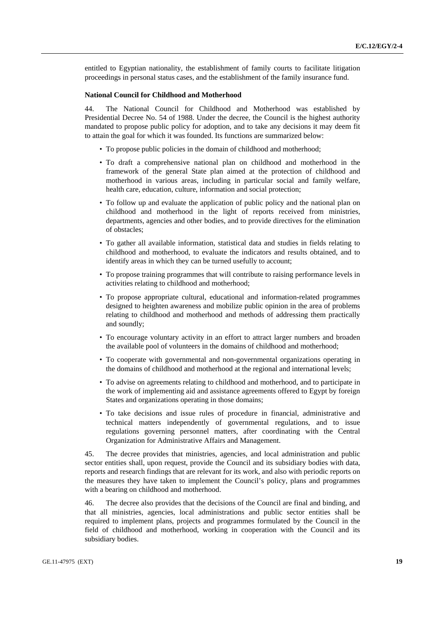entitled to Egyptian nationality, the establishment of family courts to facilitate litigation proceedings in personal status cases, and the establishment of the family insurance fund.

### **National Council for Childhood and Motherhood**

44. The National Council for Childhood and Motherhood was established by Presidential Decree No. 54 of 1988. Under the decree, the Council is the highest authority mandated to propose public policy for adoption, and to take any decisions it may deem fit to attain the goal for which it was founded. Its functions are summarized below:

- To propose public policies in the domain of childhood and motherhood;
- To draft a comprehensive national plan on childhood and motherhood in the framework of the general State plan aimed at the protection of childhood and motherhood in various areas, including in particular social and family welfare, health care, education, culture, information and social protection;
- To follow up and evaluate the application of public policy and the national plan on childhood and motherhood in the light of reports received from ministries, departments, agencies and other bodies, and to provide directives for the elimination of obstacles;
- To gather all available information, statistical data and studies in fields relating to childhood and motherhood, to evaluate the indicators and results obtained, and to identify areas in which they can be turned usefully to account;
- To propose training programmes that will contribute to raising performance levels in activities relating to childhood and motherhood;
- To propose appropriate cultural, educational and information-related programmes designed to heighten awareness and mobilize public opinion in the area of problems relating to childhood and motherhood and methods of addressing them practically and soundly;
- To encourage voluntary activity in an effort to attract larger numbers and broaden the available pool of volunteers in the domains of childhood and motherhood;
- To cooperate with governmental and non-governmental organizations operating in the domains of childhood and motherhood at the regional and international levels;
- To advise on agreements relating to childhood and motherhood, and to participate in the work of implementing aid and assistance agreements offered to Egypt by foreign States and organizations operating in those domains;
- To take decisions and issue rules of procedure in financial, administrative and technical matters independently of governmental regulations, and to issue regulations governing personnel matters, after coordinating with the Central Organization for Administrative Affairs and Management.

45. The decree provides that ministries, agencies, and local administration and public sector entities shall, upon request, provide the Council and its subsidiary bodies with data, reports and research findings that are relevant for its work, and also with periodic reports on the measures they have taken to implement the Council's policy, plans and programmes with a bearing on childhood and motherhood.

46. The decree also provides that the decisions of the Council are final and binding, and that all ministries, agencies, local administrations and public sector entities shall be required to implement plans, projects and programmes formulated by the Council in the field of childhood and motherhood, working in cooperation with the Council and its subsidiary bodies.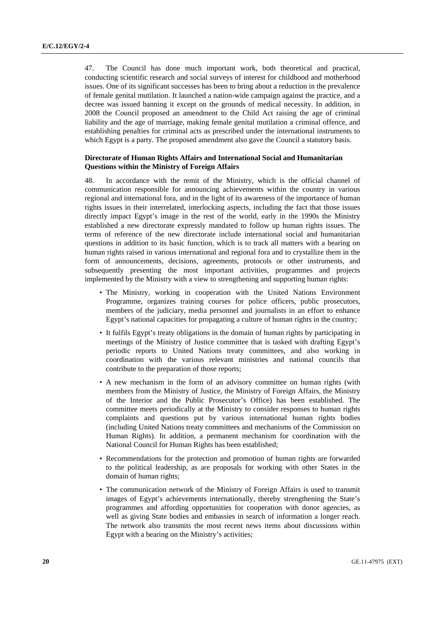47. The Council has done much important work, both theoretical and practical, conducting scientific research and social surveys of interest for childhood and motherhood issues. One of its significant successes has been to bring about a reduction in the prevalence of female genital mutilation. It launched a nation-wide campaign against the practice, and a decree was issued banning it except on the grounds of medical necessity. In addition, in 2008 the Council proposed an amendment to the Child Act raising the age of criminal liability and the age of marriage, making female genital mutilation a criminal offence, and establishing penalties for criminal acts as prescribed under the international instruments to which Egypt is a party. The proposed amendment also gave the Council a statutory basis.

## **Directorate of Human Rights Affairs and International Social and Humanitarian Questions within the Ministry of Foreign Affairs**

48. In accordance with the remit of the Ministry, which is the official channel of communication responsible for announcing achievements within the country in various regional and international fora, and in the light of its awareness of the importance of human rights issues in their interrelated, interlocking aspects, including the fact that those issues directly impact Egypt's image in the rest of the world, early in the 1990s the Ministry established a new directorate expressly mandated to follow up human rights issues. The terms of reference of the new directorate include international social and humanitarian questions in addition to its basic function, which is to track all matters with a bearing on human rights raised in various international and regional fora and to crystallize them in the form of announcements, decisions, agreements, protocols or other instruments, and subsequently presenting the most important activities, programmes and projects implemented by the Ministry with a view to strengthening and supporting human rights:

- The Ministry, working in cooperation with the United Nations Environment Programme, organizes training courses for police officers, public prosecutors, members of the judiciary, media personnel and journalists in an effort to enhance Egypt's national capacities for propagating a culture of human rights in the country;
- It fulfils Egypt's treaty obligations in the domain of human rights by participating in meetings of the Ministry of Justice committee that is tasked with drafting Egypt's periodic reports to United Nations treaty committees, and also working in coordination with the various relevant ministries and national councils that contribute to the preparation of those reports;
- A new mechanism in the form of an advisory committee on human rights (with members from the Ministry of Justice, the Ministry of Foreign Affairs, the Ministry of the Interior and the Public Prosecutor's Office) has been established. The committee meets periodically at the Ministry to consider responses to human rights complaints and questions put by various international human rights bodies (including United Nations treaty committees and mechanisms of the Commission on Human Rights). In addition, a permanent mechanism for coordination with the National Council for Human Rights has been established;
- Recommendations for the protection and promotion of human rights are forwarded to the political leadership, as are proposals for working with other States in the domain of human rights;
- The communication network of the Ministry of Foreign Affairs is used to transmit images of Egypt's achievements internationally, thereby strengthening the State's programmes and affording opportunities for cooperation with donor agencies, as well as giving State bodies and embassies in search of information a longer reach. The network also transmits the most recent news items about discussions within Egypt with a bearing on the Ministry's activities;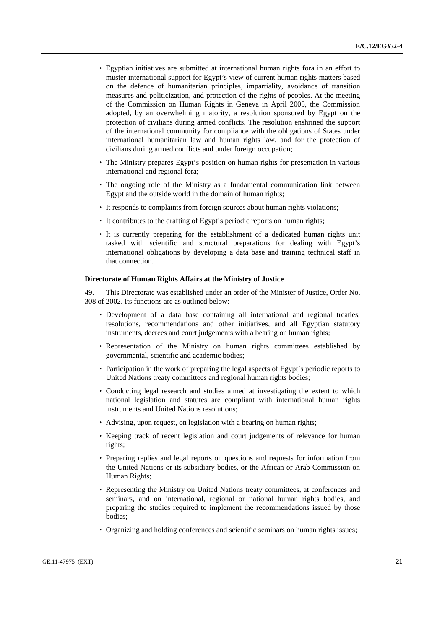- Egyptian initiatives are submitted at international human rights fora in an effort to muster international support for Egypt's view of current human rights matters based on the defence of humanitarian principles, impartiality, avoidance of transition measures and politicization, and protection of the rights of peoples. At the meeting of the Commission on Human Rights in Geneva in April 2005, the Commission adopted, by an overwhelming majority, a resolution sponsored by Egypt on the protection of civilians during armed conflicts. The resolution enshrined the support of the international community for compliance with the obligations of States under international humanitarian law and human rights law, and for the protection of civilians during armed conflicts and under foreign occupation;
- The Ministry prepares Egypt's position on human rights for presentation in various international and regional fora;
- The ongoing role of the Ministry as a fundamental communication link between Egypt and the outside world in the domain of human rights;
- It responds to complaints from foreign sources about human rights violations;
- It contributes to the drafting of Egypt's periodic reports on human rights;
- It is currently preparing for the establishment of a dedicated human rights unit tasked with scientific and structural preparations for dealing with Egypt's international obligations by developing a data base and training technical staff in that connection.

#### **Directorate of Human Rights Affairs at the Ministry of Justice**

49. This Directorate was established under an order of the Minister of Justice, Order No. 308 of 2002. Its functions are as outlined below:

- Development of a data base containing all international and regional treaties, resolutions, recommendations and other initiatives, and all Egyptian statutory instruments, decrees and court judgements with a bearing on human rights;
- Representation of the Ministry on human rights committees established by governmental, scientific and academic bodies;
- Participation in the work of preparing the legal aspects of Egypt's periodic reports to United Nations treaty committees and regional human rights bodies;
- Conducting legal research and studies aimed at investigating the extent to which national legislation and statutes are compliant with international human rights instruments and United Nations resolutions;
- Advising, upon request, on legislation with a bearing on human rights;
- Keeping track of recent legislation and court judgements of relevance for human rights;
- Preparing replies and legal reports on questions and requests for information from the United Nations or its subsidiary bodies, or the African or Arab Commission on Human Rights;
- Representing the Ministry on United Nations treaty committees, at conferences and seminars, and on international, regional or national human rights bodies, and preparing the studies required to implement the recommendations issued by those bodies;
- Organizing and holding conferences and scientific seminars on human rights issues;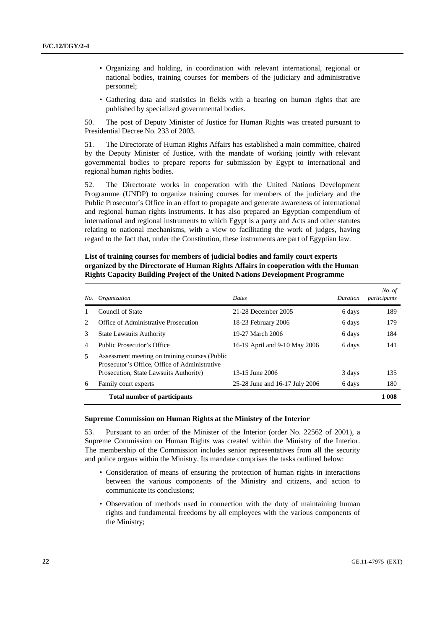- Organizing and holding, in coordination with relevant international, regional or national bodies, training courses for members of the judiciary and administrative personnel;
- Gathering data and statistics in fields with a bearing on human rights that are published by specialized governmental bodies.

50. The post of Deputy Minister of Justice for Human Rights was created pursuant to Presidential Decree No. 233 of 2003.

51. The Directorate of Human Rights Affairs has established a main committee, chaired by the Deputy Minister of Justice, with the mandate of working jointly with relevant governmental bodies to prepare reports for submission by Egypt to international and regional human rights bodies.

52. The Directorate works in cooperation with the United Nations Development Programme (UNDP) to organize training courses for members of the judiciary and the Public Prosecutor's Office in an effort to propagate and generate awareness of international and regional human rights instruments. It has also prepared an Egyptian compendium of international and regional instruments to which Egypt is a party and Acts and other statutes relating to national mechanisms, with a view to facilitating the work of judges, having regard to the fact that, under the Constitution, these instruments are part of Egyptian law.

# **List of training courses for members of judicial bodies and family court experts organized by the Directorate of Human Rights Affairs in cooperation with the Human Rights Capacity Building Project of the United Nations Development Programme**

| No.           | Organization                                                                                    | <b>Dates</b>                   | Duration | No. of<br>participants |
|---------------|-------------------------------------------------------------------------------------------------|--------------------------------|----------|------------------------|
|               | Council of State                                                                                | 21-28 December 2005            | 6 days   | 189                    |
| $\mathcal{L}$ | Office of Administrative Prosecution                                                            | 18-23 February 2006            | 6 days   | 179                    |
| 3             | <b>State Lawsuits Authority</b>                                                                 | 19-27 March 2006               | 6 days   | 184                    |
| 4             | Public Prosecutor's Office                                                                      | 16-19 April and 9-10 May 2006  | 6 days   | 141                    |
| 5             | Assessment meeting on training courses (Public<br>Prosecutor's Office, Office of Administrative |                                |          |                        |
|               | Prosecution, State Lawsuits Authority)                                                          | 13-15 June 2006                | 3 days   | 135                    |
| 6             | Family court experts                                                                            | 25-28 June and 16-17 July 2006 | 6 days   | 180                    |
|               | <b>Total number of participants</b>                                                             |                                |          | 1 008                  |

#### **Supreme Commission on Human Rights at the Ministry of the Interior**

53. Pursuant to an order of the Minister of the Interior (order No. 22562 of 2001), a Supreme Commission on Human Rights was created within the Ministry of the Interior. The membership of the Commission includes senior representatives from all the security and police organs within the Ministry. Its mandate comprises the tasks outlined below:

- Consideration of means of ensuring the protection of human rights in interactions between the various components of the Ministry and citizens, and action to communicate its conclusions;
- Observation of methods used in connection with the duty of maintaining human rights and fundamental freedoms by all employees with the various components of the Ministry;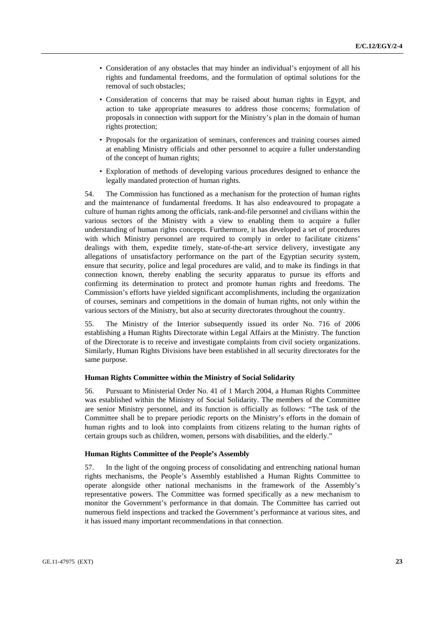- Consideration of any obstacles that may hinder an individual's enjoyment of all his rights and fundamental freedoms, and the formulation of optimal solutions for the removal of such obstacles;
- Consideration of concerns that may be raised about human rights in Egypt, and action to take appropriate measures to address those concerns; formulation of proposals in connection with support for the Ministry's plan in the domain of human rights protection;
- Proposals for the organization of seminars, conferences and training courses aimed at enabling Ministry officials and other personnel to acquire a fuller understanding of the concept of human rights;
- Exploration of methods of developing various procedures designed to enhance the legally mandated protection of human rights.

54. The Commission has functioned as a mechanism for the protection of human rights and the maintenance of fundamental freedoms. It has also endeavoured to propagate a culture of human rights among the officials, rank-and-file personnel and civilians within the various sectors of the Ministry with a view to enabling them to acquire a fuller understanding of human rights concepts. Furthermore, it has developed a set of procedures with which Ministry personnel are required to comply in order to facilitate citizens' dealings with them, expedite timely, state-of-the-art service delivery, investigate any allegations of unsatisfactory performance on the part of the Egyptian security system, ensure that security, police and legal procedures are valid, and to make its findings in that connection known, thereby enabling the security apparatus to pursue its efforts and confirming its determination to protect and promote human rights and freedoms. The Commission's efforts have yielded significant accomplishments, including the organization of courses, seminars and competitions in the domain of human rights, not only within the various sectors of the Ministry, but also at security directorates throughout the country.

55. The Ministry of the Interior subsequently issued its order No. 716 of 2006 establishing a Human Rights Directorate within Legal Affairs at the Ministry. The function of the Directorate is to receive and investigate complaints from civil society organizations. Similarly, Human Rights Divisions have been established in all security directorates for the same purpose.

### **Human Rights Committee within the Ministry of Social Solidarity**

56. Pursuant to Ministerial Order No. 41 of 1 March 2004, a Human Rights Committee was established within the Ministry of Social Solidarity. The members of the Committee are senior Ministry personnel, and its function is officially as follows: "The task of the Committee shall be to prepare periodic reports on the Ministry's efforts in the domain of human rights and to look into complaints from citizens relating to the human rights of certain groups such as children, women, persons with disabilities, and the elderly."

#### **Human Rights Committee of the People's Assembly**

57. In the light of the ongoing process of consolidating and entrenching national human rights mechanisms, the People's Assembly established a Human Rights Committee to operate alongside other national mechanisms in the framework of the Assembly's representative powers. The Committee was formed specifically as a new mechanism to monitor the Government's performance in that domain. The Committee has carried out numerous field inspections and tracked the Government's performance at various sites, and it has issued many important recommendations in that connection.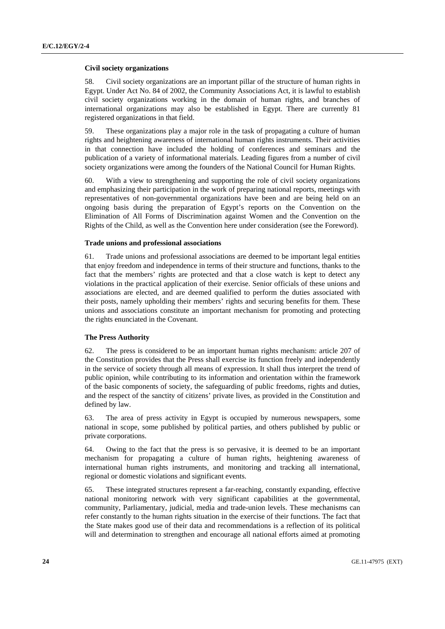#### **Civil society organizations**

58. Civil society organizations are an important pillar of the structure of human rights in Egypt. Under Act No. 84 of 2002, the Community Associations Act, it is lawful to establish civil society organizations working in the domain of human rights, and branches of international organizations may also be established in Egypt. There are currently 81 registered organizations in that field.

59. These organizations play a major role in the task of propagating a culture of human rights and heightening awareness of international human rights instruments. Their activities in that connection have included the holding of conferences and seminars and the publication of a variety of informational materials. Leading figures from a number of civil society organizations were among the founders of the National Council for Human Rights.

60. With a view to strengthening and supporting the role of civil society organizations and emphasizing their participation in the work of preparing national reports, meetings with representatives of non-governmental organizations have been and are being held on an ongoing basis during the preparation of Egypt's reports on the Convention on the Elimination of All Forms of Discrimination against Women and the Convention on the Rights of the Child, as well as the Convention here under consideration (see the Foreword).

#### **Trade unions and professional associations**

61. Trade unions and professional associations are deemed to be important legal entities that enjoy freedom and independence in terms of their structure and functions, thanks to the fact that the members' rights are protected and that a close watch is kept to detect any violations in the practical application of their exercise. Senior officials of these unions and associations are elected, and are deemed qualified to perform the duties associated with their posts, namely upholding their members' rights and securing benefits for them. These unions and associations constitute an important mechanism for promoting and protecting the rights enunciated in the Covenant.

### **The Press Authority**

62. The press is considered to be an important human rights mechanism: article 207 of the Constitution provides that the Press shall exercise its function freely and independently in the service of society through all means of expression. It shall thus interpret the trend of public opinion, while contributing to its information and orientation within the framework of the basic components of society, the safeguarding of public freedoms, rights and duties, and the respect of the sanctity of citizens' private lives, as provided in the Constitution and defined by law.

63. The area of press activity in Egypt is occupied by numerous newspapers, some national in scope, some published by political parties, and others published by public or private corporations.

64. Owing to the fact that the press is so pervasive, it is deemed to be an important mechanism for propagating a culture of human rights, heightening awareness of international human rights instruments, and monitoring and tracking all international, regional or domestic violations and significant events.

65. These integrated structures represent a far-reaching, constantly expanding, effective national monitoring network with very significant capabilities at the governmental, community, Parliamentary, judicial, media and trade-union levels. These mechanisms can refer constantly to the human rights situation in the exercise of their functions. The fact that the State makes good use of their data and recommendations is a reflection of its political will and determination to strengthen and encourage all national efforts aimed at promoting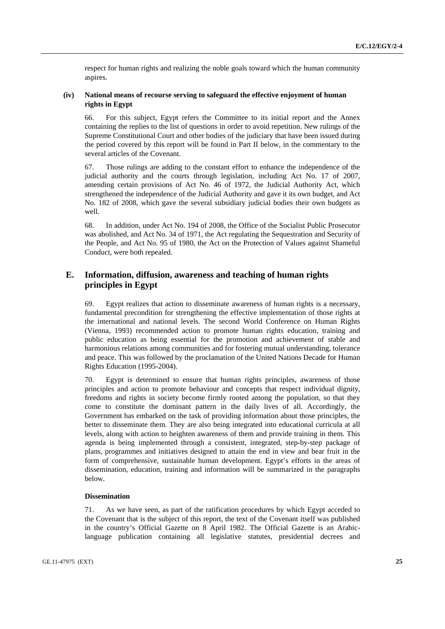respect for human rights and realizing the noble goals toward which the human community aspires.

# **(iv) National means of recourse serving to safeguard the effective enjoyment of human rights in Egypt**

66. For this subject, Egypt refers the Committee to its initial report and the Annex containing the replies to the list of questions in order to avoid repetition. New rulings of the Supreme Constitutional Court and other bodies of the judiciary that have been issued during the period covered by this report will be found in Part II below, in the commentary to the several articles of the Covenant.

67. Those rulings are adding to the constant effort to enhance the independence of the judicial authority and the courts through legislation, including Act No. 17 of 2007, amending certain provisions of Act No. 46 of 1972, the Judicial Authority Act, which strengthened the independence of the Judicial Authority and gave it its own budget, and Act No. 182 of 2008, which gave the several subsidiary judicial bodies their own budgets as well.

68. In addition, under Act No. 194 of 2008, the Office of the Socialist Public Prosecutor was abolished, and Act No. 34 of 1971, the Act regulating the Sequestration and Security of the People, and Act No. 95 of 1980, the Act on the Protection of Values against Shameful Conduct, were both repealed.

# **E. Information, diffusion, awareness and teaching of human rights principles in Egypt**

69. Egypt realizes that action to disseminate awareness of human rights is a necessary, fundamental precondition for strengthening the effective implementation of those rights at the international and national levels. The second World Conference on Human Rights (Vienna, 1993) recommended action to promote human rights education, training and public education as being essential for the promotion and achievement of stable and harmonious relations among communities and for fostering mutual understanding, tolerance and peace. This was followed by the proclamation of the United Nations Decade for Human Rights Education (1995-2004).

70. Egypt is determined to ensure that human rights principles, awareness of those principles and action to promote behaviour and concepts that respect individual dignity, freedoms and rights in society become firmly rooted among the population, so that they come to constitute the dominant pattern in the daily lives of all. Accordingly, the Government has embarked on the task of providing information about those principles, the better to disseminate them. They are also being integrated into educational curricula at all levels, along with action to heighten awareness of them and provide training in them. This agenda is being implemented through a consistent, integrated, step-by-step package of plans, programmes and initiatives designed to attain the end in view and bear fruit in the form of comprehensive, sustainable human development. Egypt's efforts in the areas of dissemination, education, training and information will be summarized in the paragraphs below.

### **Dissemination**

71. As we have seen, as part of the ratification procedures by which Egypt acceded to the Covenant that is the subject of this report, the text of the Covenant itself was published in the country's Official Gazette on 8 April 1982. The Official Gazette is an Arabiclanguage publication containing all legislative statutes, presidential decrees and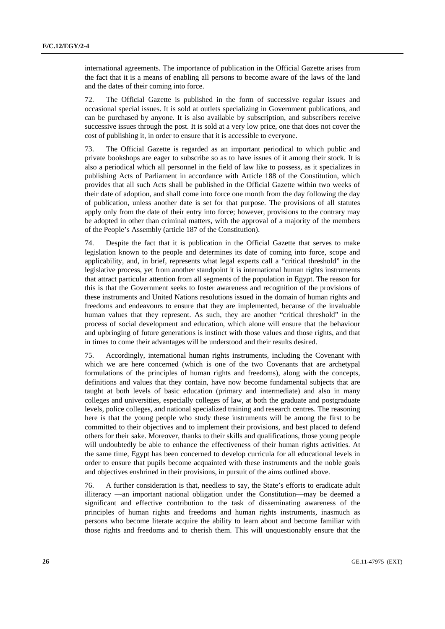international agreements. The importance of publication in the Official Gazette arises from the fact that it is a means of enabling all persons to become aware of the laws of the land and the dates of their coming into force.

72. The Official Gazette is published in the form of successive regular issues and occasional special issues. It is sold at outlets specializing in Government publications, and can be purchased by anyone. It is also available by subscription, and subscribers receive successive issues through the post. It is sold at a very low price, one that does not cover the cost of publishing it, in order to ensure that it is accessible to everyone.

73. The Official Gazette is regarded as an important periodical to which public and private bookshops are eager to subscribe so as to have issues of it among their stock. It is also a periodical which all personnel in the field of law like to possess, as it specializes in publishing Acts of Parliament in accordance with Article 188 of the Constitution, which provides that all such Acts shall be published in the Official Gazette within two weeks of their date of adoption, and shall come into force one month from the day following the day of publication, unless another date is set for that purpose. The provisions of all statutes apply only from the date of their entry into force; however, provisions to the contrary may be adopted in other than criminal matters, with the approval of a majority of the members of the People's Assembly (article 187 of the Constitution).

74. Despite the fact that it is publication in the Official Gazette that serves to make legislation known to the people and determines its date of coming into force, scope and applicability, and, in brief, represents what legal experts call a "critical threshold" in the legislative process, yet from another standpoint it is international human rights instruments that attract particular attention from all segments of the population in Egypt. The reason for this is that the Government seeks to foster awareness and recognition of the provisions of these instruments and United Nations resolutions issued in the domain of human rights and freedoms and endeavours to ensure that they are implemented, because of the invaluable human values that they represent. As such, they are another "critical threshold" in the process of social development and education, which alone will ensure that the behaviour and upbringing of future generations is instinct with those values and those rights, and that in times to come their advantages will be understood and their results desired.

75. Accordingly, international human rights instruments, including the Covenant with which we are here concerned (which is one of the two Covenants that are archetypal formulations of the principles of human rights and freedoms), along with the concepts, definitions and values that they contain, have now become fundamental subjects that are taught at both levels of basic education (primary and intermediate) and also in many colleges and universities, especially colleges of law, at both the graduate and postgraduate levels, police colleges, and national specialized training and research centres. The reasoning here is that the young people who study these instruments will be among the first to be committed to their objectives and to implement their provisions, and best placed to defend others for their sake. Moreover, thanks to their skills and qualifications, those young people will undoubtedly be able to enhance the effectiveness of their human rights activities. At the same time, Egypt has been concerned to develop curricula for all educational levels in order to ensure that pupils become acquainted with these instruments and the noble goals and objectives enshrined in their provisions, in pursuit of the aims outlined above.

76. A further consideration is that, needless to say, the State's efforts to eradicate adult illiteracy —an important national obligation under the Constitution—may be deemed a significant and effective contribution to the task of disseminating awareness of the principles of human rights and freedoms and human rights instruments, inasmuch as persons who become literate acquire the ability to learn about and become familiar with those rights and freedoms and to cherish them. This will unquestionably ensure that the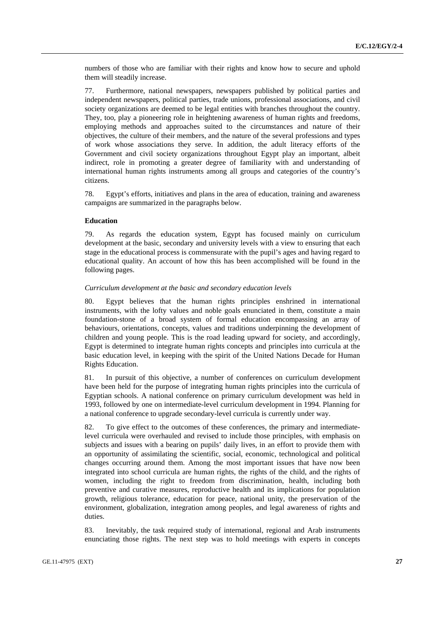numbers of those who are familiar with their rights and know how to secure and uphold them will steadily increase.

77. Furthermore, national newspapers, newspapers published by political parties and independent newspapers, political parties, trade unions, professional associations, and civil society organizations are deemed to be legal entities with branches throughout the country. They, too, play a pioneering role in heightening awareness of human rights and freedoms, employing methods and approaches suited to the circumstances and nature of their objectives, the culture of their members, and the nature of the several professions and types of work whose associations they serve. In addition, the adult literacy efforts of the Government and civil society organizations throughout Egypt play an important, albeit indirect, role in promoting a greater degree of familiarity with and understanding of international human rights instruments among all groups and categories of the country's citizens.

78. Egypt's efforts, initiatives and plans in the area of education, training and awareness campaigns are summarized in the paragraphs below.

#### **Education**

79. As regards the education system, Egypt has focused mainly on curriculum development at the basic, secondary and university levels with a view to ensuring that each stage in the educational process is commensurate with the pupil's ages and having regard to educational quality. An account of how this has been accomplished will be found in the following pages.

#### *Curriculum development at the basic and secondary education levels*

80. Egypt believes that the human rights principles enshrined in international instruments, with the lofty values and noble goals enunciated in them, constitute a main foundation-stone of a broad system of formal education encompassing an array of behaviours, orientations, concepts, values and traditions underpinning the development of children and young people. This is the road leading upward for society, and accordingly, Egypt is determined to integrate human rights concepts and principles into curricula at the basic education level, in keeping with the spirit of the United Nations Decade for Human Rights Education.

81. In pursuit of this objective, a number of conferences on curriculum development have been held for the purpose of integrating human rights principles into the curricula of Egyptian schools. A national conference on primary curriculum development was held in 1993, followed by one on intermediate-level curriculum development in 1994. Planning for a national conference to upgrade secondary-level curricula is currently under way.

82. To give effect to the outcomes of these conferences, the primary and intermediatelevel curricula were overhauled and revised to include those principles, with emphasis on subjects and issues with a bearing on pupils' daily lives, in an effort to provide them with an opportunity of assimilating the scientific, social, economic, technological and political changes occurring around them. Among the most important issues that have now been integrated into school curricula are human rights, the rights of the child, and the rights of women, including the right to freedom from discrimination, health, including both preventive and curative measures, reproductive health and its implications for population growth, religious tolerance, education for peace, national unity, the preservation of the environment, globalization, integration among peoples, and legal awareness of rights and duties.

83. Inevitably, the task required study of international, regional and Arab instruments enunciating those rights. The next step was to hold meetings with experts in concepts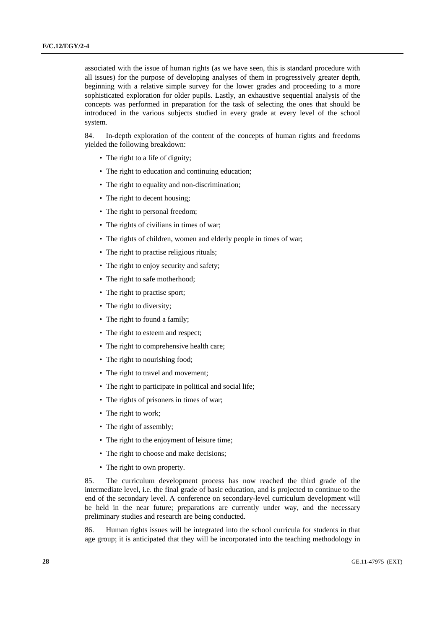associated with the issue of human rights (as we have seen, this is standard procedure with all issues) for the purpose of developing analyses of them in progressively greater depth, beginning with a relative simple survey for the lower grades and proceeding to a more sophisticated exploration for older pupils. Lastly, an exhaustive sequential analysis of the concepts was performed in preparation for the task of selecting the ones that should be introduced in the various subjects studied in every grade at every level of the school system.

84. In-depth exploration of the content of the concepts of human rights and freedoms yielded the following breakdown:

- The right to a life of dignity;
- The right to education and continuing education;
- The right to equality and non-discrimination;
- The right to decent housing;
- The right to personal freedom;
- The rights of civilians in times of war;
- The rights of children, women and elderly people in times of war;
- The right to practise religious rituals;
- The right to enjoy security and safety;
- The right to safe motherhood;
- The right to practise sport;
- The right to diversity;
- The right to found a family;
- The right to esteem and respect;
- The right to comprehensive health care;
- The right to nourishing food;
- The right to travel and movement;
- The right to participate in political and social life;
- The rights of prisoners in times of war;
- The right to work;
- The right of assembly;
- The right to the enjoyment of leisure time;
- The right to choose and make decisions;
- The right to own property.

85. The curriculum development process has now reached the third grade of the intermediate level, i.e. the final grade of basic education, and is projected to continue to the end of the secondary level. A conference on secondary-level curriculum development will be held in the near future; preparations are currently under way, and the necessary preliminary studies and research are being conducted.

86. Human rights issues will be integrated into the school curricula for students in that age group; it is anticipated that they will be incorporated into the teaching methodology in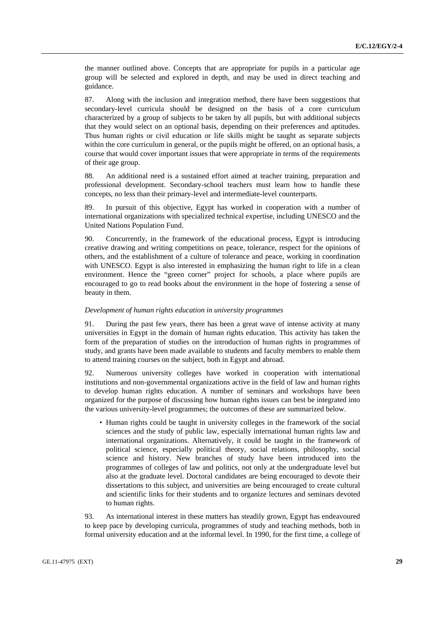the manner outlined above. Concepts that are appropriate for pupils in a particular age group will be selected and explored in depth, and may be used in direct teaching and guidance.

87. Along with the inclusion and integration method, there have been suggestions that secondary-level curricula should be designed on the basis of a core curriculum characterized by a group of subjects to be taken by all pupils, but with additional subjects that they would select on an optional basis, depending on their preferences and aptitudes. Thus human rights or civil education or life skills might be taught as separate subjects within the core curriculum in general, or the pupils might be offered, on an optional basis, a course that would cover important issues that were appropriate in terms of the requirements of their age group.

88. An additional need is a sustained effort aimed at teacher training, preparation and professional development. Secondary-school teachers must learn how to handle these concepts, no less than their primary-level and intermediate-level counterparts.

89. In pursuit of this objective, Egypt has worked in cooperation with a number of international organizations with specialized technical expertise, including UNESCO and the United Nations Population Fund.

90. Concurrently, in the framework of the educational process, Egypt is introducing creative drawing and writing competitions on peace, tolerance, respect for the opinions of others, and the establishment of a culture of tolerance and peace, working in coordination with UNESCO. Egypt is also interested in emphasizing the human right to life in a clean environment. Hence the "green corner" project for schools, a place where pupils are encouraged to go to read books about the environment in the hope of fostering a sense of beauty in them.

#### *Development of human rights education in university programmes*

91. During the past few years, there has been a great wave of intense activity at many universities in Egypt in the domain of human rights education. This activity has taken the form of the preparation of studies on the introduction of human rights in programmes of study, and grants have been made available to students and faculty members to enable them to attend training courses on the subject, both in Egypt and abroad.

92. Numerous university colleges have worked in cooperation with international institutions and non-governmental organizations active in the field of law and human rights to develop human rights education. A number of seminars and workshops have been organized for the purpose of discussing how human rights issues can best be integrated into the various university-level programmes; the outcomes of these are summarized below.

• Human rights could be taught in university colleges in the framework of the social sciences and the study of public law, especially international human rights law and international organizations. Alternatively, it could be taught in the framework of political science, especially political theory, social relations, philosophy, social science and history. New branches of study have been introduced into the programmes of colleges of law and politics, not only at the undergraduate level but also at the graduate level. Doctoral candidates are being encouraged to devote their dissertations to this subject, and universities are being encouraged to create cultural and scientific links for their students and to organize lectures and seminars devoted to human rights.

93. As international interest in these matters has steadily grown, Egypt has endeavoured to keep pace by developing curricula, programmes of study and teaching methods, both in formal university education and at the informal level. In 1990, for the first time, a college of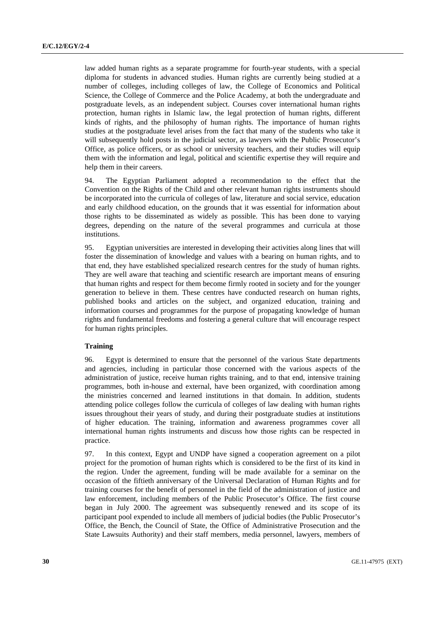law added human rights as a separate programme for fourth-year students, with a special diploma for students in advanced studies. Human rights are currently being studied at a number of colleges, including colleges of law, the College of Economics and Political Science, the College of Commerce and the Police Academy, at both the undergraduate and postgraduate levels, as an independent subject. Courses cover international human rights protection, human rights in Islamic law, the legal protection of human rights, different kinds of rights, and the philosophy of human rights. The importance of human rights studies at the postgraduate level arises from the fact that many of the students who take it will subsequently hold posts in the judicial sector, as lawyers with the Public Prosecutor's Office, as police officers, or as school or university teachers, and their studies will equip them with the information and legal, political and scientific expertise they will require and help them in their careers.

94. The Egyptian Parliament adopted a recommendation to the effect that the Convention on the Rights of the Child and other relevant human rights instruments should be incorporated into the curricula of colleges of law, literature and social service, education and early childhood education, on the grounds that it was essential for information about those rights to be disseminated as widely as possible. This has been done to varying degrees, depending on the nature of the several programmes and curricula at those institutions.

95. Egyptian universities are interested in developing their activities along lines that will foster the dissemination of knowledge and values with a bearing on human rights, and to that end, they have established specialized research centres for the study of human rights. They are well aware that teaching and scientific research are important means of ensuring that human rights and respect for them become firmly rooted in society and for the younger generation to believe in them. These centres have conducted research on human rights, published books and articles on the subject, and organized education, training and information courses and programmes for the purpose of propagating knowledge of human rights and fundamental freedoms and fostering a general culture that will encourage respect for human rights principles.

# **Training**

96. Egypt is determined to ensure that the personnel of the various State departments and agencies, including in particular those concerned with the various aspects of the administration of justice, receive human rights training, and to that end, intensive training programmes, both in-house and external, have been organized, with coordination among the ministries concerned and learned institutions in that domain. In addition, students attending police colleges follow the curricula of colleges of law dealing with human rights issues throughout their years of study, and during their postgraduate studies at institutions of higher education. The training, information and awareness programmes cover all international human rights instruments and discuss how those rights can be respected in practice.

97. In this context, Egypt and UNDP have signed a cooperation agreement on a pilot project for the promotion of human rights which is considered to be the first of its kind in the region. Under the agreement, funding will be made available for a seminar on the occasion of the fiftieth anniversary of the Universal Declaration of Human Rights and for training courses for the benefit of personnel in the field of the administration of justice and law enforcement, including members of the Public Prosecutor's Office. The first course began in July 2000. The agreement was subsequently renewed and its scope of its participant pool expended to include all members of judicial bodies (the Public Prosecutor's Office, the Bench, the Council of State, the Office of Administrative Prosecution and the State Lawsuits Authority) and their staff members, media personnel, lawyers, members of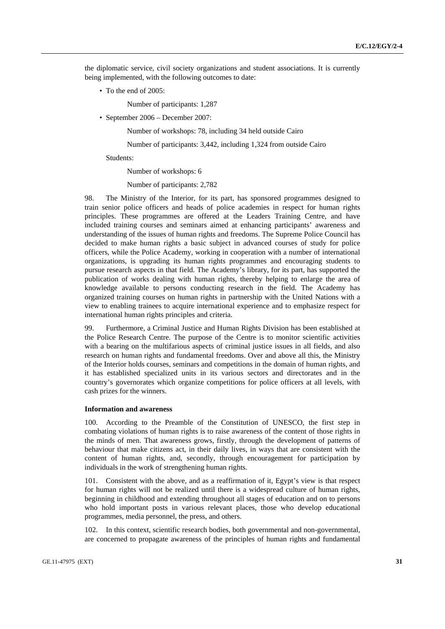the diplomatic service, civil society organizations and student associations. It is currently being implemented, with the following outcomes to date:

• To the end of 2005:

Number of participants: 1,287

• September 2006 – December 2007:

Number of workshops: 78, including 34 held outside Cairo

Number of participants: 3,442, including 1,324 from outside Cairo

Students:

Number of workshops: 6

Number of participants: 2,782

98. The Ministry of the Interior, for its part, has sponsored programmes designed to train senior police officers and heads of police academies in respect for human rights principles. These programmes are offered at the Leaders Training Centre, and have included training courses and seminars aimed at enhancing participants' awareness and understanding of the issues of human rights and freedoms. The Supreme Police Council has decided to make human rights a basic subject in advanced courses of study for police officers, while the Police Academy, working in cooperation with a number of international organizations, is upgrading its human rights programmes and encouraging students to pursue research aspects in that field. The Academy's library, for its part, has supported the publication of works dealing with human rights, thereby helping to enlarge the area of knowledge available to persons conducting research in the field. The Academy has organized training courses on human rights in partnership with the United Nations with a view to enabling trainees to acquire international experience and to emphasize respect for international human rights principles and criteria.

99. Furthermore, a Criminal Justice and Human Rights Division has been established at the Police Research Centre. The purpose of the Centre is to monitor scientific activities with a bearing on the multifarious aspects of criminal justice issues in all fields, and also research on human rights and fundamental freedoms. Over and above all this, the Ministry of the Interior holds courses, seminars and competitions in the domain of human rights, and it has established specialized units in its various sectors and directorates and in the country's governorates which organize competitions for police officers at all levels, with cash prizes for the winners.

### **Information and awareness**

100. According to the Preamble of the Constitution of UNESCO, the first step in combating violations of human rights is to raise awareness of the content of those rights in the minds of men. That awareness grows, firstly, through the development of patterns of behaviour that make citizens act, in their daily lives, in ways that are consistent with the content of human rights, and, secondly, through encouragement for participation by individuals in the work of strengthening human rights.

101. Consistent with the above, and as a reaffirmation of it, Egypt's view is that respect for human rights will not be realized until there is a widespread culture of human rights, beginning in childhood and extending throughout all stages of education and on to persons who hold important posts in various relevant places, those who develop educational programmes, media personnel, the press, and others.

102. In this context, scientific research bodies, both governmental and non-governmental, are concerned to propagate awareness of the principles of human rights and fundamental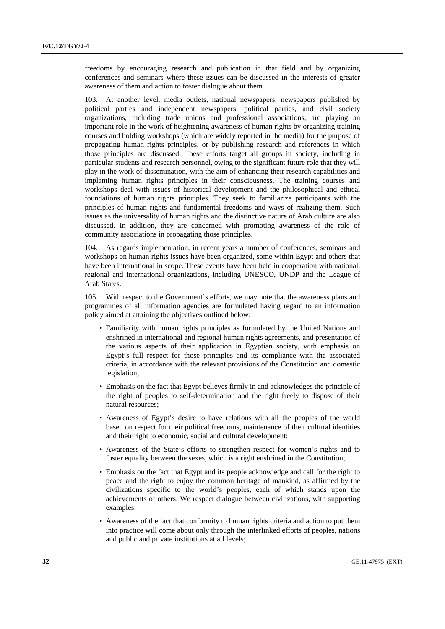freedoms by encouraging research and publication in that field and by organizing conferences and seminars where these issues can be discussed in the interests of greater awareness of them and action to foster dialogue about them.

103. At another level, media outlets, national newspapers, newspapers published by political parties and independent newspapers, political parties, and civil society organizations, including trade unions and professional associations, are playing an important role in the work of heightening awareness of human rights by organizing training courses and holding workshops (which are widely reported in the media) for the purpose of propagating human rights principles, or by publishing research and references in which those principles are discussed. These efforts target all groups in society, including in particular students and research personnel, owing to the significant future role that they will play in the work of dissemination, with the aim of enhancing their research capabilities and implanting human rights principles in their consciousness. The training courses and workshops deal with issues of historical development and the philosophical and ethical foundations of human rights principles. They seek to familiarize participants with the principles of human rights and fundamental freedoms and ways of realizing them. Such issues as the universality of human rights and the distinctive nature of Arab culture are also discussed. In addition, they are concerned with promoting awareness of the role of community associations in propagating those principles.

104. As regards implementation, in recent years a number of conferences, seminars and workshops on human rights issues have been organized, some within Egypt and others that have been international in scope. These events have been held in cooperation with national, regional and international organizations, including UNESCO, UNDP and the League of Arab States.

105. With respect to the Government's efforts, we may note that the awareness plans and programmes of all information agencies are formulated having regard to an information policy aimed at attaining the objectives outlined below:

- Familiarity with human rights principles as formulated by the United Nations and enshrined in international and regional human rights agreements, and presentation of the various aspects of their application in Egyptian society, with emphasis on Egypt's full respect for those principles and its compliance with the associated criteria, in accordance with the relevant provisions of the Constitution and domestic legislation;
- Emphasis on the fact that Egypt believes firmly in and acknowledges the principle of the right of peoples to self-determination and the right freely to dispose of their natural resources;
- Awareness of Egypt's desire to have relations with all the peoples of the world based on respect for their political freedoms, maintenance of their cultural identities and their right to economic, social and cultural development;
- Awareness of the State's efforts to strengthen respect for women's rights and to foster equality between the sexes, which is a right enshrined in the Constitution;
- Emphasis on the fact that Egypt and its people acknowledge and call for the right to peace and the right to enjoy the common heritage of mankind, as affirmed by the civilizations specific to the world's peoples, each of which stands upon the achievements of others. We respect dialogue between civilizations, with supporting examples;
- Awareness of the fact that conformity to human rights criteria and action to put them into practice will come about only through the interlinked efforts of peoples, nations and public and private institutions at all levels;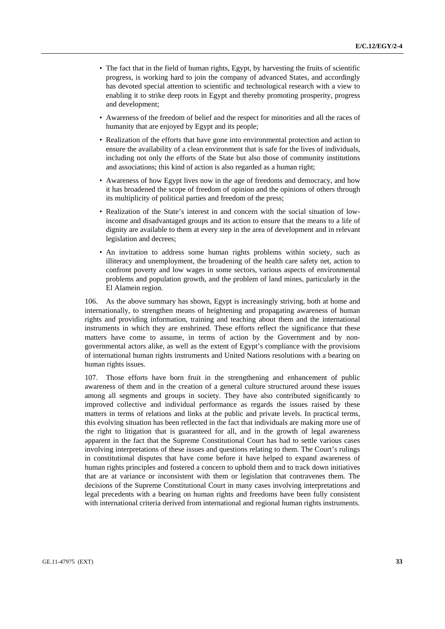- The fact that in the field of human rights, Egypt, by harvesting the fruits of scientific progress, is working hard to join the company of advanced States, and accordingly has devoted special attention to scientific and technological research with a view to enabling it to strike deep roots in Egypt and thereby promoting prosperity, progress and development;
- Awareness of the freedom of belief and the respect for minorities and all the races of humanity that are enjoyed by Egypt and its people;
- Realization of the efforts that have gone into environmental protection and action to ensure the availability of a clean environment that is safe for the lives of individuals, including not only the efforts of the State but also those of community institutions and associations; this kind of action is also regarded as a human right;
- Awareness of how Egypt lives now in the age of freedoms and democracy, and how it has broadened the scope of freedom of opinion and the opinions of others through its multiplicity of political parties and freedom of the press;
- Realization of the State's interest in and concern with the social situation of lowincome and disadvantaged groups and its action to ensure that the means to a life of dignity are available to them at every step in the area of development and in relevant legislation and decrees;
- An invitation to address some human rights problems within society, such as illiteracy and unemployment, the broadening of the health care safety net, action to confront poverty and low wages in some sectors, various aspects of environmental problems and population growth, and the problem of land mines, particularly in the El Alamein region.

As the above summary has shown, Egypt is increasingly striving, both at home and internationally, to strengthen means of heightening and propagating awareness of human rights and providing information, training and teaching about them and the international instruments in which they are enshrined. These efforts reflect the significance that these matters have come to assume, in terms of action by the Government and by nongovernmental actors alike, as well as the extent of Egypt's compliance with the provisions of international human rights instruments and United Nations resolutions with a bearing on human rights issues.

107. Those efforts have born fruit in the strengthening and enhancement of public awareness of them and in the creation of a general culture structured around these issues among all segments and groups in society. They have also contributed significantly to improved collective and individual performance as regards the issues raised by these matters in terms of relations and links at the public and private levels. In practical terms, this evolving situation has been reflected in the fact that individuals are making more use of the right to litigation that is guaranteed for all, and in the growth of legal awareness apparent in the fact that the Supreme Constitutional Court has had to settle various cases involving interpretations of these issues and questions relating to them. The Court's rulings in constitutional disputes that have come before it have helped to expand awareness of human rights principles and fostered a concern to uphold them and to track down initiatives that are at variance or inconsistent with them or legislation that contravenes them. The decisions of the Supreme Constitutional Court in many cases involving interpretations and legal precedents with a bearing on human rights and freedoms have been fully consistent with international criteria derived from international and regional human rights instruments.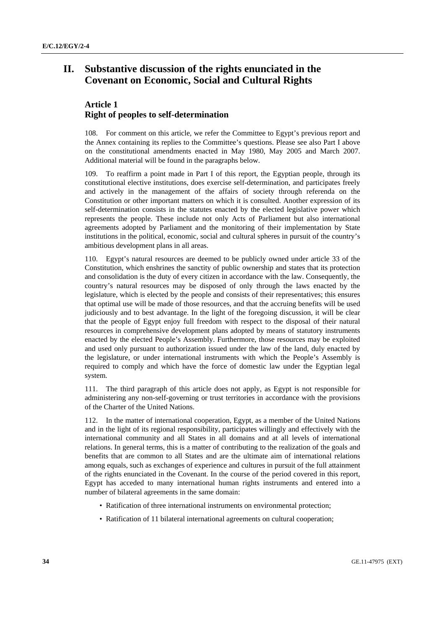# **II. Substantive discussion of the rights enunciated in the Covenant on Economic, Social and Cultural Rights**

# **Article 1 Right of peoples to self-determination**

108. For comment on this article, we refer the Committee to Egypt's previous report and the Annex containing its replies to the Committee's questions. Please see also Part I above on the constitutional amendments enacted in May 1980, May 2005 and March 2007. Additional material will be found in the paragraphs below.

109. To reaffirm a point made in Part I of this report, the Egyptian people, through its constitutional elective institutions, does exercise self-determination, and participates freely and actively in the management of the affairs of society through referenda on the Constitution or other important matters on which it is consulted. Another expression of its self-determination consists in the statutes enacted by the elected legislative power which represents the people. These include not only Acts of Parliament but also international agreements adopted by Parliament and the monitoring of their implementation by State institutions in the political, economic, social and cultural spheres in pursuit of the country's ambitious development plans in all areas.

110. Egypt's natural resources are deemed to be publicly owned under article 33 of the Constitution, which enshrines the sanctity of public ownership and states that its protection and consolidation is the duty of every citizen in accordance with the law. Consequently, the country's natural resources may be disposed of only through the laws enacted by the legislature, which is elected by the people and consists of their representatives; this ensures that optimal use will be made of those resources, and that the accruing benefits will be used judiciously and to best advantage. In the light of the foregoing discussion, it will be clear that the people of Egypt enjoy full freedom with respect to the disposal of their natural resources in comprehensive development plans adopted by means of statutory instruments enacted by the elected People's Assembly. Furthermore, those resources may be exploited and used only pursuant to authorization issued under the law of the land, duly enacted by the legislature, or under international instruments with which the People's Assembly is required to comply and which have the force of domestic law under the Egyptian legal system.

111. The third paragraph of this article does not apply, as Egypt is not responsible for administering any non-self-governing or trust territories in accordance with the provisions of the Charter of the United Nations.

112. In the matter of international cooperation, Egypt, as a member of the United Nations and in the light of its regional responsibility, participates willingly and effectively with the international community and all States in all domains and at all levels of international relations. In general terms, this is a matter of contributing to the realization of the goals and benefits that are common to all States and are the ultimate aim of international relations among equals, such as exchanges of experience and cultures in pursuit of the full attainment of the rights enunciated in the Covenant. In the course of the period covered in this report, Egypt has acceded to many international human rights instruments and entered into a number of bilateral agreements in the same domain:

- Ratification of three international instruments on environmental protection;
- Ratification of 11 bilateral international agreements on cultural cooperation;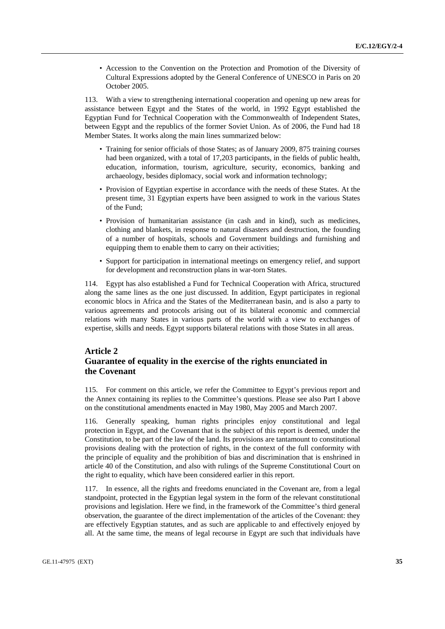• Accession to the Convention on the Protection and Promotion of the Diversity of Cultural Expressions adopted by the General Conference of UNESCO in Paris on 20 October 2005.

113. With a view to strengthening international cooperation and opening up new areas for assistance between Egypt and the States of the world, in 1992 Egypt established the Egyptian Fund for Technical Cooperation with the Commonwealth of Independent States, between Egypt and the republics of the former Soviet Union. As of 2006, the Fund had 18 Member States. It works along the main lines summarized below:

- Training for senior officials of those States; as of January 2009, 875 training courses had been organized, with a total of 17,203 participants, in the fields of public health, education, information, tourism, agriculture, security, economics, banking and archaeology, besides diplomacy, social work and information technology;
- Provision of Egyptian expertise in accordance with the needs of these States. At the present time, 31 Egyptian experts have been assigned to work in the various States of the Fund;
- Provision of humanitarian assistance (in cash and in kind), such as medicines, clothing and blankets, in response to natural disasters and destruction, the founding of a number of hospitals, schools and Government buildings and furnishing and equipping them to enable them to carry on their activities;
- Support for participation in international meetings on emergency relief, and support for development and reconstruction plans in war-torn States.

114. Egypt has also established a Fund for Technical Cooperation with Africa, structured along the same lines as the one just discussed. In addition, Egypt participates in regional economic blocs in Africa and the States of the Mediterranean basin, and is also a party to various agreements and protocols arising out of its bilateral economic and commercial relations with many States in various parts of the world with a view to exchanges of expertise, skills and needs. Egypt supports bilateral relations with those States in all areas.

# **Article 2 Guarantee of equality in the exercise of the rights enunciated in the Covenant**

115. For comment on this article, we refer the Committee to Egypt's previous report and the Annex containing its replies to the Committee's questions. Please see also Part I above on the constitutional amendments enacted in May 1980, May 2005 and March 2007.

116. Generally speaking, human rights principles enjoy constitutional and legal protection in Egypt, and the Covenant that is the subject of this report is deemed, under the Constitution, to be part of the law of the land. Its provisions are tantamount to constitutional provisions dealing with the protection of rights, in the context of the full conformity with the principle of equality and the prohibition of bias and discrimination that is enshrined in article 40 of the Constitution, and also with rulings of the Supreme Constitutional Court on the right to equality, which have been considered earlier in this report.

117. In essence, all the rights and freedoms enunciated in the Covenant are, from a legal standpoint, protected in the Egyptian legal system in the form of the relevant constitutional provisions and legislation. Here we find, in the framework of the Committee's third general observation, the guarantee of the direct implementation of the articles of the Covenant: they are effectively Egyptian statutes, and as such are applicable to and effectively enjoyed by all. At the same time, the means of legal recourse in Egypt are such that individuals have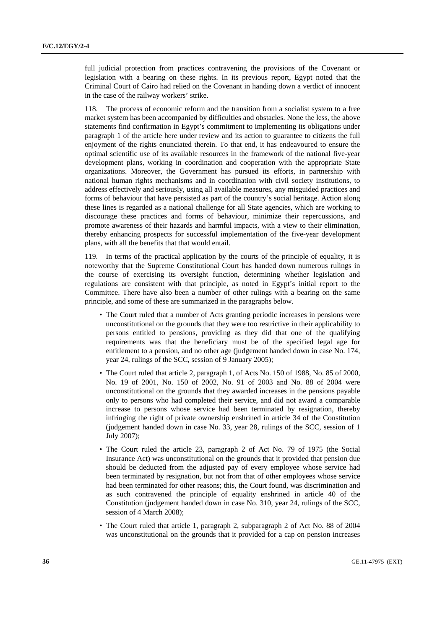full judicial protection from practices contravening the provisions of the Covenant or legislation with a bearing on these rights. In its previous report, Egypt noted that the Criminal Court of Cairo had relied on the Covenant in handing down a verdict of innocent in the case of the railway workers' strike.

118. The process of economic reform and the transition from a socialist system to a free market system has been accompanied by difficulties and obstacles. None the less, the above statements find confirmation in Egypt's commitment to implementing its obligations under paragraph 1 of the article here under review and its action to guarantee to citizens the full enjoyment of the rights enunciated therein. To that end, it has endeavoured to ensure the optimal scientific use of its available resources in the framework of the national five-year development plans, working in coordination and cooperation with the appropriate State organizations. Moreover, the Government has pursued its efforts, in partnership with national human rights mechanisms and in coordination with civil society institutions, to address effectively and seriously, using all available measures, any misguided practices and forms of behaviour that have persisted as part of the country's social heritage. Action along these lines is regarded as a national challenge for all State agencies, which are working to discourage these practices and forms of behaviour, minimize their repercussions, and promote awareness of their hazards and harmful impacts, with a view to their elimination, thereby enhancing prospects for successful implementation of the five-year development plans, with all the benefits that that would entail.

119. In terms of the practical application by the courts of the principle of equality, it is noteworthy that the Supreme Constitutional Court has handed down numerous rulings in the course of exercising its oversight function, determining whether legislation and regulations are consistent with that principle, as noted in Egypt's initial report to the Committee. There have also been a number of other rulings with a bearing on the same principle, and some of these are summarized in the paragraphs below.

- The Court ruled that a number of Acts granting periodic increases in pensions were unconstitutional on the grounds that they were too restrictive in their applicability to persons entitled to pensions, providing as they did that one of the qualifying requirements was that the beneficiary must be of the specified legal age for entitlement to a pension, and no other age (judgement handed down in case No. 174, year 24, rulings of the SCC, session of 9 January 2005);
- The Court ruled that article 2, paragraph 1, of Acts No. 150 of 1988, No. 85 of 2000, No. 19 of 2001, No. 150 of 2002, No. 91 of 2003 and No. 88 of 2004 were unconstitutional on the grounds that they awarded increases in the pensions payable only to persons who had completed their service, and did not award a comparable increase to persons whose service had been terminated by resignation, thereby infringing the right of private ownership enshrined in article 34 of the Constitution (judgement handed down in case No. 33, year 28, rulings of the SCC, session of 1 July 2007);
- The Court ruled the article 23, paragraph 2 of Act No. 79 of 1975 (the Social Insurance Act) was unconstitutional on the grounds that it provided that pension due should be deducted from the adjusted pay of every employee whose service had been terminated by resignation, but not from that of other employees whose service had been terminated for other reasons; this, the Court found, was discrimination and as such contravened the principle of equality enshrined in article 40 of the Constitution (judgement handed down in case No. 310, year 24, rulings of the SCC, session of 4 March 2008);
- The Court ruled that article 1, paragraph 2, subparagraph 2 of Act No. 88 of 2004 was unconstitutional on the grounds that it provided for a cap on pension increases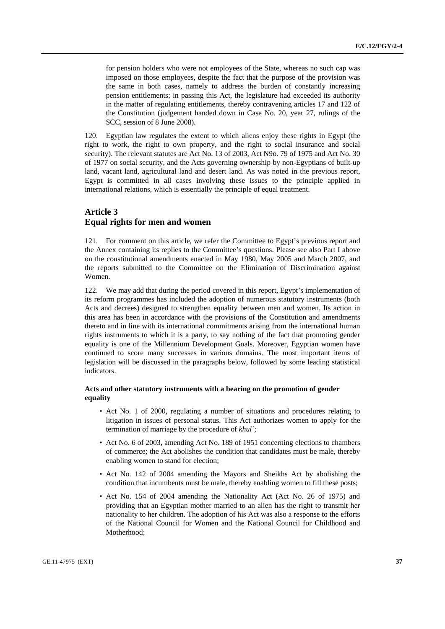for pension holders who were not employees of the State, whereas no such cap was imposed on those employees, despite the fact that the purpose of the provision was the same in both cases, namely to address the burden of constantly increasing pension entitlements; in passing this Act, the legislature had exceeded its authority in the matter of regulating entitlements, thereby contravening articles 17 and 122 of the Constitution (judgement handed down in Case No. 20, year 27, rulings of the SCC, session of 8 June 2008).

120. Egyptian law regulates the extent to which aliens enjoy these rights in Egypt (the right to work, the right to own property, and the right to social insurance and social security). The relevant statutes are Act No. 13 of 2003, Act N9o. 79 of 1975 and Act No. 30 of 1977 on social security, and the Acts governing ownership by non-Egyptians of built-up land, vacant land, agricultural land and desert land. As was noted in the previous report, Egypt is committed in all cases involving these issues to the principle applied in international relations, which is essentially the principle of equal treatment.

# **Article 3 Equal rights for men and women**

121. For comment on this article, we refer the Committee to Egypt's previous report and the Annex containing its replies to the Committee's questions. Please see also Part I above on the constitutional amendments enacted in May 1980, May 2005 and March 2007, and the reports submitted to the Committee on the Elimination of Discrimination against Women.

122. We may add that during the period covered in this report, Egypt's implementation of its reform programmes has included the adoption of numerous statutory instruments (both Acts and decrees) designed to strengthen equality between men and women. Its action in this area has been in accordance with the provisions of the Constitution and amendments thereto and in line with its international commitments arising from the international human rights instruments to which it is a party, to say nothing of the fact that promoting gender equality is one of the Millennium Development Goals. Moreover, Egyptian women have continued to score many successes in various domains. The most important items of legislation will be discussed in the paragraphs below, followed by some leading statistical indicators.

# **Acts and other statutory instruments with a bearing on the promotion of gender equality**

- Act No. 1 of 2000, regulating a number of situations and procedures relating to litigation in issues of personal status. This Act authorizes women to apply for the termination of marriage by the procedure of *khul`;*
- Act No. 6 of 2003, amending Act No. 189 of 1951 concerning elections to chambers of commerce; the Act abolishes the condition that candidates must be male, thereby enabling women to stand for election;
- Act No. 142 of 2004 amending the Mayors and Sheikhs Act by abolishing the condition that incumbents must be male, thereby enabling women to fill these posts;
- Act No. 154 of 2004 amending the Nationality Act (Act No. 26 of 1975) and providing that an Egyptian mother married to an alien has the right to transmit her nationality to her children. The adoption of his Act was also a response to the efforts of the National Council for Women and the National Council for Childhood and Motherhood;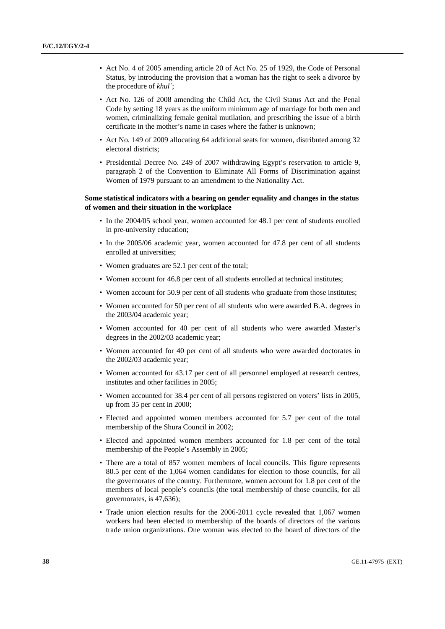- Act No. 4 of 2005 amending article 20 of Act No. 25 of 1929, the Code of Personal Status, by introducing the provision that a woman has the right to seek a divorce by the procedure of *khul`*;
- Act No. 126 of 2008 amending the Child Act, the Civil Status Act and the Penal Code by setting 18 years as the uniform minimum age of marriage for both men and women, criminalizing female genital mutilation, and prescribing the issue of a birth certificate in the mother's name in cases where the father is unknown;
- Act No. 149 of 2009 allocating 64 additional seats for women, distributed among 32 electoral districts;
- Presidential Decree No. 249 of 2007 withdrawing Egypt's reservation to article 9, paragraph 2 of the Convention to Eliminate All Forms of Discrimination against Women of 1979 pursuant to an amendment to the Nationality Act.

# **Some statistical indicators with a bearing on gender equality and changes in the status of women and their situation in the workplace**

- In the 2004/05 school year, women accounted for 48.1 per cent of students enrolled in pre-university education;
- In the 2005/06 academic year, women accounted for 47.8 per cent of all students enrolled at universities;
- Women graduates are 52.1 per cent of the total;
- Women account for 46.8 per cent of all students enrolled at technical institutes;
- Women account for 50.9 per cent of all students who graduate from those institutes;
- Women accounted for 50 per cent of all students who were awarded B.A. degrees in the 2003/04 academic year;
- Women accounted for 40 per cent of all students who were awarded Master's degrees in the 2002/03 academic year;
- Women accounted for 40 per cent of all students who were awarded doctorates in the 2002/03 academic year;
- Women accounted for 43.17 per cent of all personnel employed at research centres, institutes and other facilities in 2005;
- Women accounted for 38.4 per cent of all persons registered on voters' lists in 2005, up from 35 per cent in 2000;
- Elected and appointed women members accounted for 5.7 per cent of the total membership of the Shura Council in 2002;
- Elected and appointed women members accounted for 1.8 per cent of the total membership of the People's Assembly in 2005;
- There are a total of 857 women members of local councils. This figure represents 80.5 per cent of the 1,064 women candidates for election to those councils, for all the governorates of the country. Furthermore, women account for 1.8 per cent of the members of local people's councils (the total membership of those councils, for all governorates, is 47,636);
- Trade union election results for the 2006-2011 cycle revealed that 1,067 women workers had been elected to membership of the boards of directors of the various trade union organizations. One woman was elected to the board of directors of the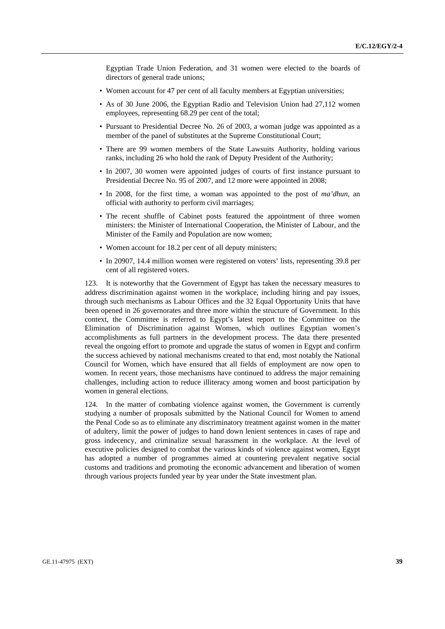Egyptian Trade Union Federation, and 31 women were elected to the boards of directors of general trade unions;

- Women account for 47 per cent of all faculty members at Egyptian universities;
- As of 30 June 2006, the Egyptian Radio and Television Union had 27,112 women employees, representing 68.29 per cent of the total;
- Pursuant to Presidential Decree No. 26 of 2003, a woman judge was appointed as a member of the panel of substitutes at the Supreme Constitutional Court;
- There are 99 women members of the State Lawsuits Authority, holding various ranks, including 26 who hold the rank of Deputy President of the Authority;
- In 2007, 30 women were appointed judges of courts of first instance pursuant to Presidential Decree No. 95 of 2007, and 12 more were appointed in 2008;
- In 2008, for the first time, a woman was appointed to the post of *ma'dhun*, an official with authority to perform civil marriages;
- The recent shuffle of Cabinet posts featured the appointment of three women ministers: the Minister of International Cooperation, the Minister of Labour, and the Minister of the Family and Population are now women;
- Women account for 18.2 per cent of all deputy ministers;
- In 20907, 14.4 million women were registered on voters' lists, representing 39.8 per cent of all registered voters.

123. It is noteworthy that the Government of Egypt has taken the necessary measures to address discrimination against women in the workplace, including hiring and pay issues, through such mechanisms as Labour Offices and the 32 Equal Opportunity Units that have been opened in 26 governorates and three more within the structure of Government. In this context, the Committee is referred to Egypt's latest report to the Committee on the Elimination of Discrimination against Women, which outlines Egyptian women's accomplishments as full partners in the development process. The data there presented reveal the ongoing effort to promote and upgrade the status of women in Egypt and confirm the success achieved by national mechanisms created to that end, most notably the National Council for Women, which have ensured that all fields of employment are now open to women. In recent years, those mechanisms have continued to address the major remaining challenges, including action to reduce illiteracy among women and boost participation by women in general elections.

124. In the matter of combating violence against women, the Government is currently studying a number of proposals submitted by the National Council for Women to amend the Penal Code so as to eliminate any discriminatory treatment against women in the matter of adultery, limit the power of judges to hand down lenient sentences in cases of rape and gross indecency, and criminalize sexual harassment in the workplace. At the level of executive policies designed to combat the various kinds of violence against women, Egypt has adopted a number of programmes aimed at countering prevalent negative social customs and traditions and promoting the economic advancement and liberation of women through various projects funded year by year under the State investment plan.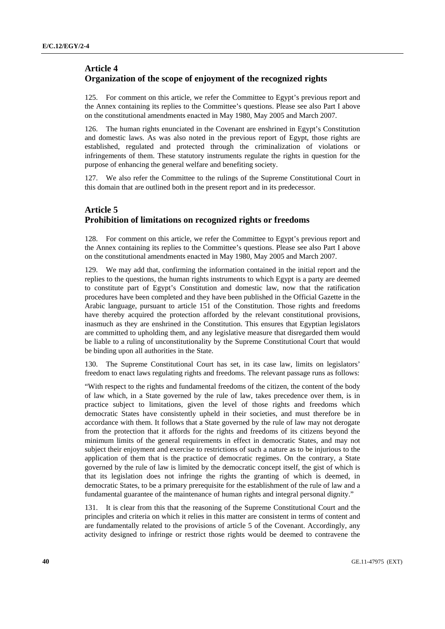# **Article 4 Organization of the scope of enjoyment of the recognized rights**

125. For comment on this article, we refer the Committee to Egypt's previous report and the Annex containing its replies to the Committee's questions. Please see also Part I above on the constitutional amendments enacted in May 1980, May 2005 and March 2007.

126. The human rights enunciated in the Covenant are enshrined in Egypt's Constitution and domestic laws. As was also noted in the previous report of Egypt, those rights are established, regulated and protected through the criminalization of violations or infringements of them. These statutory instruments regulate the rights in question for the purpose of enhancing the general welfare and benefiting society.

127. We also refer the Committee to the rulings of the Supreme Constitutional Court in this domain that are outlined both in the present report and in its predecessor.

# **Article 5 Prohibition of limitations on recognized rights or freedoms**

128. For comment on this article, we refer the Committee to Egypt's previous report and the Annex containing its replies to the Committee's questions. Please see also Part I above on the constitutional amendments enacted in May 1980, May 2005 and March 2007.

129. We may add that, confirming the information contained in the initial report and the replies to the questions, the human rights instruments to which Egypt is a party are deemed to constitute part of Egypt's Constitution and domestic law, now that the ratification procedures have been completed and they have been published in the Official Gazette in the Arabic language, pursuant to article 151 of the Constitution. Those rights and freedoms have thereby acquired the protection afforded by the relevant constitutional provisions, inasmuch as they are enshrined in the Constitution. This ensures that Egyptian legislators are committed to upholding them, and any legislative measure that disregarded them would be liable to a ruling of unconstitutionality by the Supreme Constitutional Court that would be binding upon all authorities in the State.

130. The Supreme Constitutional Court has set, in its case law, limits on legislators' freedom to enact laws regulating rights and freedoms. The relevant passage runs as follows:

"With respect to the rights and fundamental freedoms of the citizen, the content of the body of law which, in a State governed by the rule of law, takes precedence over them, is in practice subject to limitations, given the level of those rights and freedoms which democratic States have consistently upheld in their societies, and must therefore be in accordance with them. It follows that a State governed by the rule of law may not derogate from the protection that it affords for the rights and freedoms of its citizens beyond the minimum limits of the general requirements in effect in democratic States, and may not subject their enjoyment and exercise to restrictions of such a nature as to be injurious to the application of them that is the practice of democratic regimes. On the contrary, a State governed by the rule of law is limited by the democratic concept itself, the gist of which is that its legislation does not infringe the rights the granting of which is deemed, in democratic States, to be a primary prerequisite for the establishment of the rule of law and a fundamental guarantee of the maintenance of human rights and integral personal dignity."

131. It is clear from this that the reasoning of the Supreme Constitutional Court and the principles and criteria on which it relies in this matter are consistent in terms of content and are fundamentally related to the provisions of article 5 of the Covenant. Accordingly, any activity designed to infringe or restrict those rights would be deemed to contravene the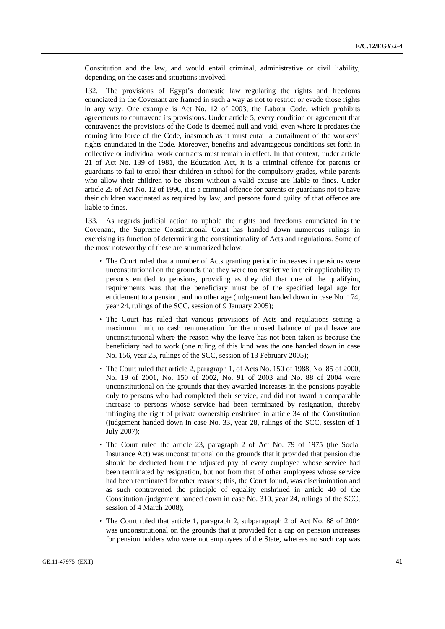Constitution and the law, and would entail criminal, administrative or civil liability, depending on the cases and situations involved.

132. The provisions of Egypt's domestic law regulating the rights and freedoms enunciated in the Covenant are framed in such a way as not to restrict or evade those rights in any way. One example is Act No. 12 of 2003, the Labour Code, which prohibits agreements to contravene its provisions. Under article 5, every condition or agreement that contravenes the provisions of the Code is deemed null and void, even where it predates the coming into force of the Code, inasmuch as it must entail a curtailment of the workers' rights enunciated in the Code. Moreover, benefits and advantageous conditions set forth in collective or individual work contracts must remain in effect. In that context, under article 21 of Act No. 139 of 1981, the Education Act, it is a criminal offence for parents or guardians to fail to enrol their children in school for the compulsory grades, while parents who allow their children to be absent without a valid excuse are liable to fines. Under article 25 of Act No. 12 of 1996, it is a criminal offence for parents or guardians not to have their children vaccinated as required by law, and persons found guilty of that offence are liable to fines.

133. As regards judicial action to uphold the rights and freedoms enunciated in the Covenant, the Supreme Constitutional Court has handed down numerous rulings in exercising its function of determining the constitutionality of Acts and regulations. Some of the most noteworthy of these are summarized below.

- The Court ruled that a number of Acts granting periodic increases in pensions were unconstitutional on the grounds that they were too restrictive in their applicability to persons entitled to pensions, providing as they did that one of the qualifying requirements was that the beneficiary must be of the specified legal age for entitlement to a pension, and no other age (judgement handed down in case No. 174, year 24, rulings of the SCC, session of 9 January 2005);
- The Court has ruled that various provisions of Acts and regulations setting a maximum limit to cash remuneration for the unused balance of paid leave are unconstitutional where the reason why the leave has not been taken is because the beneficiary had to work (one ruling of this kind was the one handed down in case No. 156, year 25, rulings of the SCC, session of 13 February 2005);
- The Court ruled that article 2, paragraph 1, of Acts No. 150 of 1988, No. 85 of 2000, No. 19 of 2001, No. 150 of 2002, No. 91 of 2003 and No. 88 of 2004 were unconstitutional on the grounds that they awarded increases in the pensions payable only to persons who had completed their service, and did not award a comparable increase to persons whose service had been terminated by resignation, thereby infringing the right of private ownership enshrined in article 34 of the Constitution (judgement handed down in case No. 33, year 28, rulings of the SCC, session of 1 July 2007);
- The Court ruled the article 23, paragraph 2 of Act No. 79 of 1975 (the Social Insurance Act) was unconstitutional on the grounds that it provided that pension due should be deducted from the adjusted pay of every employee whose service had been terminated by resignation, but not from that of other employees whose service had been terminated for other reasons; this, the Court found, was discrimination and as such contravened the principle of equality enshrined in article 40 of the Constitution (judgement handed down in case No. 310, year 24, rulings of the SCC, session of 4 March 2008);
- The Court ruled that article 1, paragraph 2, subparagraph 2 of Act No. 88 of 2004 was unconstitutional on the grounds that it provided for a cap on pension increases for pension holders who were not employees of the State, whereas no such cap was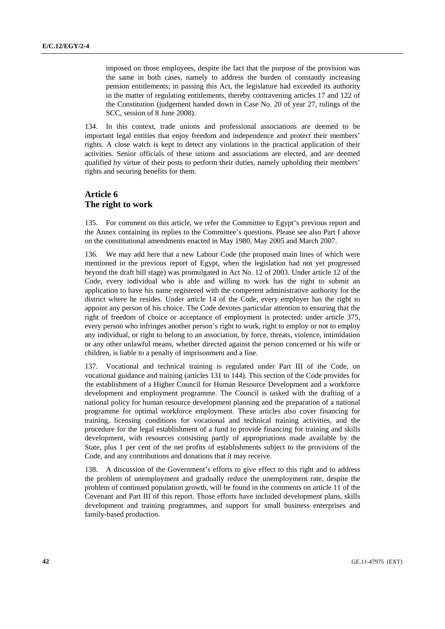imposed on those employees, despite the fact that the purpose of the provision was the same in both cases, namely to address the burden of constantly increasing pension entitlements; in passing this Act, the legislature had exceeded its authority in the matter of regulating entitlements, thereby contravening articles 17 and 122 of the Constitution (judgement handed down in Case No. 20 of year 27, rulings of the SCC, session of 8 June 2008).

134. In this context, trade unions and professional associations are deemed to be important legal entities that enjoy freedom and independence and protect their members' rights. A close watch is kept to detect any violations in the practical application of their activities. Senior officials of these unions and associations are elected, and are deemed qualified by virtue of their posts to perform their duties, namely upholding their members' rights and securing benefits for them.

# **Article 6 The right to work**

135. For comment on this article, we refer the Committee to Egypt's previous report and the Annex containing its replies to the Committee's questions. Please see also Part I above on the constitutional amendments enacted in May 1980, May 2005 and March 2007.

136. We may add here that a new Labour Code (the proposed main lines of which were mentioned in the previous report of Egypt, when the legislation had not yet progressed beyond the draft bill stage) was promulgated in Act No. 12 of 2003. Under article 12 of the Code, every individual who is able and willing to work has the right to submit an application to have his name registered with the competent administrative authority for the district where he resides. Under article 14 of the Code, every employer has the right to appoint any person of his choice. The Code devotes particular attention to ensuring that the right of freedom of choice or acceptance of employment is protected: under article 375, every person who infringes another person's right to work, right to employ or not to employ any individual, or right to belong to an association, by force, threats, violence, intimidation or any other unlawful means, whether directed against the person concerned or his wife or children, is liable to a penalty of imprisonment and a fine.

137. Vocational and technical training is regulated under Part III of the Code, on vocational guidance and training (articles 131 to 144). This section of the Code provides for the establishment of a Higher Council for Human Resource Development and a workforce development and employment programme. The Council is tasked with the drafting of a national policy for human resource development planning and the preparation of a national programme for optimal workforce employment. These articles also cover financing for training, licensing conditions for vocational and technical training activities, and the procedure for the legal establishment of a fund to provide financing for training and skills development, with resources consisting partly of appropriations made available by the State, plus 1 per cent of the net profits of establishments subject to the provisions of the Code, and any contributions and donations that it may receive.

138. A discussion of the Government's efforts to give effect to this right and to address the problem of unemployment and gradually reduce the unemployment rate, despite the problem of continued population growth, will be found in the comments on article 11 of the Covenant and Part III of this report. Those efforts have included development plans, skills development and training programmes, and support for small business enterprises and family-based production.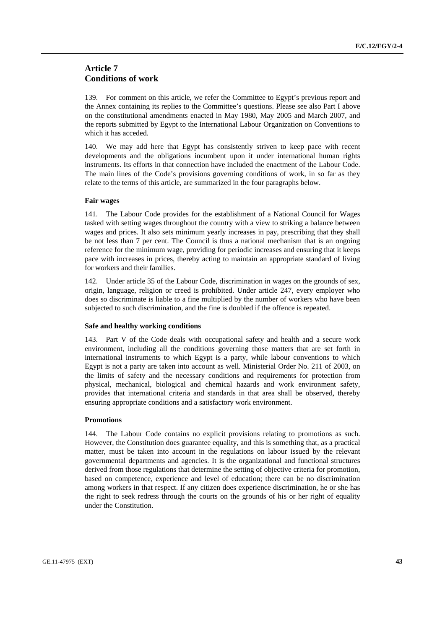# **Article 7 Conditions of work**

139. For comment on this article, we refer the Committee to Egypt's previous report and the Annex containing its replies to the Committee's questions. Please see also Part I above on the constitutional amendments enacted in May 1980, May 2005 and March 2007, and the reports submitted by Egypt to the International Labour Organization on Conventions to which it has acceded.

140. We may add here that Egypt has consistently striven to keep pace with recent developments and the obligations incumbent upon it under international human rights instruments. Its efforts in that connection have included the enactment of the Labour Code. The main lines of the Code's provisions governing conditions of work, in so far as they relate to the terms of this article, are summarized in the four paragraphs below.

# **Fair wages**

141. The Labour Code provides for the establishment of a National Council for Wages tasked with setting wages throughout the country with a view to striking a balance between wages and prices. It also sets minimum yearly increases in pay, prescribing that they shall be not less than 7 per cent. The Council is thus a national mechanism that is an ongoing reference for the minimum wage, providing for periodic increases and ensuring that it keeps pace with increases in prices, thereby acting to maintain an appropriate standard of living for workers and their families.

142. Under article 35 of the Labour Code, discrimination in wages on the grounds of sex, origin, language, religion or creed is prohibited. Under article 247, every employer who does so discriminate is liable to a fine multiplied by the number of workers who have been subjected to such discrimination, and the fine is doubled if the offence is repeated.

# **Safe and healthy working conditions**

143. Part V of the Code deals with occupational safety and health and a secure work environment, including all the conditions governing those matters that are set forth in international instruments to which Egypt is a party, while labour conventions to which Egypt is not a party are taken into account as well. Ministerial Order No. 211 of 2003, on the limits of safety and the necessary conditions and requirements for protection from physical, mechanical, biological and chemical hazards and work environment safety, provides that international criteria and standards in that area shall be observed, thereby ensuring appropriate conditions and a satisfactory work environment.

## **Promotions**

144. The Labour Code contains no explicit provisions relating to promotions as such. However, the Constitution does guarantee equality, and this is something that, as a practical matter, must be taken into account in the regulations on labour issued by the relevant governmental departments and agencies. It is the organizational and functional structures derived from those regulations that determine the setting of objective criteria for promotion, based on competence, experience and level of education; there can be no discrimination among workers in that respect. If any citizen does experience discrimination, he or she has the right to seek redress through the courts on the grounds of his or her right of equality under the Constitution.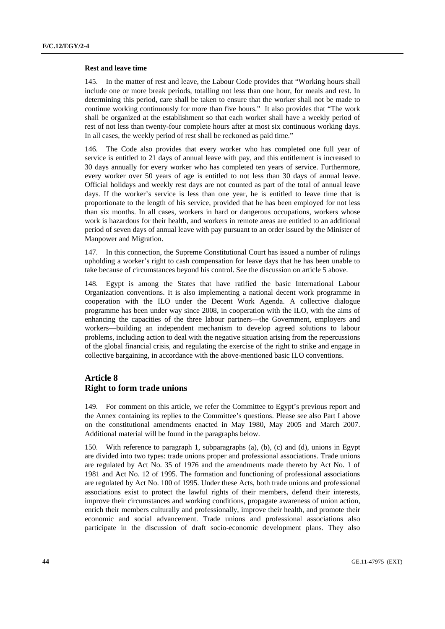#### **Rest and leave time**

145. In the matter of rest and leave, the Labour Code provides that "Working hours shall include one or more break periods, totalling not less than one hour, for meals and rest. In determining this period, care shall be taken to ensure that the worker shall not be made to continue working continuously for more than five hours." It also provides that "The work shall be organized at the establishment so that each worker shall have a weekly period of rest of not less than twenty-four complete hours after at most six continuous working days. In all cases, the weekly period of rest shall be reckoned as paid time."

146. The Code also provides that every worker who has completed one full year of service is entitled to 21 days of annual leave with pay, and this entitlement is increased to 30 days annually for every worker who has completed ten years of service. Furthermore, every worker over 50 years of age is entitled to not less than 30 days of annual leave. Official holidays and weekly rest days are not counted as part of the total of annual leave days. If the worker's service is less than one year, he is entitled to leave time that is proportionate to the length of his service, provided that he has been employed for not less than six months. In all cases, workers in hard or dangerous occupations, workers whose work is hazardous for their health, and workers in remote areas are entitled to an additional period of seven days of annual leave with pay pursuant to an order issued by the Minister of Manpower and Migration.

147. In this connection, the Supreme Constitutional Court has issued a number of rulings upholding a worker's right to cash compensation for leave days that he has been unable to take because of circumstances beyond his control. See the discussion on article 5 above.

148. Egypt is among the States that have ratified the basic International Labour Organization conventions. It is also implementing a national decent work programme in cooperation with the ILO under the Decent Work Agenda. A collective dialogue programme has been under way since 2008, in cooperation with the ILO, with the aims of enhancing the capacities of the three labour partners—the Government, employers and workers—building an independent mechanism to develop agreed solutions to labour problems, including action to deal with the negative situation arising from the repercussions of the global financial crisis, and regulating the exercise of the right to strike and engage in collective bargaining, in accordance with the above-mentioned basic ILO conventions.

# **Article 8 Right to form trade unions**

149. For comment on this article, we refer the Committee to Egypt's previous report and the Annex containing its replies to the Committee's questions. Please see also Part I above on the constitutional amendments enacted in May 1980, May 2005 and March 2007. Additional material will be found in the paragraphs below.

150. With reference to paragraph 1, subparagraphs (a), (b), (c) and (d), unions in Egypt are divided into two types: trade unions proper and professional associations. Trade unions are regulated by Act No. 35 of 1976 and the amendments made thereto by Act No. 1 of 1981 and Act No. 12 of 1995. The formation and functioning of professional associations are regulated by Act No. 100 of 1995. Under these Acts, both trade unions and professional associations exist to protect the lawful rights of their members, defend their interests, improve their circumstances and working conditions, propagate awareness of union action, enrich their members culturally and professionally, improve their health, and promote their economic and social advancement. Trade unions and professional associations also participate in the discussion of draft socio-economic development plans. They also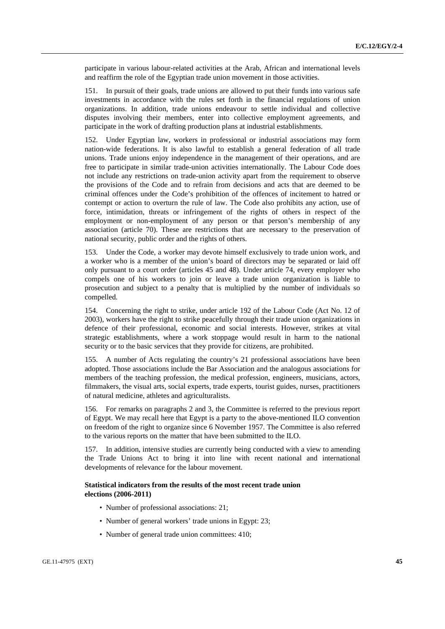participate in various labour-related activities at the Arab, African and international levels and reaffirm the role of the Egyptian trade union movement in those activities.

151. In pursuit of their goals, trade unions are allowed to put their funds into various safe investments in accordance with the rules set forth in the financial regulations of union organizations. In addition, trade unions endeavour to settle individual and collective disputes involving their members, enter into collective employment agreements, and participate in the work of drafting production plans at industrial establishments.

152. Under Egyptian law, workers in professional or industrial associations may form nation-wide federations. It is also lawful to establish a general federation of all trade unions. Trade unions enjoy independence in the management of their operations, and are free to participate in similar trade-union activities internationally. The Labour Code does not include any restrictions on trade-union activity apart from the requirement to observe the provisions of the Code and to refrain from decisions and acts that are deemed to be criminal offences under the Code's prohibition of the offences of incitement to hatred or contempt or action to overturn the rule of law. The Code also prohibits any action, use of force, intimidation, threats or infringement of the rights of others in respect of the employment or non-employment of any person or that person's membership of any association (article 70). These are restrictions that are necessary to the preservation of national security, public order and the rights of others.

153. Under the Code, a worker may devote himself exclusively to trade union work, and a worker who is a member of the union's board of directors may be separated or laid off only pursuant to a court order (articles 45 and 48). Under article 74, every employer who compels one of his workers to join or leave a trade union organization is liable to prosecution and subject to a penalty that is multiplied by the number of individuals so compelled.

154. Concerning the right to strike, under article 192 of the Labour Code (Act No. 12 of 2003), workers have the right to strike peacefully through their trade union organizations in defence of their professional, economic and social interests. However, strikes at vital strategic establishments, where a work stoppage would result in harm to the national security or to the basic services that they provide for citizens, are prohibited.

155. A number of Acts regulating the country's 21 professional associations have been adopted. Those associations include the Bar Association and the analogous associations for members of the teaching profession, the medical profession, engineers, musicians, actors, filmmakers, the visual arts, social experts, trade experts, tourist guides, nurses, practitioners of natural medicine, athletes and agriculturalists.

156. For remarks on paragraphs 2 and 3, the Committee is referred to the previous report of Egypt. We may recall here that Egypt is a party to the above-mentioned ILO convention on freedom of the right to organize since 6 November 1957. The Committee is also referred to the various reports on the matter that have been submitted to the ILO.

157. In addition, intensive studies are currently being conducted with a view to amending the Trade Unions Act to bring it into line with recent national and international developments of relevance for the labour movement.

# **Statistical indicators from the results of the most recent trade union elections (2006-2011)**

- Number of professional associations: 21;
- Number of general workers' trade unions in Egypt: 23;
- Number of general trade union committees: 410;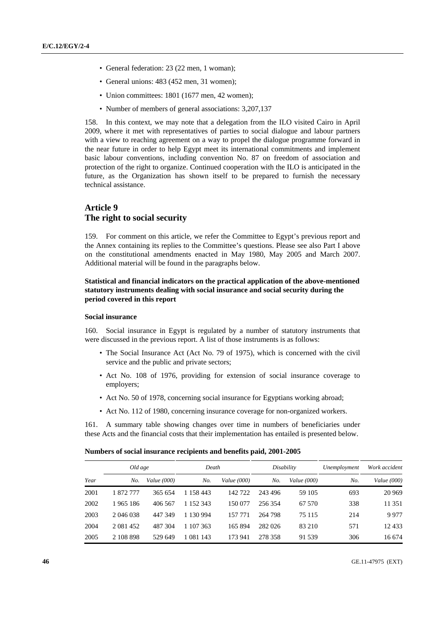- General federation: 23 (22 men, 1 woman);
- General unions: 483 (452 men, 31 women);
- Union committees: 1801 (1677 men, 42 women);
- Number of members of general associations: 3,207,137

158. In this context, we may note that a delegation from the ILO visited Cairo in April 2009, where it met with representatives of parties to social dialogue and labour partners with a view to reaching agreement on a way to propel the dialogue programme forward in the near future in order to help Egypt meet its international commitments and implement basic labour conventions, including convention No. 87 on freedom of association and protection of the right to organize. Continued cooperation with the ILO is anticipated in the future, as the Organization has shown itself to be prepared to furnish the necessary technical assistance.

# **Article 9 The right to social security**

159. For comment on this article, we refer the Committee to Egypt's previous report and the Annex containing its replies to the Committee's questions. Please see also Part I above on the constitutional amendments enacted in May 1980, May 2005 and March 2007. Additional material will be found in the paragraphs below.

# **Statistical and financial indicators on the practical application of the above-mentioned statutory instruments dealing with social insurance and social security during the period covered in this report**

# **Social insurance**

160. Social insurance in Egypt is regulated by a number of statutory instruments that were discussed in the previous report. A list of those instruments is as follows:

- The Social Insurance Act (Act No. 79 of 1975), which is concerned with the civil service and the public and private sectors;
- Act No. 108 of 1976, providing for extension of social insurance coverage to employers;
- Act No. 50 of 1978, concerning social insurance for Egyptians working abroad;
- Act No. 112 of 1980, concerning insurance coverage for non-organized workers.

161. A summary table showing changes over time in numbers of beneficiaries under these Acts and the financial costs that their implementation has entailed is presented below.

| Numbers of social insurance recipients and benefits paid, 2001-2005 |
|---------------------------------------------------------------------|
|---------------------------------------------------------------------|

| Old age |               |                    | Death     |                    | Disability |                    | Unemployment | Work accident      |  |
|---------|---------------|--------------------|-----------|--------------------|------------|--------------------|--------------|--------------------|--|
| Year    | No.           | <i>Value</i> (000) | No.       | <i>Value</i> (000) | No.        | <i>Value</i> (000) | No.          | <i>Value</i> (000) |  |
| 2001    | 1 872 777     | 365 654            | 1 158 443 | 142 722            | 243 496    | 59 105             | 693          | 20 969             |  |
| 2002    | 1965 186      | 406 567            | 1 152 343 | 150 077            | 256 354    | 67 570             | 338          | 11 351             |  |
| 2003    | 2 046 038     | 447 349            | 1 130 994 | 157 771            | 264 798    | 75 115             | 214          | 9977               |  |
| 2004    | 2 0 8 1 4 5 2 | 487 304            | 1 107 363 | 165 894            | 282 026    | 83 210             | 571          | 12433              |  |
| 2005    | 2 108 898     | 529 649            | 1 081 143 | 173 941            | 278 358    | 91 539             | 306          | 16 674             |  |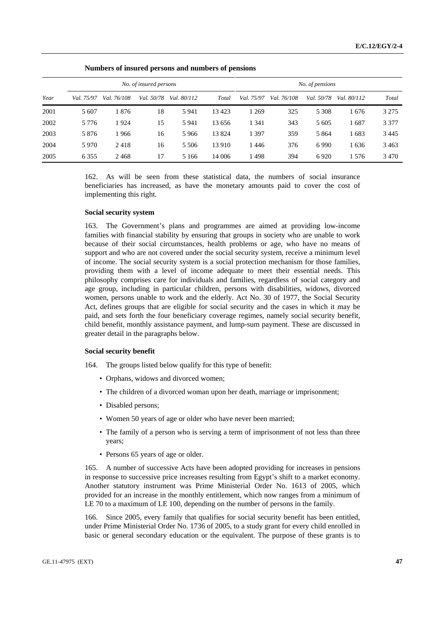| No. of insured persons |            |             |            |             |        |            |             |                 |             |         |
|------------------------|------------|-------------|------------|-------------|--------|------------|-------------|-----------------|-------------|---------|
|                        |            |             |            |             |        |            |             | No. of pensions |             |         |
| Year                   | Val. 75/97 | Val. 76/108 | Val. 50/78 | Val. 80/112 | Total  | Val. 75/97 | Val. 76/108 | Val. 50/78      | Val. 80/112 | Total   |
| 2001                   | 5 607      | 1876        | 18         | 5941        | 13423  | 1 269      | 325         | 5 3 0 8         | 1676        | 3 2 7 5 |
| 2002                   | 5 7 7 6    | 1924        | 15         | 5941        | 13 656 | 1 341      | 343         | 5 605           | 1687        | 3 3 7 7 |
| 2003                   | 5 8 7 6    | 1966        | 16         | 5966        | 13824  | 1 3 9 7    | 359         | 5 8 6 4         | 1683        | 3445    |
| 2004                   | 5970       | 2418        | 16         | 5 5 0 6     | 13 910 | 1446       | 376         | 6990            | 1636        | 3463    |
| 2005                   | 6 3 5 5    | 2468        | 17         | 5 1 6 6     | 14 006 | l 498      | 394         | 6920            | 1576        | 3470    |

 **Numbers of insured persons and numbers of pensions** 

162. As will be seen from these statistical data, the numbers of social insurance beneficiaries has increased, as have the monetary amounts paid to cover the cost of implementing this right.

### **Social security system**

163. The Government's plans and programmes are aimed at providing low-income families with financial stability by ensuring that groups in society who are unable to work because of their social circumstances, health problems or age, who have no means of support and who are not covered under the social security system, receive a minimum level of income. The social security system is a social protection mechanism for those families, providing them with a level of income adequate to meet their essential needs. This philosophy comprises care for individuals and families, regardless of social category and age group, including in particular children, persons with disabilities, widows, divorced women, persons unable to work and the elderly. Act No. 30 of 1977, the Social Security Act, defines groups that are eligible for social security and the cases in which it may be paid, and sets forth the four beneficiary coverage regimes, namely social security benefit, child benefit, monthly assistance payment, and lump-sum payment. These are discussed in greater detail in the paragraphs below.

### **Social security benefit**

164. The groups listed below qualify for this type of benefit:

- Orphans, widows and divorced women;
- The children of a divorced woman upon her death, marriage or imprisonment;
- Disabled persons;
- Women 50 years of age or older who have never been married;
- The family of a person who is serving a term of imprisonment of not less than three years;
- Persons 65 years of age or older.

165. A number of successive Acts have been adopted providing for increases in pensions in response to successive price increases resulting from Egypt's shift to a market economy. Another statutory instrument was Prime Ministerial Order No. 1613 of 2005, which provided for an increase in the monthly entitlement, which now ranges from a minimum of LE 70 to a maximum of LE 100, depending on the number of persons in the family.

166. Since 2005, every family that qualifies for social security benefit has been entitled, under Prime Ministerial Order No. 1736 of 2005, to a study grant for every child enrolled in basic or general secondary education or the equivalent. The purpose of these grants is to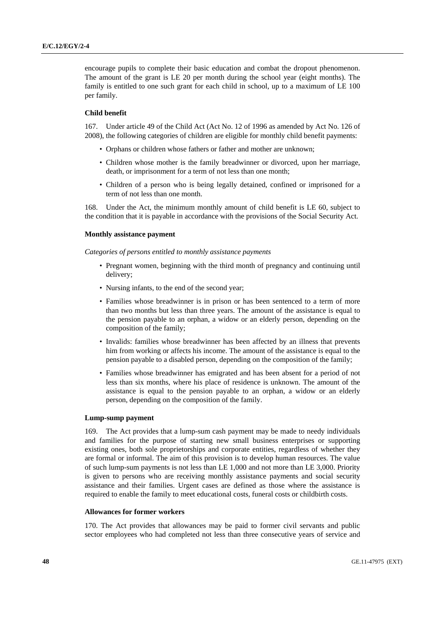encourage pupils to complete their basic education and combat the dropout phenomenon. The amount of the grant is LE 20 per month during the school year (eight months). The family is entitled to one such grant for each child in school, up to a maximum of LE 100 per family.

#### **Child benefit**

167. Under article 49 of the Child Act (Act No. 12 of 1996 as amended by Act No. 126 of 2008), the following categories of children are eligible for monthly child benefit payments:

- Orphans or children whose fathers or father and mother are unknown;
- Children whose mother is the family breadwinner or divorced, upon her marriage, death, or imprisonment for a term of not less than one month;
- Children of a person who is being legally detained, confined or imprisoned for a term of not less than one month.

168. Under the Act, the minimum monthly amount of child benefit is LE 60, subject to the condition that it is payable in accordance with the provisions of the Social Security Act.

### **Monthly assistance payment**

 *Categories of persons entitled to monthly assistance payments* 

- Pregnant women, beginning with the third month of pregnancy and continuing until delivery;
- Nursing infants, to the end of the second year;
- Families whose breadwinner is in prison or has been sentenced to a term of more than two months but less than three years. The amount of the assistance is equal to the pension payable to an orphan, a widow or an elderly person, depending on the composition of the family;
- Invalids: families whose breadwinner has been affected by an illness that prevents him from working or affects his income. The amount of the assistance is equal to the pension payable to a disabled person, depending on the composition of the family;
- Families whose breadwinner has emigrated and has been absent for a period of not less than six months, where his place of residence is unknown. The amount of the assistance is equal to the pension payable to an orphan, a widow or an elderly person, depending on the composition of the family.

### **Lump-sump payment**

169. The Act provides that a lump-sum cash payment may be made to needy individuals and families for the purpose of starting new small business enterprises or supporting existing ones, both sole proprietorships and corporate entities, regardless of whether they are formal or informal. The aim of this provision is to develop human resources. The value of such lump-sum payments is not less than LE 1,000 and not more than LE 3,000. Priority is given to persons who are receiving monthly assistance payments and social security assistance and their families. Urgent cases are defined as those where the assistance is required to enable the family to meet educational costs, funeral costs or childbirth costs.

## **Allowances for former workers**

170. The Act provides that allowances may be paid to former civil servants and public sector employees who had completed not less than three consecutive years of service and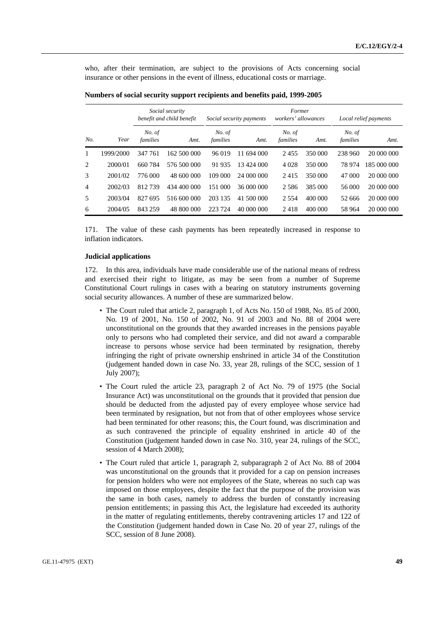who, after their termination, are subject to the provisions of Acts concerning social insurance or other pensions in the event of illness, educational costs or marriage.

|                |           | Social security<br>benefit and child benefit<br>Social security payments |             |                    | Former<br>workers' allowances |                    |         | Local relief payments |             |
|----------------|-----------|--------------------------------------------------------------------------|-------------|--------------------|-------------------------------|--------------------|---------|-----------------------|-------------|
| No.            | Year      | No. of<br>families                                                       | Amt.        | No. of<br>families | Amt.                          | No. of<br>families | Amt.    | No. of<br>families    | Amt.        |
| 1              | 1999/2000 | 347 761                                                                  | 162 500 000 | 96 019             | 11 694 000                    | 2455               | 350 000 | 238 960               | 20 000 000  |
| 2              | 2000/01   | 660784                                                                   | 576 500 000 | 91 935             | 13 424 000                    | 4 0 2 8            | 350 000 | 78 974                | 185 000 000 |
| 3              | 2001/02   | 776 000                                                                  | 48 600 000  | 109 000            | 24 000 000                    | 2415               | 350 000 | 47 000                | 20 000 000  |
| $\overline{4}$ | 2002/03   | 812739                                                                   | 434 400 000 | 151 000            | 36 000 000                    | 2 5 8 6            | 385 000 | 56 000                | 20 000 000  |
| 5              | 2003/04   | 827 695                                                                  | 516 600 000 | 203 135            | 41 500 000                    | 2 5 5 4            | 400 000 | 52 666                | 20 000 000  |
| 6              | 2004/05   | 843 259                                                                  | 48 800 000  | 223 724            | 40 000 000                    | 2418               | 400 000 | 58 964                | 20 000 000  |

| Numbers of social security support recipients and benefits paid, 1999-2005 |  |  |
|----------------------------------------------------------------------------|--|--|
|                                                                            |  |  |

171. The value of these cash payments has been repeatedly increased in response to inflation indicators.

### **Judicial applications**

In this area, individuals have made considerable use of the national means of redress and exercised their right to litigate, as may be seen from a number of Supreme Constitutional Court rulings in cases with a bearing on statutory instruments governing social security allowances. A number of these are summarized below.

- The Court ruled that article 2, paragraph 1, of Acts No. 150 of 1988, No. 85 of 2000, No. 19 of 2001, No. 150 of 2002, No. 91 of 2003 and No. 88 of 2004 were unconstitutional on the grounds that they awarded increases in the pensions payable only to persons who had completed their service, and did not award a comparable increase to persons whose service had been terminated by resignation, thereby infringing the right of private ownership enshrined in article 34 of the Constitution (judgement handed down in case No. 33, year 28, rulings of the SCC, session of 1 July 2007);
- The Court ruled the article 23, paragraph 2 of Act No. 79 of 1975 (the Social Insurance Act) was unconstitutional on the grounds that it provided that pension due should be deducted from the adjusted pay of every employee whose service had been terminated by resignation, but not from that of other employees whose service had been terminated for other reasons; this, the Court found, was discrimination and as such contravened the principle of equality enshrined in article 40 of the Constitution (judgement handed down in case No. 310, year 24, rulings of the SCC, session of 4 March 2008);
- The Court ruled that article 1, paragraph 2, subparagraph 2 of Act No. 88 of 2004 was unconstitutional on the grounds that it provided for a cap on pension increases for pension holders who were not employees of the State, whereas no such cap was imposed on those employees, despite the fact that the purpose of the provision was the same in both cases, namely to address the burden of constantly increasing pension entitlements; in passing this Act, the legislature had exceeded its authority in the matter of regulating entitlements, thereby contravening articles 17 and 122 of the Constitution (judgement handed down in Case No. 20 of year 27, rulings of the SCC, session of 8 June 2008).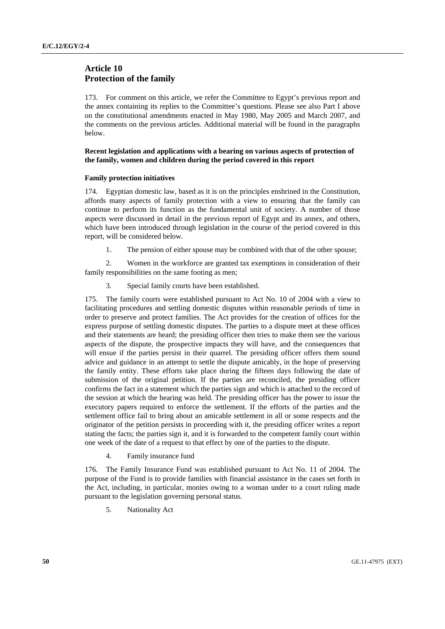# **Article 10 Protection of the family**

173. For comment on this article, we refer the Committee to Egypt's previous report and the annex containing its replies to the Committee's questions. Please see also Part I above on the constitutional amendments enacted in May 1980, May 2005 and March 2007, and the comments on the previous articles. Additional material will be found in the paragraphs below.

# **Recent legislation and applications with a bearing on various aspects of protection of the family, women and children during the period covered in this report**

## **Family protection initiatives**

174. Egyptian domestic law, based as it is on the principles enshrined in the Constitution, affords many aspects of family protection with a view to ensuring that the family can continue to perform its function as the fundamental unit of society. A number of those aspects were discussed in detail in the previous report of Egypt and its annex, and others, which have been introduced through legislation in the course of the period covered in this report, will be considered below.

1. The pension of either spouse may be combined with that of the other spouse;

 2. Women in the workforce are granted tax exemptions in consideration of their family responsibilities on the same footing as men;

3. Special family courts have been established.

175. The family courts were established pursuant to Act No. 10 of 2004 with a view to facilitating procedures and settling domestic disputes within reasonable periods of time in order to preserve and protect families. The Act provides for the creation of offices for the express purpose of settling domestic disputes. The parties to a dispute meet at these offices and their statements are heard; the presiding officer then tries to make them see the various aspects of the dispute, the prospective impacts they will have, and the consequences that will ensue if the parties persist in their quarrel. The presiding officer offers them sound advice and guidance in an attempt to settle the dispute amicably, in the hope of preserving the family entity. These efforts take place during the fifteen days following the date of submission of the original petition. If the parties are reconciled, the presiding officer confirms the fact in a statement which the parties sign and which is attached to the record of the session at which the hearing was held. The presiding officer has the power to issue the executory papers required to enforce the settlement. If the efforts of the parties and the settlement office fail to bring about an amicable settlement in all or some respects and the originator of the petition persists in proceeding with it, the presiding officer writes a report stating the facts; the parties sign it, and it is forwarded to the competent family court within one week of the date of a request to that effect by one of the parties to the dispute.

4. Family insurance fund

176. The Family Insurance Fund was established pursuant to Act No. 11 of 2004. The purpose of the Fund is to provide families with financial assistance in the cases set forth in the Act, including, in particular, monies owing to a woman under to a court ruling made pursuant to the legislation governing personal status.

5. Nationality Act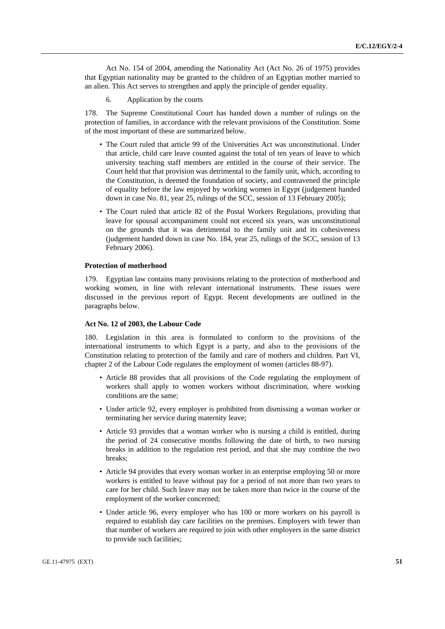Act No. 154 of 2004, amending the Nationality Act (Act No. 26 of 1975) provides that Egyptian nationality may be granted to the children of an Egyptian mother married to an alien. This Act serves to strengthen and apply the principle of gender equality.

6. Application by the courts

178. The Supreme Constitutional Court has handed down a number of rulings on the protection of families, in accordance with the relevant provisions of the Constitution. Some of the most important of these are summarized below.

- The Court ruled that article 99 of the Universities Act was unconstitutional. Under that article, child care leave counted against the total of ten years of leave to which university teaching staff members are entitled in the course of their service. The Court held that that provision was detrimental to the family unit, which, according to the Constitution, is deemed the foundation of society, and contravened the principle of equality before the law enjoyed by working women in Egypt (judgement handed down in case No. 81, year 25, rulings of the SCC, session of 13 February 2005);
- The Court ruled that article 82 of the Postal Workers Regulations, providing that leave for spousal accompaniment could not exceed six years, was unconstitutional on the grounds that it was detrimental to the family unit and its cohesiveness (judgement handed down in case No. 184, year 25, rulings of the SCC, session of 13 February 2006).

## **Protection of motherhood**

179. Egyptian law contains many provisions relating to the protection of motherhood and working women, in line with relevant international instruments. These issues were discussed in the previous report of Egypt. Recent developments are outlined in the paragraphs below.

# **Act No. 12 of 2003, the Labour Code**

180. Legislation in this area is formulated to conform to the provisions of the international instruments to which Egypt is a party, and also to the provisions of the Constitution relating to protection of the family and care of mothers and children. Part VI, chapter 2 of the Labour Code regulates the employment of women (articles 88-97).

- Article 88 provides that all provisions of the Code regulating the employment of workers shall apply to women workers without discrimination, where working conditions are the same;
- Under article 92, every employer is prohibited from dismissing a woman worker or terminating her service during maternity leave;
- Article 93 provides that a woman worker who is nursing a child is entitled, during the period of 24 consecutive months following the date of birth, to two nursing breaks in addition to the regulation rest period, and that she may combine the two breaks;
- Article 94 provides that every woman worker in an enterprise employing 50 or more workers is entitled to leave without pay for a period of not more than two years to care for her child. Such leave may not be taken more than twice in the course of the employment of the worker concerned;
- Under article 96, every employer who has 100 or more workers on his payroll is required to establish day care facilities on the premises. Employers with fewer than that number of workers are required to join with other employers in the same district to provide such facilities;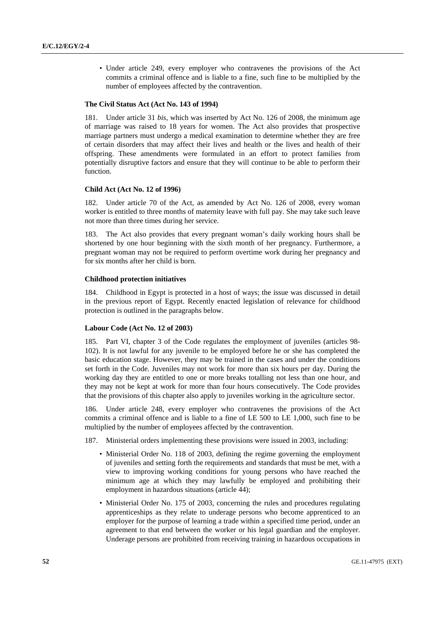• Under article 249, every employer who contravenes the provisions of the Act commits a criminal offence and is liable to a fine, such fine to be multiplied by the number of employees affected by the contravention.

### **The Civil Status Act (Act No. 143 of 1994)**

181. Under article 31 *bis*, which was inserted by Act No. 126 of 2008, the minimum age of marriage was raised to 18 years for women. The Act also provides that prospective marriage partners must undergo a medical examination to determine whether they are free of certain disorders that may affect their lives and health or the lives and health of their offspring. These amendments were formulated in an effort to protect families from potentially disruptive factors and ensure that they will continue to be able to perform their function.

### **Child Act (Act No. 12 of 1996)**

182. Under article 70 of the Act, as amended by Act No. 126 of 2008, every woman worker is entitled to three months of maternity leave with full pay. She may take such leave not more than three times during her service.

183. The Act also provides that every pregnant woman's daily working hours shall be shortened by one hour beginning with the sixth month of her pregnancy. Furthermore, a pregnant woman may not be required to perform overtime work during her pregnancy and for six months after her child is born.

### **Childhood protection initiatives**

184. Childhood in Egypt is protected in a host of ways; the issue was discussed in detail in the previous report of Egypt. Recently enacted legislation of relevance for childhood protection is outlined in the paragraphs below.

## **Labour Code (Act No. 12 of 2003)**

185. Part VI, chapter 3 of the Code regulates the employment of juveniles (articles 98- 102). It is not lawful for any juvenile to be employed before he or she has completed the basic education stage. However, they may be trained in the cases and under the conditions set forth in the Code. Juveniles may not work for more than six hours per day. During the working day they are entitled to one or more breaks totalling not less than one hour, and they may not be kept at work for more than four hours consecutively. The Code provides that the provisions of this chapter also apply to juveniles working in the agriculture sector.

186. Under article 248, every employer who contravenes the provisions of the Act commits a criminal offence and is liable to a fine of LE 500 to LE 1,000, such fine to be multiplied by the number of employees affected by the contravention.

- 187. Ministerial orders implementing these provisions were issued in 2003, including:
	- Ministerial Order No. 118 of 2003, defining the regime governing the employment of juveniles and setting forth the requirements and standards that must be met, with a view to improving working conditions for young persons who have reached the minimum age at which they may lawfully be employed and prohibiting their employment in hazardous situations (article 44);
	- Ministerial Order No. 175 of 2003, concerning the rules and procedures regulating apprenticeships as they relate to underage persons who become apprenticed to an employer for the purpose of learning a trade within a specified time period, under an agreement to that end between the worker or his legal guardian and the employer. Underage persons are prohibited from receiving training in hazardous occupations in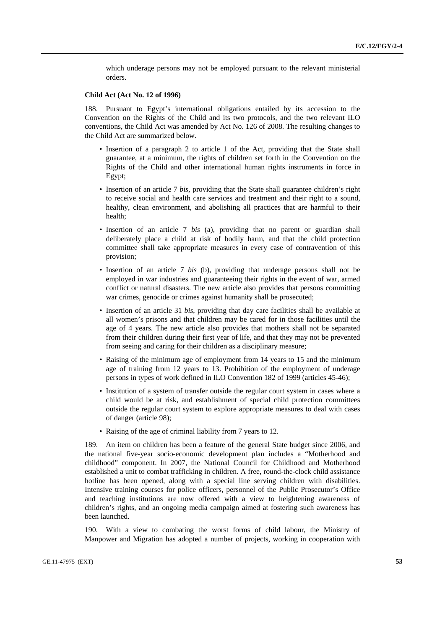which underage persons may not be employed pursuant to the relevant ministerial orders.

### **Child Act (Act No. 12 of 1996)**

188. Pursuant to Egypt's international obligations entailed by its accession to the Convention on the Rights of the Child and its two protocols, and the two relevant ILO conventions, the Child Act was amended by Act No. 126 of 2008. The resulting changes to the Child Act are summarized below.

- Insertion of a paragraph 2 to article 1 of the Act, providing that the State shall guarantee, at a minimum, the rights of children set forth in the Convention on the Rights of the Child and other international human rights instruments in force in Egypt;
- Insertion of an article 7 *bis*, providing that the State shall guarantee children's right to receive social and health care services and treatment and their right to a sound, healthy, clean environment, and abolishing all practices that are harmful to their health;
- Insertion of an article 7 *bis* (a), providing that no parent or guardian shall deliberately place a child at risk of bodily harm, and that the child protection committee shall take appropriate measures in every case of contravention of this provision;
- Insertion of an article 7 *bis* (b), providing that underage persons shall not be employed in war industries and guaranteeing their rights in the event of war, armed conflict or natural disasters. The new article also provides that persons committing war crimes, genocide or crimes against humanity shall be prosecuted;
- Insertion of an article 31 *bis*, providing that day care facilities shall be available at all women's prisons and that children may be cared for in those facilities until the age of 4 years. The new article also provides that mothers shall not be separated from their children during their first year of life, and that they may not be prevented from seeing and caring for their children as a disciplinary measure;
- Raising of the minimum age of employment from 14 years to 15 and the minimum age of training from 12 years to 13. Prohibition of the employment of underage persons in types of work defined in ILO Convention 182 of 1999 (articles 45-46);
- Institution of a system of transfer outside the regular court system in cases where a child would be at risk, and establishment of special child protection committees outside the regular court system to explore appropriate measures to deal with cases of danger (article 98);
- Raising of the age of criminal liability from 7 years to 12.

189. An item on children has been a feature of the general State budget since 2006, and the national five-year socio-economic development plan includes a "Motherhood and childhood" component. In 2007, the National Council for Childhood and Motherhood established a unit to combat trafficking in children. A free, round-the-clock child assistance hotline has been opened, along with a special line serving children with disabilities. Intensive training courses for police officers, personnel of the Public Prosecutor's Office and teaching institutions are now offered with a view to heightening awareness of children's rights, and an ongoing media campaign aimed at fostering such awareness has been launched.

190. With a view to combating the worst forms of child labour, the Ministry of Manpower and Migration has adopted a number of projects, working in cooperation with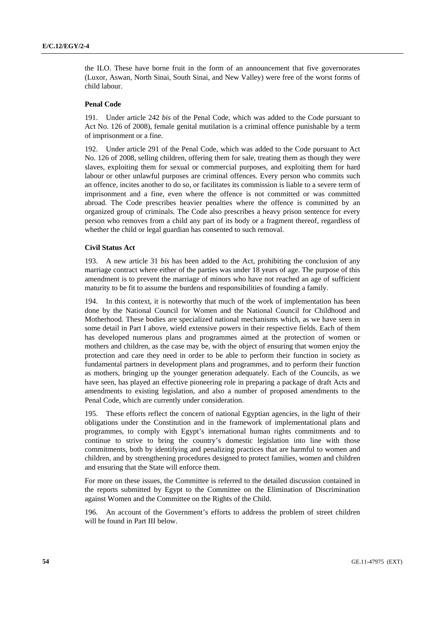the ILO. These have borne fruit in the form of an announcement that five governorates (Luxor, Aswan, North Sinai, South Sinai, and New Valley) were free of the worst forms of child labour.

### **Penal Code**

191. Under article 242 *bis* of the Penal Code, which was added to the Code pursuant to Act No. 126 of 2008), female genital mutilation is a criminal offence punishable by a term of imprisonment or a fine.

Under article 291 of the Penal Code, which was added to the Code pursuant to Act No. 126 of 2008, selling children, offering them for sale, treating them as though they were slaves, exploiting them for sexual or commercial purposes, and exploiting them for hard labour or other unlawful purposes are criminal offences. Every person who commits such an offence, incites another to do so, or facilitates its commission is liable to a severe term of imprisonment and a fine, even where the offence is not committed or was committed abroad. The Code prescribes heavier penalties where the offence is committed by an organized group of criminals. The Code also prescribes a heavy prison sentence for every person who removes from a child any part of its body or a fragment thereof, regardless of whether the child or legal guardian has consented to such removal.

### **Civil Status Act**

193. A new article 31 *bis* has been added to the Act, prohibiting the conclusion of any marriage contract where either of the parties was under 18 years of age. The purpose of this amendment is to prevent the marriage of minors who have not reached an age of sufficient maturity to be fit to assume the burdens and responsibilities of founding a family.

In this context, it is noteworthy that much of the work of implementation has been done by the National Council for Women and the National Council for Childhood and Motherhood. These bodies are specialized national mechanisms which, as we have seen in some detail in Part I above, wield extensive powers in their respective fields. Each of them has developed numerous plans and programmes aimed at the protection of women or mothers and children, as the case may be, with the object of ensuring that women enjoy the protection and care they need in order to be able to perform their function in society as fundamental partners in development plans and programmes, and to perform their function as mothers, bringing up the younger generation adequately. Each of the Councils, as we have seen, has played an effective pioneering role in preparing a package of draft Acts and amendments to existing legislation, and also a number of proposed amendments to the Penal Code, which are currently under consideration.

195. These efforts reflect the concern of national Egyptian agencies, in the light of their obligations under the Constitution and in the framework of implementational plans and programmes, to comply with Egypt's international human rights commitments and to continue to strive to bring the country's domestic legislation into line with those commitments, both by identifying and penalizing practices that are harmful to women and children, and by strengthening procedures designed to protect families, women and children and ensuring that the State will enforce them.

For more on these issues, the Committee is referred to the detailed discussion contained in the reports submitted by Egypt to the Committee on the Elimination of Discrimination against Women and the Committee on the Rights of the Child.

196. An account of the Government's efforts to address the problem of street children will be found in Part III below.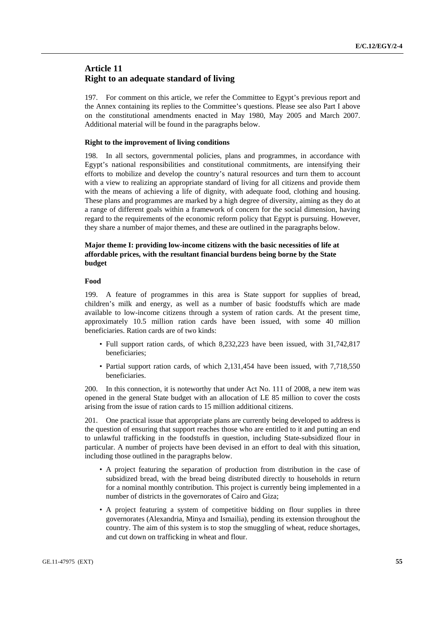# **Article 11 Right to an adequate standard of living**

197. For comment on this article, we refer the Committee to Egypt's previous report and the Annex containing its replies to the Committee's questions. Please see also Part I above on the constitutional amendments enacted in May 1980, May 2005 and March 2007. Additional material will be found in the paragraphs below.

### **Right to the improvement of living conditions**

198. In all sectors, governmental policies, plans and programmes, in accordance with Egypt's national responsibilities and constitutional commitments, are intensifying their efforts to mobilize and develop the country's natural resources and turn them to account with a view to realizing an appropriate standard of living for all citizens and provide them with the means of achieving a life of dignity, with adequate food, clothing and housing. These plans and programmes are marked by a high degree of diversity, aiming as they do at a range of different goals within a framework of concern for the social dimension, having regard to the requirements of the economic reform policy that Egypt is pursuing. However, they share a number of major themes, and these are outlined in the paragraphs below.

# **Major theme I: providing low-income citizens with the basic necessities of life at affordable prices, with the resultant financial burdens being borne by the State budget**

# **Food**

199. A feature of programmes in this area is State support for supplies of bread, children's milk and energy, as well as a number of basic foodstuffs which are made available to low-income citizens through a system of ration cards. At the present time, approximately 10.5 million ration cards have been issued, with some 40 million beneficiaries. Ration cards are of two kinds:

- Full support ration cards, of which 8,232,223 have been issued, with 31,742,817 beneficiaries;
- Partial support ration cards, of which 2,131,454 have been issued, with 7,718,550 beneficiaries.

200. In this connection, it is noteworthy that under Act No. 111 of 2008, a new item was opened in the general State budget with an allocation of LE 85 million to cover the costs arising from the issue of ration cards to 15 million additional citizens.

201. One practical issue that appropriate plans are currently being developed to address is the question of ensuring that support reaches those who are entitled to it and putting an end to unlawful trafficking in the foodstuffs in question, including State-subsidized flour in particular. A number of projects have been devised in an effort to deal with this situation, including those outlined in the paragraphs below.

- A project featuring the separation of production from distribution in the case of subsidized bread, with the bread being distributed directly to households in return for a nominal monthly contribution. This project is currently being implemented in a number of districts in the governorates of Cairo and Giza;
- A project featuring a system of competitive bidding on flour supplies in three governorates (Alexandria, Minya and Ismailia), pending its extension throughout the country. The aim of this system is to stop the smuggling of wheat, reduce shortages, and cut down on trafficking in wheat and flour.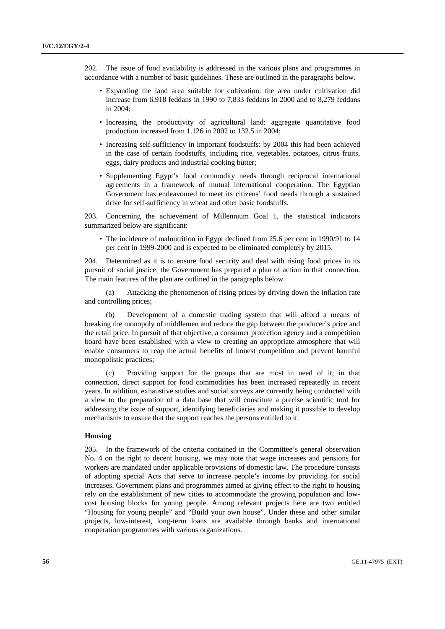202. The issue of food availability is addressed in the various plans and programmes in accordance with a number of basic guidelines. These are outlined in the paragraphs below.

- Expanding the land area suitable for cultivation: the area under cultivation did increase from 6,918 feddans in 1990 to 7,833 feddans in 2000 and to 8,279 feddans in 2004;
- Increasing the productivity of agricultural land: aggregate quantitative food production increased from 1.126 in 2002 to 132.5 in 2004;
- Increasing self-sufficiency in important foodstuffs: by 2004 this had been achieved in the case of certain foodstuffs, including rice, vegetables, potatoes, citrus fruits, eggs, dairy products and industrial cooking butter;
- Supplementing Egypt's food commodity needs through reciprocal international agreements in a framework of mutual international cooperation. The Egyptian Government has endeavoured to meet its citizens' food needs through a sustained drive for self-sufficiency in wheat and other basic foodstuffs.

203. Concerning the achievement of Millennium Goal 1, the statistical indicators summarized below are significant:

• The incidence of malnutrition in Egypt declined from 25.6 per cent in 1990/91 to 14 per cent in 1999-2000 and is expected to be eliminated completely by 2015.

204. Determined as it is to ensure food security and deal with rising food prices in its pursuit of social justice, the Government has prepared a plan of action in that connection. The main features of the plan are outlined in the paragraphs below.

 (a) Attacking the phenomenon of rising prices by driving down the inflation rate and controlling prices;

 (b) Development of a domestic trading system that will afford a means of breaking the monopoly of middlemen and reduce the gap between the producer's price and the retail price. In pursuit of that objective, a consumer protection agency and a competition board have been established with a view to creating an appropriate atmosphere that will enable consumers to reap the actual benefits of honest competition and prevent harmful monopolistic practices;

 (c) Providing support for the groups that are most in need of it; in that connection, direct support for food commodities has been increased repeatedly in recent years. In addition, exhaustive studies and social surveys are currently being conducted with a view to the preparation of a data base that will constitute a precise scientific tool for addressing the issue of support, identifying beneficiaries and making it possible to develop mechanisms to ensure that the support reaches the persons entitled to it.

## **Housing**

205. In the framework of the criteria contained in the Committee's general observation No. 4 on the right to decent housing, we may note that wage increases and pensions for workers are mandated under applicable provisions of domestic law. The procedure consists of adopting special Acts that serve to increase people's income by providing for social increases. Government plans and programmes aimed at giving effect to the right to housing rely on the establishment of new cities to accommodate the growing population and lowcost housing blocks for young people. Among relevant projects here are two entitled "Housing for young people" and "Build your own house". Under these and other similar projects, low-interest, long-term loans are available through banks and international cooperation programmes with various organizations.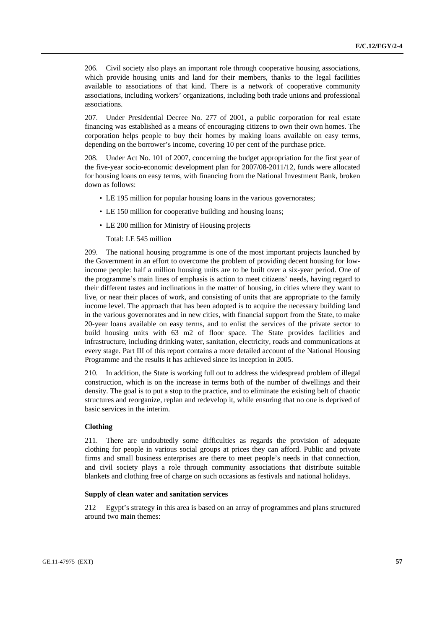206. Civil society also plays an important role through cooperative housing associations, which provide housing units and land for their members, thanks to the legal facilities available to associations of that kind. There is a network of cooperative community associations, including workers' organizations, including both trade unions and professional associations.

207. Under Presidential Decree No. 277 of 2001, a public corporation for real estate financing was established as a means of encouraging citizens to own their own homes. The corporation helps people to buy their homes by making loans available on easy terms, depending on the borrower's income, covering 10 per cent of the purchase price.

208. Under Act No. 101 of 2007, concerning the budget appropriation for the first year of the five-year socio-economic development plan for 2007/08-2011/12, funds were allocated for housing loans on easy terms, with financing from the National Investment Bank, broken down as follows:

- LE 195 million for popular housing loans in the various governorates;
- LE 150 million for cooperative building and housing loans;
- LE 200 million for Ministry of Housing projects

Total: LE 545 million

209. The national housing programme is one of the most important projects launched by the Government in an effort to overcome the problem of providing decent housing for lowincome people: half a million housing units are to be built over a six-year period. One of the programme's main lines of emphasis is action to meet citizens' needs, having regard to their different tastes and inclinations in the matter of housing, in cities where they want to live, or near their places of work, and consisting of units that are appropriate to the family income level. The approach that has been adopted is to acquire the necessary building land in the various governorates and in new cities, with financial support from the State, to make 20-year loans available on easy terms, and to enlist the services of the private sector to build housing units with 63 m2 of floor space. The State provides facilities and infrastructure, including drinking water, sanitation, electricity, roads and communications at every stage. Part III of this report contains a more detailed account of the National Housing Programme and the results it has achieved since its inception in 2005.

210. In addition, the State is working full out to address the widespread problem of illegal construction, which is on the increase in terms both of the number of dwellings and their density. The goal is to put a stop to the practice, and to eliminate the existing belt of chaotic structures and reorganize, replan and redevelop it, while ensuring that no one is deprived of basic services in the interim.

## **Clothing**

211. There are undoubtedly some difficulties as regards the provision of adequate clothing for people in various social groups at prices they can afford. Public and private firms and small business enterprises are there to meet people's needs in that connection, and civil society plays a role through community associations that distribute suitable blankets and clothing free of charge on such occasions as festivals and national holidays.

### **Supply of clean water and sanitation services**

212 Egypt's strategy in this area is based on an array of programmes and plans structured around two main themes: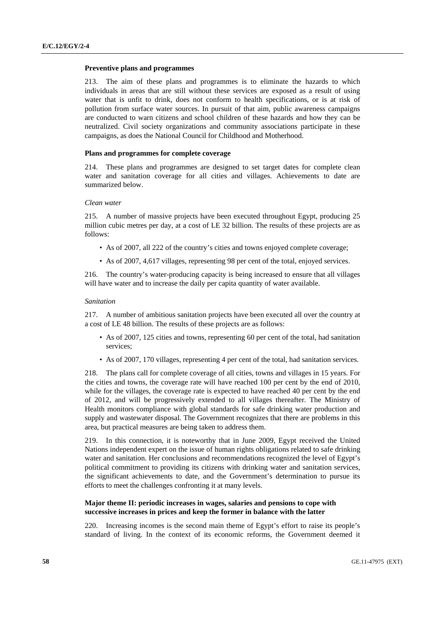### **Preventive plans and programmes**

213. The aim of these plans and programmes is to eliminate the hazards to which individuals in areas that are still without these services are exposed as a result of using water that is unfit to drink, does not conform to health specifications, or is at risk of pollution from surface water sources. In pursuit of that aim, public awareness campaigns are conducted to warn citizens and school children of these hazards and how they can be neutralized. Civil society organizations and community associations participate in these campaigns, as does the National Council for Childhood and Motherhood.

# **Plans and programmes for complete coverage**

214. These plans and programmes are designed to set target dates for complete clean water and sanitation coverage for all cities and villages. Achievements to date are summarized below.

#### *Clean water*

215. A number of massive projects have been executed throughout Egypt, producing 25 million cubic metres per day, at a cost of LE 32 billion. The results of these projects are as follows:

- As of 2007, all 222 of the country's cities and towns enjoyed complete coverage;
- As of 2007, 4,617 villages, representing 98 per cent of the total, enjoyed services.

216. The country's water-producing capacity is being increased to ensure that all villages will have water and to increase the daily per capita quantity of water available.

#### *Sanitation*

217. A number of ambitious sanitation projects have been executed all over the country at a cost of LE 48 billion. The results of these projects are as follows:

- As of 2007, 125 cities and towns, representing 60 per cent of the total, had sanitation services;
- As of 2007, 170 villages, representing 4 per cent of the total, had sanitation services.

218. The plans call for complete coverage of all cities, towns and villages in 15 years. For the cities and towns, the coverage rate will have reached 100 per cent by the end of 2010, while for the villages, the coverage rate is expected to have reached 40 per cent by the end of 2012, and will be progressively extended to all villages thereafter. The Ministry of Health monitors compliance with global standards for safe drinking water production and supply and wastewater disposal. The Government recognizes that there are problems in this area, but practical measures are being taken to address them.

219. In this connection, it is noteworthy that in June 2009, Egypt received the United Nations independent expert on the issue of human rights obligations related to safe drinking water and sanitation. Her conclusions and recommendations recognized the level of Egypt's political commitment to providing its citizens with drinking water and sanitation services, the significant achievements to date, and the Government's determination to pursue its efforts to meet the challenges confronting it at many levels.

# **Major theme II: periodic increases in wages, salaries and pensions to cope with successive increases in prices and keep the former in balance with the latter**

220. Increasing incomes is the second main theme of Egypt's effort to raise its people's standard of living. In the context of its economic reforms, the Government deemed it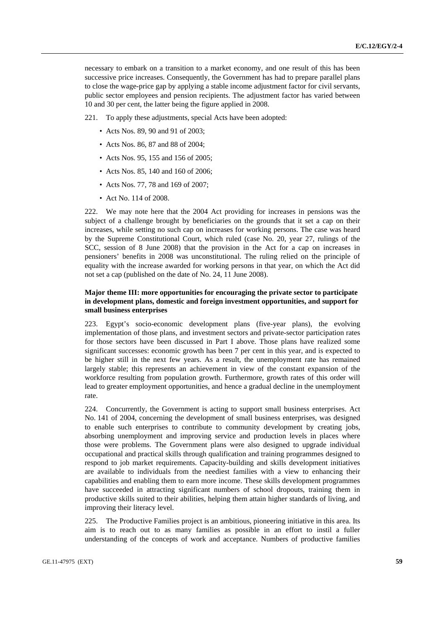necessary to embark on a transition to a market economy, and one result of this has been successive price increases. Consequently, the Government has had to prepare parallel plans to close the wage-price gap by applying a stable income adjustment factor for civil servants, public sector employees and pension recipients. The adjustment factor has varied between 10 and 30 per cent, the latter being the figure applied in 2008.

221. To apply these adjustments, special Acts have been adopted:

- Acts Nos. 89, 90 and 91 of 2003:
- Acts Nos. 86, 87 and 88 of 2004;
- Acts Nos. 95, 155 and 156 of 2005;
- Acts Nos. 85, 140 and 160 of 2006;
- Acts Nos. 77, 78 and 169 of 2007;
- Act No. 114 of 2008.

222. We may note here that the 2004 Act providing for increases in pensions was the subject of a challenge brought by beneficiaries on the grounds that it set a cap on their increases, while setting no such cap on increases for working persons. The case was heard by the Supreme Constitutional Court, which ruled (case No. 20, year 27, rulings of the SCC, session of 8 June 2008) that the provision in the Act for a cap on increases in pensioners' benefits in 2008 was unconstitutional. The ruling relied on the principle of equality with the increase awarded for working persons in that year, on which the Act did not set a cap (published on the date of No. 24, 11 June 2008).

# **Major theme III: more opportunities for encouraging the private sector to participate in development plans, domestic and foreign investment opportunities, and support for small business enterprises**

223. Egypt's socio-economic development plans (five-year plans), the evolving implementation of those plans, and investment sectors and private-sector participation rates for those sectors have been discussed in Part I above. Those plans have realized some significant successes: economic growth has been 7 per cent in this year, and is expected to be higher still in the next few years. As a result, the unemployment rate has remained largely stable; this represents an achievement in view of the constant expansion of the workforce resulting from population growth. Furthermore, growth rates of this order will lead to greater employment opportunities, and hence a gradual decline in the unemployment rate.

224. Concurrently, the Government is acting to support small business enterprises. Act No. 141 of 2004, concerning the development of small business enterprises, was designed to enable such enterprises to contribute to community development by creating jobs, absorbing unemployment and improving service and production levels in places where those were problems. The Government plans were also designed to upgrade individual occupational and practical skills through qualification and training programmes designed to respond to job market requirements. Capacity-building and skills development initiatives are available to individuals from the neediest families with a view to enhancing their capabilities and enabling them to earn more income. These skills development programmes have succeeded in attracting significant numbers of school dropouts, training them in productive skills suited to their abilities, helping them attain higher standards of living, and improving their literacy level.

225. The Productive Families project is an ambitious, pioneering initiative in this area. Its aim is to reach out to as many families as possible in an effort to instil a fuller understanding of the concepts of work and acceptance. Numbers of productive families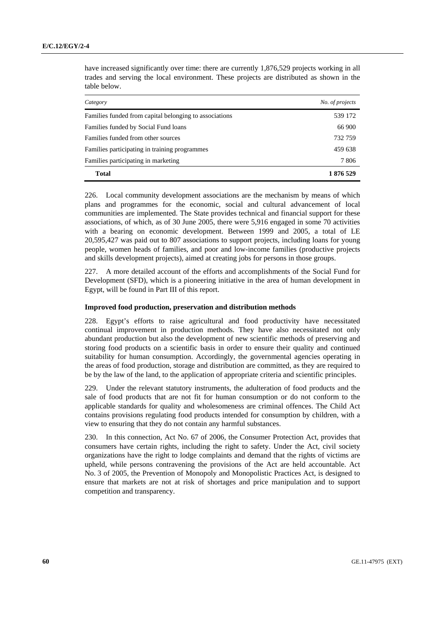have increased significantly over time: there are currently 1,876,529 projects working in all trades and serving the local environment. These projects are distributed as shown in the table below.

| Category                                               | No. of projects |
|--------------------------------------------------------|-----------------|
| Families funded from capital belonging to associations | 539 172         |
| Families funded by Social Fund loans                   | 66 900          |
| Families funded from other sources                     | 732 759         |
| Families participating in training programmes          | 459 638         |
| Families participating in marketing                    | 7 806           |
| Total                                                  | 1 876 529       |

226. Local community development associations are the mechanism by means of which plans and programmes for the economic, social and cultural advancement of local communities are implemented. The State provides technical and financial support for these associations, of which, as of 30 June 2005, there were 5,916 engaged in some 70 activities with a bearing on economic development. Between 1999 and 2005, a total of LE 20,595,427 was paid out to 807 associations to support projects, including loans for young people, women heads of families, and poor and low-income families (productive projects and skills development projects), aimed at creating jobs for persons in those groups.

227. A more detailed account of the efforts and accomplishments of the Social Fund for Development (SFD), which is a pioneering initiative in the area of human development in Egypt, will be found in Part III of this report.

# **Improved food production, preservation and distribution methods**

228. Egypt's efforts to raise agricultural and food productivity have necessitated continual improvement in production methods. They have also necessitated not only abundant production but also the development of new scientific methods of preserving and storing food products on a scientific basis in order to ensure their quality and continued suitability for human consumption. Accordingly, the governmental agencies operating in the areas of food production, storage and distribution are committed, as they are required to be by the law of the land, to the application of appropriate criteria and scientific principles.

229. Under the relevant statutory instruments, the adulteration of food products and the sale of food products that are not fit for human consumption or do not conform to the applicable standards for quality and wholesomeness are criminal offences. The Child Act contains provisions regulating food products intended for consumption by children, with a view to ensuring that they do not contain any harmful substances.

230. In this connection, Act No. 67 of 2006, the Consumer Protection Act, provides that consumers have certain rights, including the right to safety. Under the Act, civil society organizations have the right to lodge complaints and demand that the rights of victims are upheld, while persons contravening the provisions of the Act are held accountable. Act No. 3 of 2005, the Prevention of Monopoly and Monopolistic Practices Act, is designed to ensure that markets are not at risk of shortages and price manipulation and to support competition and transparency.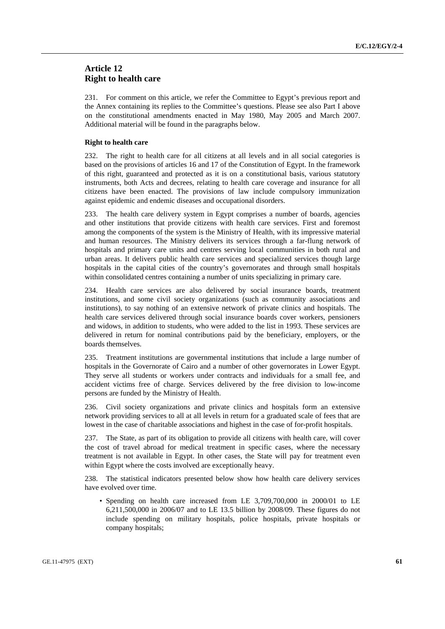# **Article 12 Right to health care**

231. For comment on this article, we refer the Committee to Egypt's previous report and the Annex containing its replies to the Committee's questions. Please see also Part I above on the constitutional amendments enacted in May 1980, May 2005 and March 2007. Additional material will be found in the paragraphs below.

# **Right to health care**

232. The right to health care for all citizens at all levels and in all social categories is based on the provisions of articles 16 and 17 of the Constitution of Egypt. In the framework of this right, guaranteed and protected as it is on a constitutional basis, various statutory instruments, both Acts and decrees, relating to health care coverage and insurance for all citizens have been enacted. The provisions of law include compulsory immunization against epidemic and endemic diseases and occupational disorders.

233. The health care delivery system in Egypt comprises a number of boards, agencies and other institutions that provide citizens with health care services. First and foremost among the components of the system is the Ministry of Health, with its impressive material and human resources. The Ministry delivers its services through a far-flung network of hospitals and primary care units and centres serving local communities in both rural and urban areas. It delivers public health care services and specialized services though large hospitals in the capital cities of the country's governorates and through small hospitals within consolidated centres containing a number of units specializing in primary care.

234. Health care services are also delivered by social insurance boards, treatment institutions, and some civil society organizations (such as community associations and institutions), to say nothing of an extensive network of private clinics and hospitals. The health care services delivered through social insurance boards cover workers, pensioners and widows, in addition to students, who were added to the list in 1993. These services are delivered in return for nominal contributions paid by the beneficiary, employers, or the boards themselves.

235. Treatment institutions are governmental institutions that include a large number of hospitals in the Governorate of Cairo and a number of other governorates in Lower Egypt. They serve all students or workers under contracts and individuals for a small fee, and accident victims free of charge. Services delivered by the free division to low-income persons are funded by the Ministry of Health.

236. Civil society organizations and private clinics and hospitals form an extensive network providing services to all at all levels in return for a graduated scale of fees that are lowest in the case of charitable associations and highest in the case of for-profit hospitals.

237. The State, as part of its obligation to provide all citizens with health care, will cover the cost of travel abroad for medical treatment in specific cases, where the necessary treatment is not available in Egypt. In other cases, the State will pay for treatment even within Egypt where the costs involved are exceptionally heavy.

238. The statistical indicators presented below show how health care delivery services have evolved over time.

• Spending on health care increased from LE 3,709,700,000 in 2000/01 to LE 6,211,500,000 in 2006/07 and to LE 13.5 billion by 2008/09. These figures do not include spending on military hospitals, police hospitals, private hospitals or company hospitals;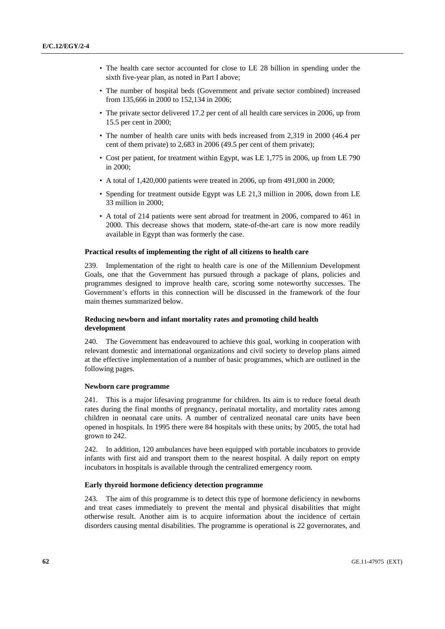- The health care sector accounted for close to LE 28 billion in spending under the sixth five-year plan, as noted in Part I above;
- The number of hospital beds (Government and private sector combined) increased from 135,666 in 2000 to 152,134 in 2006;
- The private sector delivered 17.2 per cent of all health care services in 2006, up from 15.5 per cent in 2000;
- The number of health care units with beds increased from 2,319 in 2000 (46.4 per cent of them private) to 2,683 in 2006 (49.5 per cent of them private);
- Cost per patient, for treatment within Egypt, was LE 1,775 in 2006, up from LE 790 in 2000;
- A total of 1,420,000 patients were treated in 2006, up from 491,000 in 2000;
- Spending for treatment outside Egypt was LE 21,3 million in 2006, down from LE 33 million in 2000;
- A total of 214 patients were sent abroad for treatment in 2006, compared to 461 in 2000. This decrease shows that modern, state-of-the-art care is now more readily available in Egypt than was formerly the case.

# **Practical results of implementing the right of all citizens to health care**

239. Implementation of the right to health care is one of the Millennium Development Goals, one that the Government has pursued through a package of plans, policies and programmes designed to improve health care, scoring some noteworthy successes. The Government's efforts in this connection will be discussed in the framework of the four main themes summarized below.

# **Reducing newborn and infant mortality rates and promoting child health development**

240. The Government has endeavoured to achieve this goal, working in cooperation with relevant domestic and international organizations and civil society to develop plans aimed at the effective implementation of a number of basic programmes, which are outlined in the following pages.

### **Newborn care programme**

241. This is a major lifesaving programme for children. Its aim is to reduce foetal death rates during the final months of pregnancy, perinatal mortality, and mortality rates among children in neonatal care units. A number of centralized neonatal care units have been opened in hospitals. In 1995 there were 84 hospitals with these units; by 2005, the total had grown to 242.

242. In addition, 120 ambulances have been equipped with portable incubators to provide infants with first aid and transport them to the nearest hospital. A daily report on empty incubators in hospitals is available through the centralized emergency room.

### **Early thyroid hormone deficiency detection programme**

243. The aim of this programme is to detect this type of hormone deficiency in newborns and treat cases immediately to prevent the mental and physical disabilities that might otherwise result. Another aim is to acquire information about the incidence of certain disorders causing mental disabilities. The programme is operational is 22 governorates, and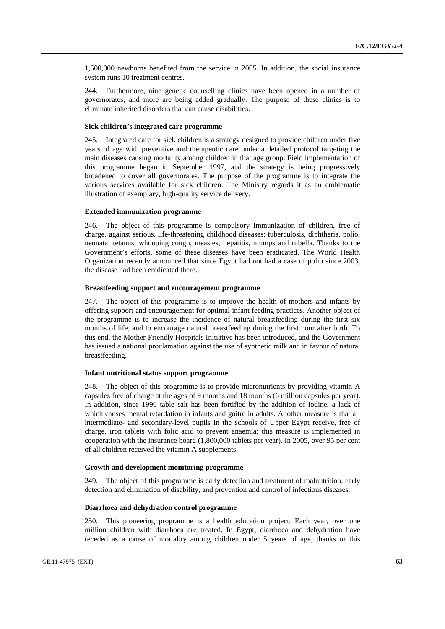1,500,000 newborns benefited from the service in 2005. In addition, the social insurance system runs 10 treatment centres.

244. Furthermore, nine genetic counselling clinics have been opened in a number of governorates, and more are being added gradually. The purpose of these clinics is to eliminate inherited disorders that can cause disabilities.

# **Sick children's integrated care programme**

245. Integrated care for sick children is a strategy designed to provide children under five years of age with preventive and therapeutic care under a detailed protocol targeting the main diseases causing mortality among children in that age group. Field implementation of this programme began in September 1997, and the strategy is being progressively broadened to cover all governorates. The purpose of the programme is to integrate the various services available for sick children. The Ministry regards it as an emblematic illustration of exemplary, high-quality service delivery.

### **Extended immunization programme**

246. The object of this programme is compulsory immunization of children, free of charge, against serious, life-threatening childhood diseases: tuberculosis, diphtheria, polio, neonatal tetanus, whooping cough, measles, hepatitis, mumps and rubella. Thanks to the Government's efforts, some of these diseases have been eradicated. The World Health Organization recently announced that since Egypt had not had a case of polio since 2003, the disease had been eradicated there.

### **Breastfeeding support and encouragement programme**

247. The object of this programme is to improve the health of mothers and infants by offering support and encouragement for optimal infant feeding practices. Another object of the programme is to increase the incidence of natural breastfeeding during the first six months of life, and to encourage natural breastfeeding during the first hour after birth. To this end, the Mother-Friendly Hospitals Initiative has been introduced, and the Government has issued a national proclamation against the use of synthetic milk and in favour of natural breastfeeding.

## **Infant nutritional status support programme**

248. The object of this programme is to provide micronutrients by providing vitamin A capsules free of charge at the ages of 9 months and 18 months (6 million capsules per year). In addition, since 1996 table salt has been fortified by the addition of iodine, a lack of which causes mental retardation in infants and goitre in adults. Another measure is that all intermediate- and secondary-level pupils in the schools of Upper Egypt receive, free of charge, iron tablets with folic acid to prevent anaemia; this measure is implemented in cooperation with the insurance board (1,800,000 tablets per year). In 2005, over 95 per cent of all children received the vitamin A supplements.

### **Growth and development monitoring programme**

249. The object of this programme is early detection and treatment of malnutrition, early detection and elimination of disability, and prevention and control of infectious diseases.

### **Diarrhoea and dehydration control programme**

250. This pioneering programme is a health education project. Each year, over one million children with diarrhoea are treated. In Egypt, diarrhoea and dehydration have receded as a cause of mortality among children under 5 years of age, thanks to this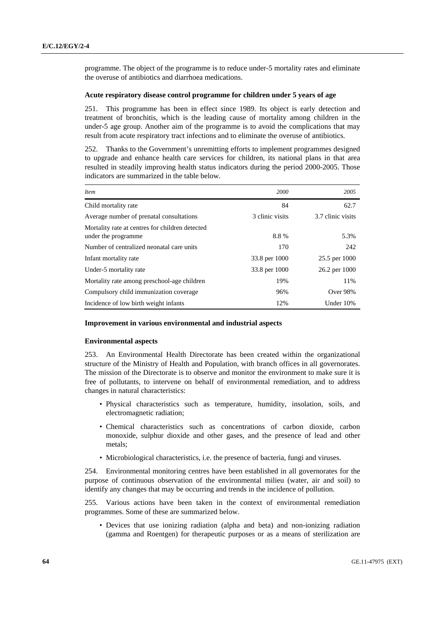programme. The object of the programme is to reduce under-5 mortality rates and eliminate the overuse of antibiotics and diarrhoea medications.

# **Acute respiratory disease control programme for children under 5 years of age**

251. This programme has been in effect since 1989. Its object is early detection and treatment of bronchitis, which is the leading cause of mortality among children in the under-5 age group. Another aim of the programme is to avoid the complications that may result from acute respiratory tract infections and to eliminate the overuse of antibiotics.

252. Thanks to the Government's unremitting efforts to implement programmes designed to upgrade and enhance health care services for children, its national plans in that area resulted in steadily improving health status indicators during the period 2000-2005. Those indicators are summarized in the table below.

| Item                                                                   | 2000            | 2005              |
|------------------------------------------------------------------------|-----------------|-------------------|
| Child mortality rate                                                   | 84              | 62.7              |
| Average number of prenatal consultations                               | 3 clinic visits | 3.7 clinic visits |
| Mortality rate at centres for children detected<br>under the programme | 8.8%            | 5.3%              |
| Number of centralized neonatal care units                              | 170             | 242               |
| Infant mortality rate                                                  | 33.8 per 1000   | 25.5 per 1000     |
| Under-5 mortality rate                                                 | 33.8 per 1000   | 26.2 per 1000     |
| Mortality rate among preschool-age children                            | 19%             | 11%               |
| Compulsory child immunization coverage                                 | 96%             | Over 98%          |
| Incidence of low birth weight infants                                  | 12%             | Under 10%         |

# **Improvement in various environmental and industrial aspects**

### **Environmental aspects**

253. An Environmental Health Directorate has been created within the organizational structure of the Ministry of Health and Population, with branch offices in all governorates. The mission of the Directorate is to observe and monitor the environment to make sure it is free of pollutants, to intervene on behalf of environmental remediation, and to address changes in natural characteristics:

- Physical characteristics such as temperature, humidity, insolation, soils, and electromagnetic radiation;
- Chemical characteristics such as concentrations of carbon dioxide, carbon monoxide, sulphur dioxide and other gases, and the presence of lead and other metals;
- Microbiological characteristics, i.e. the presence of bacteria, fungi and viruses.

254. Environmental monitoring centres have been established in all governorates for the purpose of continuous observation of the environmental milieu (water, air and soil) to identify any changes that may be occurring and trends in the incidence of pollution.

255. Various actions have been taken in the context of environmental remediation programmes. Some of these are summarized below.

• Devices that use ionizing radiation (alpha and beta) and non-ionizing radiation (gamma and Roentgen) for therapeutic purposes or as a means of sterilization are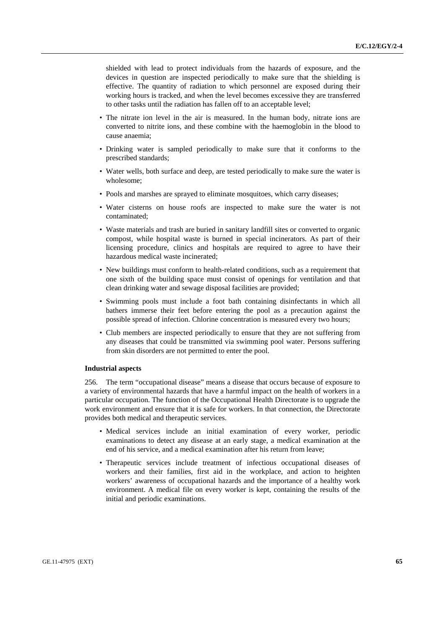shielded with lead to protect individuals from the hazards of exposure, and the devices in question are inspected periodically to make sure that the shielding is effective. The quantity of radiation to which personnel are exposed during their working hours is tracked, and when the level becomes excessive they are transferred to other tasks until the radiation has fallen off to an acceptable level;

- The nitrate ion level in the air is measured. In the human body, nitrate ions are converted to nitrite ions, and these combine with the haemoglobin in the blood to cause anaemia;
- Drinking water is sampled periodically to make sure that it conforms to the prescribed standards;
- Water wells, both surface and deep, are tested periodically to make sure the water is wholesome;
- Pools and marshes are sprayed to eliminate mosquitoes, which carry diseases;
- Water cisterns on house roofs are inspected to make sure the water is not contaminated;
- Waste materials and trash are buried in sanitary landfill sites or converted to organic compost, while hospital waste is burned in special incinerators. As part of their licensing procedure, clinics and hospitals are required to agree to have their hazardous medical waste incinerated;
- New buildings must conform to health-related conditions, such as a requirement that one sixth of the building space must consist of openings for ventilation and that clean drinking water and sewage disposal facilities are provided;
- Swimming pools must include a foot bath containing disinfectants in which all bathers immerse their feet before entering the pool as a precaution against the possible spread of infection. Chlorine concentration is measured every two hours;
- Club members are inspected periodically to ensure that they are not suffering from any diseases that could be transmitted via swimming pool water. Persons suffering from skin disorders are not permitted to enter the pool.

#### **Industrial aspects**

256. The term "occupational disease" means a disease that occurs because of exposure to a variety of environmental hazards that have a harmful impact on the health of workers in a particular occupation. The function of the Occupational Health Directorate is to upgrade the work environment and ensure that it is safe for workers. In that connection, the Directorate provides both medical and therapeutic services.

- Medical services include an initial examination of every worker, periodic examinations to detect any disease at an early stage, a medical examination at the end of his service, and a medical examination after his return from leave;
- Therapeutic services include treatment of infectious occupational diseases of workers and their families, first aid in the workplace, and action to heighten workers' awareness of occupational hazards and the importance of a healthy work environment. A medical file on every worker is kept, containing the results of the initial and periodic examinations.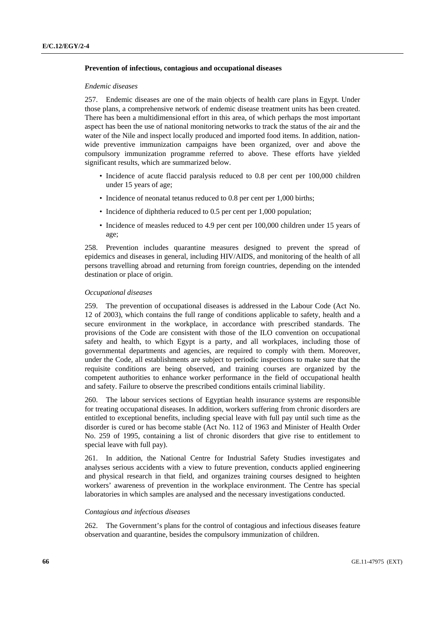### **Prevention of infectious, contagious and occupational diseases**

#### *Endemic diseases*

257. Endemic diseases are one of the main objects of health care plans in Egypt. Under those plans, a comprehensive network of endemic disease treatment units has been created. There has been a multidimensional effort in this area, of which perhaps the most important aspect has been the use of national monitoring networks to track the status of the air and the water of the Nile and inspect locally produced and imported food items. In addition, nationwide preventive immunization campaigns have been organized, over and above the compulsory immunization programme referred to above. These efforts have yielded significant results, which are summarized below.

- Incidence of acute flaccid paralysis reduced to 0.8 per cent per 100,000 children under 15 years of age;
- Incidence of neonatal tetanus reduced to 0.8 per cent per 1,000 births;
- Incidence of diphtheria reduced to 0.5 per cent per 1,000 population;
- Incidence of measles reduced to 4.9 per cent per 100,000 children under 15 years of age;

258. Prevention includes quarantine measures designed to prevent the spread of epidemics and diseases in general, including HIV/AIDS, and monitoring of the health of all persons travelling abroad and returning from foreign countries, depending on the intended destination or place of origin.

# *Occupational diseases*

259. The prevention of occupational diseases is addressed in the Labour Code (Act No. 12 of 2003), which contains the full range of conditions applicable to safety, health and a secure environment in the workplace, in accordance with prescribed standards. The provisions of the Code are consistent with those of the ILO convention on occupational safety and health, to which Egypt is a party, and all workplaces, including those of governmental departments and agencies, are required to comply with them. Moreover, under the Code, all establishments are subject to periodic inspections to make sure that the requisite conditions are being observed, and training courses are organized by the competent authorities to enhance worker performance in the field of occupational health and safety. Failure to observe the prescribed conditions entails criminal liability.

260. The labour services sections of Egyptian health insurance systems are responsible for treating occupational diseases. In addition, workers suffering from chronic disorders are entitled to exceptional benefits, including special leave with full pay until such time as the disorder is cured or has become stable (Act No. 112 of 1963 and Minister of Health Order No. 259 of 1995, containing a list of chronic disorders that give rise to entitlement to special leave with full pay).

261. In addition, the National Centre for Industrial Safety Studies investigates and analyses serious accidents with a view to future prevention, conducts applied engineering and physical research in that field, and organizes training courses designed to heighten workers' awareness of prevention in the workplace environment. The Centre has special laboratories in which samples are analysed and the necessary investigations conducted.

### *Contagious and infectious diseases*

262. The Government's plans for the control of contagious and infectious diseases feature observation and quarantine, besides the compulsory immunization of children.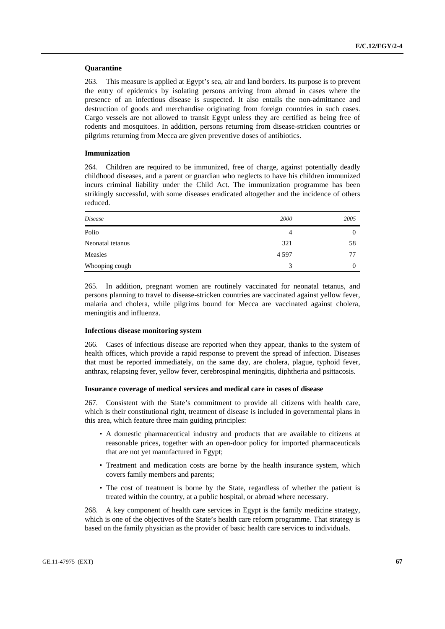### **Quarantine**

263. This measure is applied at Egypt's sea, air and land borders. Its purpose is to prevent the entry of epidemics by isolating persons arriving from abroad in cases where the presence of an infectious disease is suspected. It also entails the non-admittance and destruction of goods and merchandise originating from foreign countries in such cases. Cargo vessels are not allowed to transit Egypt unless they are certified as being free of rodents and mosquitoes. In addition, persons returning from disease-stricken countries or pilgrims returning from Mecca are given preventive doses of antibiotics.

# **Immunization**

264. Children are required to be immunized, free of charge, against potentially deadly childhood diseases, and a parent or guardian who neglects to have his children immunized incurs criminal liability under the Child Act. The immunization programme has been strikingly successful, with some diseases eradicated altogether and the incidence of others reduced.

| Disease          | 2000    | 2005 |
|------------------|---------|------|
| Polio            | 4       | 0    |
| Neonatal tetanus | 321     | 58   |
| Measles          | 4 5 9 7 | 77   |
| Whooping cough   | 3       | 0    |

265. In addition, pregnant women are routinely vaccinated for neonatal tetanus, and persons planning to travel to disease-stricken countries are vaccinated against yellow fever, malaria and cholera, while pilgrims bound for Mecca are vaccinated against cholera, meningitis and influenza.

### **Infectious disease monitoring system**

266. Cases of infectious disease are reported when they appear, thanks to the system of health offices, which provide a rapid response to prevent the spread of infection. Diseases that must be reported immediately, on the same day, are cholera, plague, typhoid fever, anthrax, relapsing fever, yellow fever, cerebrospinal meningitis, diphtheria and psittacosis.

#### **Insurance coverage of medical services and medical care in cases of disease**

267. Consistent with the State's commitment to provide all citizens with health care, which is their constitutional right, treatment of disease is included in governmental plans in this area, which feature three main guiding principles:

- A domestic pharmaceutical industry and products that are available to citizens at reasonable prices, together with an open-door policy for imported pharmaceuticals that are not yet manufactured in Egypt;
- Treatment and medication costs are borne by the health insurance system, which covers family members and parents;
- The cost of treatment is borne by the State, regardless of whether the patient is treated within the country, at a public hospital, or abroad where necessary.

268. A key component of health care services in Egypt is the family medicine strategy, which is one of the objectives of the State's health care reform programme. That strategy is based on the family physician as the provider of basic health care services to individuals.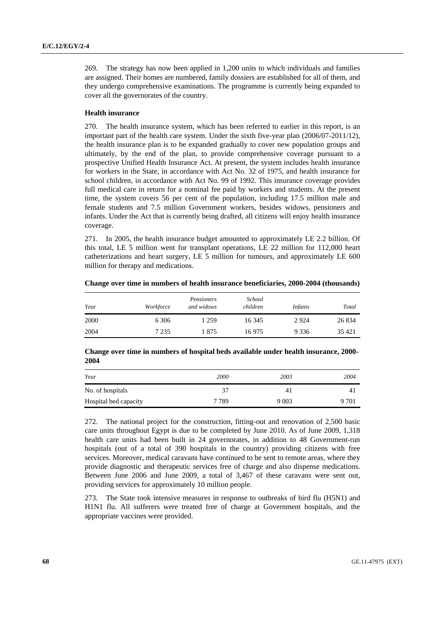269. The strategy has now been applied in 1,200 units to which individuals and families are assigned. Their homes are numbered, family dossiers are established for all of them, and they undergo comprehensive examinations. The programme is currently being expanded to cover all the governorates of the country.

## **Health insurance**

270. The health insurance system, which has been referred to earlier in this report, is an important part of the health care system. Under the sixth five-year plan (2006/07-2011/12), the health insurance plan is to be expanded gradually to cover new population groups and ultimately, by the end of the plan, to provide comprehensive coverage pursuant to a prospective Unified Health Insurance Act. At present, the system includes health insurance for workers in the State, in accordance with Act No. 32 of 1975, and health insurance for school children, in accordance with Act No. 99 of 1992. This insurance coverage provides full medical care in return for a nominal fee paid by workers and students. At the present time, the system covers 56 per cent of the population, including 17.5 million male and female students and 7.5 million Government workers, besides widows, pensioners and infants. Under the Act that is currently being drafted, all citizens will enjoy health insurance coverage.

271. In 2005, the health insurance budget amounted to approximately LE 2.2 billion. Of this total, LE 5 million went for transplant operations, LE 22 million for 112,000 heart catheterizations and heart surgery, LE 5 million for tumours, and approximately LE 600 million for therapy and medications.

| Year | Workforce | Pensioners<br>and widows | School<br>children | <i>Infants</i> | Total   |
|------|-----------|--------------------------|--------------------|----------------|---------|
| 2000 | 6 3 0 6   | 1 259                    | 16 345             | 2924           | 26 8 34 |
| 2004 | 7 2 3 5   | 875                      | 16975              | 9 3 3 6        | 35 4 21 |

 **Change over time in numbers of health insurance beneficiaries, 2000-2004 (thousands)** 

## **Change over time in numbers of hospital beds available under health insurance, 2000- 2004**

| Year                  | 2000    | 2003    | 2004  |
|-----------------------|---------|---------|-------|
| No. of hospitals      | 37      | 41      |       |
| Hospital bed capacity | 7 7 8 9 | 9 0 0 3 | 9 701 |

272. The national project for the construction, fitting-out and renovation of 2,500 basic care units throughout Egypt is due to be completed by June 2010. As of June 2009, 1,318 health care units had been built in 24 governorates, in addition to 48 Government-run hospitals (out of a total of 390 hospitals in the country) providing citizens with free services. Moreover, medical caravans have continued to be sent to remote areas, where they provide diagnostic and therapeutic services free of charge and also dispense medications. Between June 2006 and June 2009, a total of 3,467 of these caravans were sent out, providing services for approximately 10 million people.

273. The State took intensive measures in response to outbreaks of bird flu (H5N1) and H1N1 flu. All sufferers were treated free of charge at Government hospitals, and the appropriate vaccines were provided.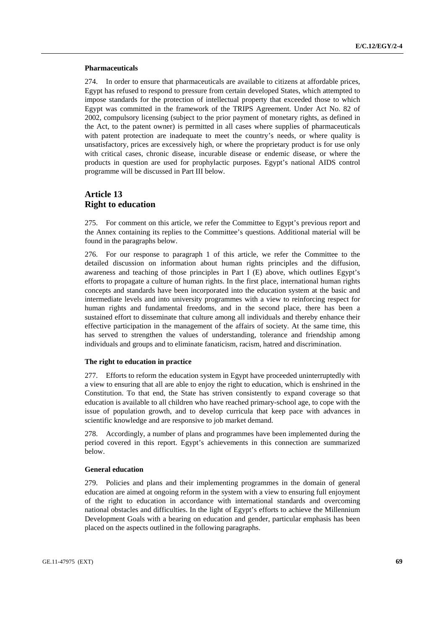### **Pharmaceuticals**

274. In order to ensure that pharmaceuticals are available to citizens at affordable prices, Egypt has refused to respond to pressure from certain developed States, which attempted to impose standards for the protection of intellectual property that exceeded those to which Egypt was committed in the framework of the TRIPS Agreement. Under Act No. 82 of 2002, compulsory licensing (subject to the prior payment of monetary rights, as defined in the Act, to the patent owner) is permitted in all cases where supplies of pharmaceuticals with patent protection are inadequate to meet the country's needs, or where quality is unsatisfactory, prices are excessively high, or where the proprietary product is for use only with critical cases, chronic disease, incurable disease or endemic disease, or where the products in question are used for prophylactic purposes. Egypt's national AIDS control programme will be discussed in Part III below.

# **Article 13 Right to education**

275. For comment on this article, we refer the Committee to Egypt's previous report and the Annex containing its replies to the Committee's questions. Additional material will be found in the paragraphs below.

276. For our response to paragraph 1 of this article, we refer the Committee to the detailed discussion on information about human rights principles and the diffusion, awareness and teaching of those principles in Part I (E) above, which outlines Egypt's efforts to propagate a culture of human rights. In the first place, international human rights concepts and standards have been incorporated into the education system at the basic and intermediate levels and into university programmes with a view to reinforcing respect for human rights and fundamental freedoms, and in the second place, there has been a sustained effort to disseminate that culture among all individuals and thereby enhance their effective participation in the management of the affairs of society. At the same time, this has served to strengthen the values of understanding, tolerance and friendship among individuals and groups and to eliminate fanaticism, racism, hatred and discrimination.

## **The right to education in practice**

277. Efforts to reform the education system in Egypt have proceeded uninterruptedly with a view to ensuring that all are able to enjoy the right to education, which is enshrined in the Constitution. To that end, the State has striven consistently to expand coverage so that education is available to all children who have reached primary-school age, to cope with the issue of population growth, and to develop curricula that keep pace with advances in scientific knowledge and are responsive to job market demand.

278. Accordingly, a number of plans and programmes have been implemented during the period covered in this report. Egypt's achievements in this connection are summarized below.

# **General education**

279. Policies and plans and their implementing programmes in the domain of general education are aimed at ongoing reform in the system with a view to ensuring full enjoyment of the right to education in accordance with international standards and overcoming national obstacles and difficulties. In the light of Egypt's efforts to achieve the Millennium Development Goals with a bearing on education and gender, particular emphasis has been placed on the aspects outlined in the following paragraphs.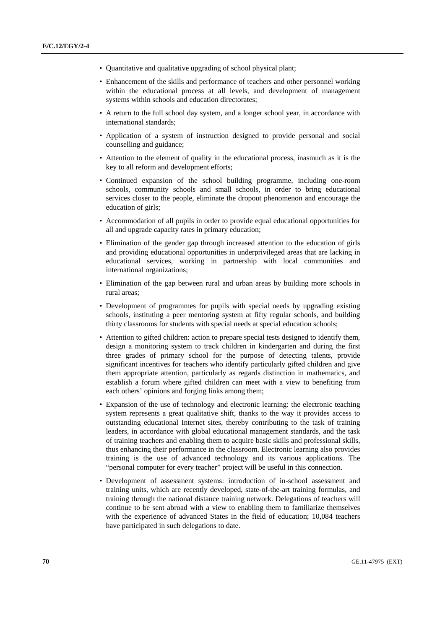- Quantitative and qualitative upgrading of school physical plant;
- Enhancement of the skills and performance of teachers and other personnel working within the educational process at all levels, and development of management systems within schools and education directorates;
- A return to the full school day system, and a longer school year, in accordance with international standards;
- Application of a system of instruction designed to provide personal and social counselling and guidance;
- Attention to the element of quality in the educational process, inasmuch as it is the key to all reform and development efforts;
- Continued expansion of the school building programme, including one-room schools, community schools and small schools, in order to bring educational services closer to the people, eliminate the dropout phenomenon and encourage the education of girls;
- Accommodation of all pupils in order to provide equal educational opportunities for all and upgrade capacity rates in primary education;
- Elimination of the gender gap through increased attention to the education of girls and providing educational opportunities in underprivileged areas that are lacking in educational services, working in partnership with local communities and international organizations;
- Elimination of the gap between rural and urban areas by building more schools in rural areas;
- Development of programmes for pupils with special needs by upgrading existing schools, instituting a peer mentoring system at fifty regular schools, and building thirty classrooms for students with special needs at special education schools;
- Attention to gifted children: action to prepare special tests designed to identify them, design a monitoring system to track children in kindergarten and during the first three grades of primary school for the purpose of detecting talents, provide significant incentives for teachers who identify particularly gifted children and give them appropriate attention, particularly as regards distinction in mathematics, and establish a forum where gifted children can meet with a view to benefiting from each others' opinions and forging links among them;
- Expansion of the use of technology and electronic learning: the electronic teaching system represents a great qualitative shift, thanks to the way it provides access to outstanding educational Internet sites, thereby contributing to the task of training leaders, in accordance with global educational management standards, and the task of training teachers and enabling them to acquire basic skills and professional skills, thus enhancing their performance in the classroom. Electronic learning also provides training is the use of advanced technology and its various applications. The "personal computer for every teacher" project will be useful in this connection.
- Development of assessment systems: introduction of in-school assessment and training units, which are recently developed, state-of-the-art training formulas, and training through the national distance training network. Delegations of teachers will continue to be sent abroad with a view to enabling them to familiarize themselves with the experience of advanced States in the field of education; 10,084 teachers have participated in such delegations to date.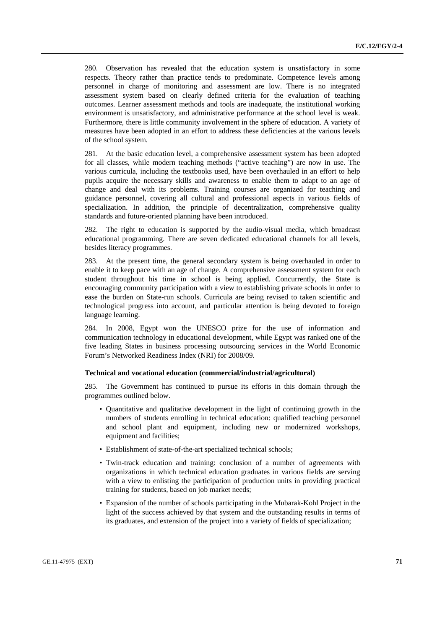280. Observation has revealed that the education system is unsatisfactory in some respects. Theory rather than practice tends to predominate. Competence levels among personnel in charge of monitoring and assessment are low. There is no integrated assessment system based on clearly defined criteria for the evaluation of teaching outcomes. Learner assessment methods and tools are inadequate, the institutional working environment is unsatisfactory, and administrative performance at the school level is weak. Furthermore, there is little community involvement in the sphere of education. A variety of measures have been adopted in an effort to address these deficiencies at the various levels of the school system.

281. At the basic education level, a comprehensive assessment system has been adopted for all classes, while modern teaching methods ("active teaching") are now in use. The various curricula, including the textbooks used, have been overhauled in an effort to help pupils acquire the necessary skills and awareness to enable them to adapt to an age of change and deal with its problems. Training courses are organized for teaching and guidance personnel, covering all cultural and professional aspects in various fields of specialization. In addition, the principle of decentralization, comprehensive quality standards and future-oriented planning have been introduced.

282. The right to education is supported by the audio-visual media, which broadcast educational programming. There are seven dedicated educational channels for all levels, besides literacy programmes.

283. At the present time, the general secondary system is being overhauled in order to enable it to keep pace with an age of change. A comprehensive assessment system for each student throughout his time in school is being applied. Concurrently, the State is encouraging community participation with a view to establishing private schools in order to ease the burden on State-run schools. Curricula are being revised to taken scientific and technological progress into account, and particular attention is being devoted to foreign language learning.

284. In 2008, Egypt won the UNESCO prize for the use of information and communication technology in educational development, while Egypt was ranked one of the five leading States in business processing outsourcing services in the World Economic Forum's Networked Readiness Index (NRI) for 2008/09.

## **Technical and vocational education (commercial/industrial/agricultural)**

285. The Government has continued to pursue its efforts in this domain through the programmes outlined below.

- Quantitative and qualitative development in the light of continuing growth in the numbers of students enrolling in technical education: qualified teaching personnel and school plant and equipment, including new or modernized workshops, equipment and facilities;
- Establishment of state-of-the-art specialized technical schools;
- Twin-track education and training: conclusion of a number of agreements with organizations in which technical education graduates in various fields are serving with a view to enlisting the participation of production units in providing practical training for students, based on job market needs;
- Expansion of the number of schools participating in the Mubarak-Kohl Project in the light of the success achieved by that system and the outstanding results in terms of its graduates, and extension of the project into a variety of fields of specialization;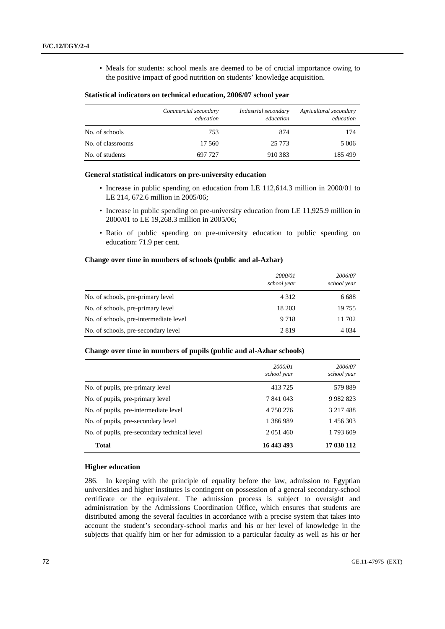• Meals for students: school meals are deemed to be of crucial importance owing to the positive impact of good nutrition on students' knowledge acquisition.

### **Statistical indicators on technical education, 2006/07 school year**

|                   | Commercial secondary<br>education | Industrial secondary<br>education | Agricultural secondary<br>education |
|-------------------|-----------------------------------|-----------------------------------|-------------------------------------|
| No. of schools    | 753                               | 874                               | 174                                 |
| No. of classrooms | 17 560                            | 25 7 7 3                          | 5 0 0 6                             |
| No. of students   | 697 727                           | 910 383                           | 185 499                             |

### **General statistical indicators on pre-university education**

- Increase in public spending on education from LE 112,614.3 million in 2000/01 to LE 214, 672.6 million in 2005/06;
- Increase in public spending on pre-university education from LE 11,925.9 million in 2000/01 to LE 19,268.3 million in 2005/06;
- Ratio of public spending on pre-university education to public spending on education: 71.9 per cent.

### **Change over time in numbers of schools (public and al-Azhar)**

|                                        | 2000/01<br>school year | 2006/07<br>school year |
|----------------------------------------|------------------------|------------------------|
| No. of schools, pre-primary level      | 4 3 1 2                | 6 6 8 8                |
| No. of schools, pre-primary level      | 18 203                 | 19755                  |
| No. of schools, pre-intermediate level | 9 7 1 8                | 11 702                 |
| No. of schools, pre-secondary level    | 2819                   | 4 0 34                 |

## **Change over time in numbers of pupils (public and al-Azhar schools)**

|                                              | 2000/01<br>school year | 2006/07<br>school year |
|----------------------------------------------|------------------------|------------------------|
| No. of pupils, pre-primary level             | 413725                 | 579889                 |
| No. of pupils, pre-primary level             | 7 841 043              | 9 9 8 2 8 2 3          |
| No. of pupils, pre-intermediate level        | 4 750 276              | 3 217 488              |
| No. of pupils, pre-secondary level           | 1 386 989              | 1 456 303              |
| No. of pupils, pre-secondary technical level | 2 0 5 1 4 6 0          | 1793609                |
| <b>Total</b>                                 | 16 443 493             | 17 030 112             |

#### **Higher education**

286. In keeping with the principle of equality before the law, admission to Egyptian universities and higher institutes is contingent on possession of a general secondary-school certificate or the equivalent. The admission process is subject to oversight and administration by the Admissions Coordination Office, which ensures that students are distributed among the several faculties in accordance with a precise system that takes into account the student's secondary-school marks and his or her level of knowledge in the subjects that qualify him or her for admission to a particular faculty as well as his or her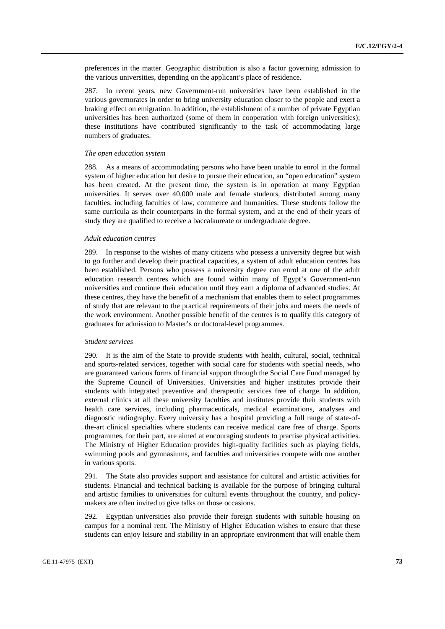preferences in the matter. Geographic distribution is also a factor governing admission to the various universities, depending on the applicant's place of residence.

287. In recent years, new Government-run universities have been established in the various governorates in order to bring university education closer to the people and exert a braking effect on emigration. In addition, the establishment of a number of private Egyptian universities has been authorized (some of them in cooperation with foreign universities); these institutions have contributed significantly to the task of accommodating large numbers of graduates.

#### *The open education system*

288. As a means of accommodating persons who have been unable to enrol in the formal system of higher education but desire to pursue their education, an "open education" system has been created. At the present time, the system is in operation at many Egyptian universities. It serves over 40,000 male and female students, distributed among many faculties, including faculties of law, commerce and humanities. These students follow the same curricula as their counterparts in the formal system, and at the end of their years of study they are qualified to receive a baccalaureate or undergraduate degree.

#### *Adult education centres*

289. In response to the wishes of many citizens who possess a university degree but wish to go further and develop their practical capacities, a system of adult education centres has been established. Persons who possess a university degree can enrol at one of the adult education research centres which are found within many of Egypt's Government-run universities and continue their education until they earn a diploma of advanced studies. At these centres, they have the benefit of a mechanism that enables them to select programmes of study that are relevant to the practical requirements of their jobs and meets the needs of the work environment. Another possible benefit of the centres is to qualify this category of graduates for admission to Master's or doctoral-level programmes.

#### *Student services*

290. It is the aim of the State to provide students with health, cultural, social, technical and sports-related services, together with social care for students with special needs, who are guaranteed various forms of financial support through the Social Care Fund managed by the Supreme Council of Universities. Universities and higher institutes provide their students with integrated preventive and therapeutic services free of charge. In addition, external clinics at all these university faculties and institutes provide their students with health care services, including pharmaceuticals, medical examinations, analyses and diagnostic radiography. Every university has a hospital providing a full range of state-ofthe-art clinical specialties where students can receive medical care free of charge. Sports programmes, for their part, are aimed at encouraging students to practise physical activities. The Ministry of Higher Education provides high-quality facilities such as playing fields, swimming pools and gymnasiums, and faculties and universities compete with one another in various sports.

291. The State also provides support and assistance for cultural and artistic activities for students. Financial and technical backing is available for the purpose of bringing cultural and artistic families to universities for cultural events throughout the country, and policymakers are often invited to give talks on those occasions.

292. Egyptian universities also provide their foreign students with suitable housing on campus for a nominal rent. The Ministry of Higher Education wishes to ensure that these students can enjoy leisure and stability in an appropriate environment that will enable them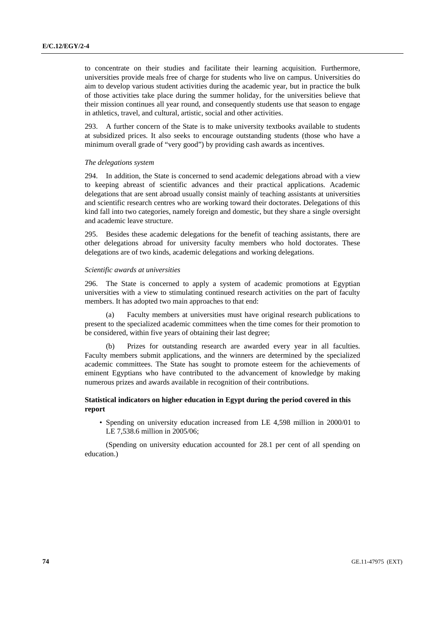to concentrate on their studies and facilitate their learning acquisition. Furthermore, universities provide meals free of charge for students who live on campus. Universities do aim to develop various student activities during the academic year, but in practice the bulk of those activities take place during the summer holiday, for the universities believe that their mission continues all year round, and consequently students use that season to engage in athletics, travel, and cultural, artistic, social and other activities.

293. A further concern of the State is to make university textbooks available to students at subsidized prices. It also seeks to encourage outstanding students (those who have a minimum overall grade of "very good") by providing cash awards as incentives.

### *The delegations system*

294. In addition, the State is concerned to send academic delegations abroad with a view to keeping abreast of scientific advances and their practical applications. Academic delegations that are sent abroad usually consist mainly of teaching assistants at universities and scientific research centres who are working toward their doctorates. Delegations of this kind fall into two categories, namely foreign and domestic, but they share a single oversight and academic leave structure.

295. Besides these academic delegations for the benefit of teaching assistants, there are other delegations abroad for university faculty members who hold doctorates. These delegations are of two kinds, academic delegations and working delegations.

#### *Scientific awards at universities*

296. The State is concerned to apply a system of academic promotions at Egyptian universities with a view to stimulating continued research activities on the part of faculty members. It has adopted two main approaches to that end:

 (a) Faculty members at universities must have original research publications to present to the specialized academic committees when the time comes for their promotion to be considered, within five years of obtaining their last degree;

Prizes for outstanding research are awarded every year in all faculties. Faculty members submit applications, and the winners are determined by the specialized academic committees. The State has sought to promote esteem for the achievements of eminent Egyptians who have contributed to the advancement of knowledge by making numerous prizes and awards available in recognition of their contributions.

### **Statistical indicators on higher education in Egypt during the period covered in this report**

• Spending on university education increased from LE 4,598 million in 2000/01 to LE 7,538.6 million in 2005/06;

 (Spending on university education accounted for 28.1 per cent of all spending on education.)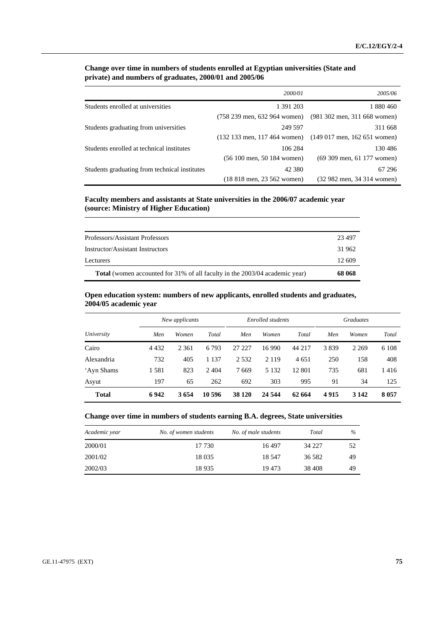# **Change over time in numbers of students enrolled at Egyptian universities (State and private) and numbers of graduates, 2000/01 and 2005/06**

|                                               | 2000/01                                        | 2005/06                                        |
|-----------------------------------------------|------------------------------------------------|------------------------------------------------|
| Students enrolled at universities             | 1 391 203                                      | 1 880 460                                      |
|                                               | $(758 239 \text{ men}, 632 964 \text{ women})$ | $(981 302$ men, 311 668 women)                 |
| Students graduating from universities         | 249 597                                        | 311 668                                        |
|                                               | $(132 133$ men, 117 464 women)                 | $(149017 \text{ men}, 162651 \text{ women})$   |
| Students enrolled at technical institutes     | 106 284                                        | 130486                                         |
|                                               | $(56 100$ men, 50 184 women)                   | $(69, 309 \text{ men}, 61, 177 \text{ women})$ |
| Students graduating from technical institutes | 42 380                                         | 67 29 6                                        |
|                                               | (18 818 men, 23 562 women)                     | (32 982 men, 34 314 women)                     |

 **Faculty members and assistants at State universities in the 2006/07 academic year (source: Ministry of Higher Education)** 

| 12.609 |
|--------|
|        |
| 31 962 |
| 23 497 |
|        |

# **Open education system: numbers of new applicants, enrolled students and graduates, 2004/05 academic year**

|              | New applicants<br>Enrolled students |         |         | <b>Graduates</b> |         |         |      |         |         |
|--------------|-------------------------------------|---------|---------|------------------|---------|---------|------|---------|---------|
| University   | Men                                 | Women   | Total   | Men              | Women   | Total   | Men  | Women   | Total   |
| Cairo        | 4 4 3 2                             | 2 3 6 1 | 6793    | 27 227           | 16 9 90 | 44 217  | 3839 | 2 2 6 9 | 6 1 0 8 |
| Alexandria   | 732                                 | 405     | 1 1 3 7 | 2 5 3 2          | 2 1 1 9 | 4 6 5 1 | 250  | 158     | 408     |
| 'Ayn Shams   | 1581                                | 823     | 2 4 0 4 | 7669             | 5 1 3 2 | 12 801  | 735  | 681     | 1416    |
| Asyut        | 197                                 | 65      | 262     | 692              | 303     | 995     | 91   | 34      | 125     |
| <b>Total</b> | 6942                                | 3654    | 10 596  | 38 1 20          | 24 5 44 | 62 664  | 4915 | 3 1 4 2 | 8 0 5 7 |

# **Change over time in numbers of students earning B.A. degrees, State universities**

| Academic year | No. of women students | No. of male students | Total   | $\%$ |
|---------------|-----------------------|----------------------|---------|------|
| 2000/01       | 17 730                | 16497                | 34 227  | 52   |
| 2001/02       | 18 0 35               | 18.547               | 36 5 82 | 49   |
| 2002/03       | 18935                 | 19473                | 38 408  | 49   |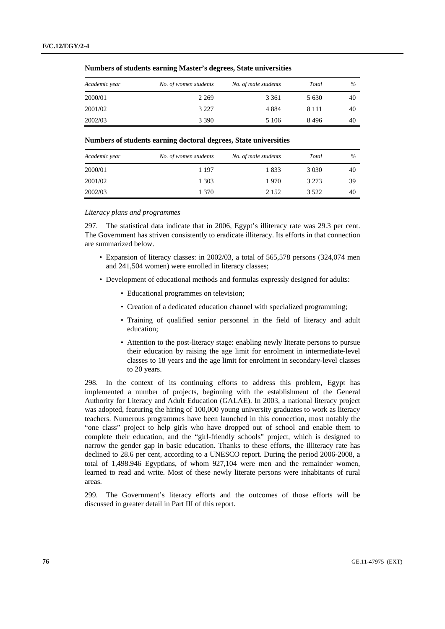**Numbers of students earning Master's degrees, State universities** 

| Academic year | No. of women students | No. of male students | Total   | $\%$ |
|---------------|-----------------------|----------------------|---------|------|
| 2000/01       | 2 2 6 9               | 3 3 6 1              | 5 6 3 0 | 40   |
| 2001/02       | 3 2 2 7               | 4 8 8 4              | 8 1 1 1 | 40   |
| 2002/03       | 3 3 9 0               | 5 1 0 6              | 8496    | 40   |

#### **Numbers of students earning doctoral degrees, State universities**

| Academic year | No. of women students | No. of male students | Total   | $\%$ |
|---------------|-----------------------|----------------------|---------|------|
| 2000/01       | 1 197                 | 1833                 | 3 0 3 0 | 40   |
| 2001/02       | 1 303                 | 1970                 | 3 2 7 3 | 39   |
| 2002/03       | 1 370                 | 2 1 5 2              | 3 5 2 2 | 40   |

### *Literacy plans and programmes*

297. The statistical data indicate that in 2006, Egypt's illiteracy rate was 29.3 per cent. The Government has striven consistently to eradicate illiteracy. Its efforts in that connection are summarized below.

- Expansion of literacy classes: in 2002/03, a total of 565,578 persons (324,074 men and 241,504 women) were enrolled in literacy classes;
- Development of educational methods and formulas expressly designed for adults:
	- Educational programmes on television;
	- Creation of a dedicated education channel with specialized programming;
	- Training of qualified senior personnel in the field of literacy and adult education;
	- Attention to the post-literacy stage: enabling newly literate persons to pursue their education by raising the age limit for enrolment in intermediate-level classes to 18 years and the age limit for enrolment in secondary-level classes to 20 years.

298. In the context of its continuing efforts to address this problem, Egypt has implemented a number of projects, beginning with the establishment of the General Authority for Literacy and Adult Education (GALAE). In 2003, a national literacy project was adopted, featuring the hiring of 100,000 young university graduates to work as literacy teachers. Numerous programmes have been launched in this connection, most notably the "one class" project to help girls who have dropped out of school and enable them to complete their education, and the "girl-friendly schools" project, which is designed to narrow the gender gap in basic education. Thanks to these efforts, the illiteracy rate has declined to 28.6 per cent, according to a UNESCO report. During the period 2006-2008, a total of 1,498.946 Egyptians, of whom 927,104 were men and the remainder women, learned to read and write. Most of these newly literate persons were inhabitants of rural areas.

299. The Government's literacy efforts and the outcomes of those efforts will be discussed in greater detail in Part III of this report.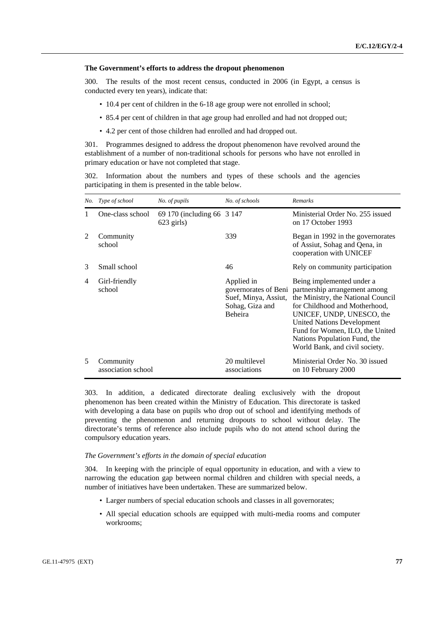#### **The Government's efforts to address the dropout phenomenon**

300. The results of the most recent census, conducted in 2006 (in Egypt, a census is conducted every ten years), indicate that:

- 10.4 per cent of children in the 6-18 age group were not enrolled in school;
- 85.4 per cent of children in that age group had enrolled and had not dropped out;
- 4.2 per cent of those children had enrolled and had dropped out.

301. Programmes designed to address the dropout phenomenon have revolved around the establishment of a number of non-traditional schools for persons who have not enrolled in primary education or have not completed that stage.

302. Information about the numbers and types of these schools and the agencies participating in them is presented in the table below.

|                | No. Type of school              | No. of pupils                               | No. of schools                                                          | Remarks                                                                                                                                                                                                                                                                                                                       |
|----------------|---------------------------------|---------------------------------------------|-------------------------------------------------------------------------|-------------------------------------------------------------------------------------------------------------------------------------------------------------------------------------------------------------------------------------------------------------------------------------------------------------------------------|
| 1              | One-class school                | 69 170 (including 66 3 147)<br>$623$ girls) |                                                                         | Ministerial Order No. 255 issued<br>on 17 October 1993                                                                                                                                                                                                                                                                        |
| 2              | Community<br>school             |                                             | 339                                                                     | Began in 1992 in the governorates<br>of Assiut, Sohag and Qena, in<br>cooperation with UNICEF                                                                                                                                                                                                                                 |
| 3              | Small school                    |                                             | 46                                                                      | Rely on community participation                                                                                                                                                                                                                                                                                               |
| $\overline{4}$ | Girl-friendly<br>school         |                                             | Applied in<br>Suef, Minya, Assiut,<br>Sohag, Giza and<br><b>Beheira</b> | Being implemented under a<br>governorates of Beni partnership arrangement among<br>the Ministry, the National Council<br>for Childhood and Motherhood,<br>UNICEF, UNDP, UNESCO, the<br><b>United Nations Development</b><br>Fund for Women, ILO, the United<br>Nations Population Fund, the<br>World Bank, and civil society. |
| 5              | Community<br>association school |                                             | 20 multilevel<br>associations                                           | Ministerial Order No. 30 issued<br>on 10 February 2000                                                                                                                                                                                                                                                                        |

303. In addition, a dedicated directorate dealing exclusively with the dropout phenomenon has been created within the Ministry of Education. This directorate is tasked with developing a data base on pupils who drop out of school and identifying methods of preventing the phenomenon and returning dropouts to school without delay. The directorate's terms of reference also include pupils who do not attend school during the compulsory education years.

#### *The Government's efforts in the domain of special education*

304. In keeping with the principle of equal opportunity in education, and with a view to narrowing the education gap between normal children and children with special needs, a number of initiatives have been undertaken. These are summarized below.

- Larger numbers of special education schools and classes in all governorates;
- All special education schools are equipped with multi-media rooms and computer workrooms;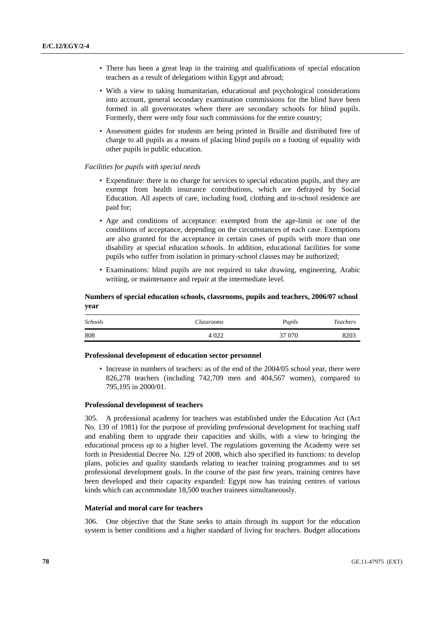- There has been a great leap in the training and qualifications of special education teachers as a result of delegations within Egypt and abroad;
- With a view to taking humanitarian, educational and psychological considerations into account, general secondary examination commissions for the blind have been formed in all governorates where there are secondary schools for blind pupils. Formerly, there were only four such commissions for the entire country;
- Assessment guides for students are being printed in Braille and distributed free of charge to all pupils as a means of placing blind pupils on a footing of equality with other pupils in public education.

### *Facilities for pupils with special needs*

- Expenditure: there is no charge for services to special education pupils, and they are exempt from health insurance contributions, which are defrayed by Social Education. All aspects of care, including food, clothing and in-school residence are paid for;
- Age and conditions of acceptance: exempted from the age-limit or one of the conditions of acceptance, depending on the circumstances of each case. Exemptions are also granted for the acceptance in certain cases of pupils with more than one disability at special education schools. In addition, educational facilities for some pupils who suffer from isolation in primary-school classes may be authorized;
- Examinations: blind pupils are not required to take drawing, engineering, Arabic writing, or maintenance and repair at the intermediate level.

### **Numbers of special education schools, classrooms, pupils and teachers, 2006/07 school year**

| <i>Schools</i> | Classrooms | Pupils | <b>Teachers</b> |
|----------------|------------|--------|-----------------|
| 808            | 4 0 2 2    | 37 070 | 8203            |

### **Professional development of education sector personnel**

• Increase in numbers of teachers: as of the end of the 2004/05 school year, there were 826,278 teachers (including 742,709 men and 404,567 women), compared to 795,195 in 2000/01.

### **Professional development of teachers**

305. A professional academy for teachers was established under the Education Act (Act No. 139 of 1981) for the purpose of providing professional development for teaching staff and enabling them to upgrade their capacities and skills, with a view to bringing the educational process up to a higher level. The regulations governing the Academy were set forth in Presidential Decree No. 129 of 2008, which also specified its functions: to develop plans, policies and quality standards relating to teacher training programmes and to set professional development goals. In the course of the past few years, training centres have been developed and their capacity expanded: Egypt now has training centres of various kinds which can accommodate 18,500 teacher trainees simultaneously.

### **Material and moral care for teachers**

306. One objective that the State seeks to attain through its support for the education system is better conditions and a higher standard of living for teachers. Budget allocations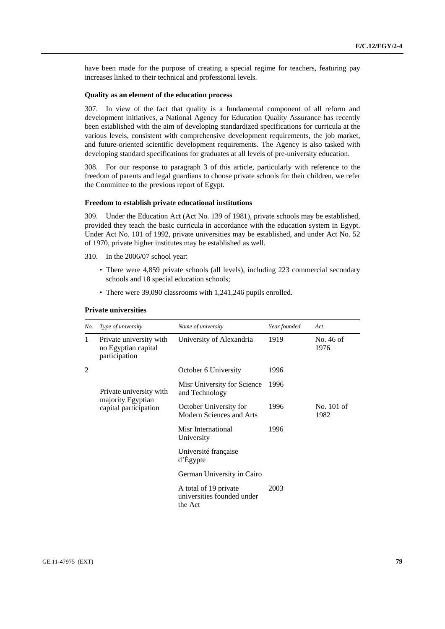have been made for the purpose of creating a special regime for teachers, featuring pay increases linked to their technical and professional levels.

### **Quality as an element of the education process**

307. In view of the fact that quality is a fundamental component of all reform and development initiatives, a National Agency for Education Quality Assurance has recently been established with the aim of developing standardized specifications for curricula at the various levels, consistent with comprehensive development requirements, the job market, and future-oriented scientific development requirements. The Agency is also tasked with developing standard specifications for graduates at all levels of pre-university education.

308. For our response to paragraph 3 of this article, particularly with reference to the freedom of parents and legal guardians to choose private schools for their children, we refer the Committee to the previous report of Egypt.

### **Freedom to establish private educational institutions**

309. Under the Education Act (Act No. 139 of 1981), private schools may be established, provided they teach the basic curricula in accordance with the education system in Egypt. Under Act No. 101 of 1992, private universities may be established, and under Act No. 52 of 1970, private higher institutes may be established as well.

- 310. In the 2006/07 school year:
	- There were 4,859 private schools (all levels), including 223 commercial secondary schools and 18 special education schools;
	- There were 39,090 classrooms with 1,241,246 pupils enrolled.

#### **Private universities**

| No. | Type of university                                                    | Name of university                                             | Year founded | Act                |
|-----|-----------------------------------------------------------------------|----------------------------------------------------------------|--------------|--------------------|
| 1   | Private university with<br>no Egyptian capital<br>participation       | University of Alexandria                                       | 1919         | No. 46 of<br>1976  |
| 2   |                                                                       | October 6 University                                           | 1996         |                    |
|     | Private university with<br>majority Egyptian<br>capital participation | Misr University for Science<br>and Technology                  | 1996         |                    |
|     |                                                                       | October University for<br>Modern Sciences and Arts             | 1996         | No. 101 of<br>1982 |
|     |                                                                       | Misr International<br>University                               | 1996         |                    |
|     |                                                                       | Université française<br>d'Égypte                               |              |                    |
|     |                                                                       | German University in Cairo                                     |              |                    |
|     |                                                                       | A total of 19 private<br>universities founded under<br>the Act | 2003         |                    |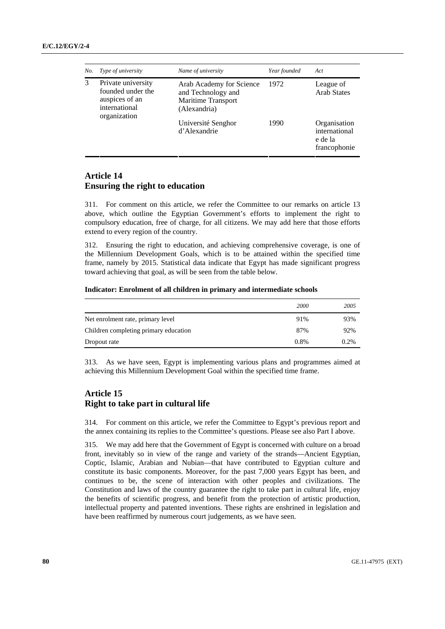| No. | Type of university                                                                         | Name of university                                                                          | Year founded | Act                                                      |
|-----|--------------------------------------------------------------------------------------------|---------------------------------------------------------------------------------------------|--------------|----------------------------------------------------------|
| 3   | Private university<br>founded under the<br>auspices of an<br>international<br>organization | Arab Academy for Science<br>and Technology and<br><b>Maritime Transport</b><br>(Alexandria) | 1972         | League of<br><b>Arab States</b>                          |
|     |                                                                                            | Université Senghor<br>d'Alexandrie                                                          | 1990         | Organisation<br>international<br>e de la<br>francophonie |

# **Article 14 Ensuring the right to education**

311. For comment on this article, we refer the Committee to our remarks on article 13 above, which outline the Egyptian Government's efforts to implement the right to compulsory education, free of charge, for all citizens. We may add here that those efforts extend to every region of the country.

312. Ensuring the right to education, and achieving comprehensive coverage, is one of the Millennium Development Goals, which is to be attained within the specified time frame, namely by 2015. Statistical data indicate that Egypt has made significant progress toward achieving that goal, as will be seen from the table below.

### **Indicator: Enrolment of all children in primary and intermediate schools**

|                                       | 2000    | 2005 |
|---------------------------------------|---------|------|
| Net enrolment rate, primary level     | 91%     | 93%  |
| Children completing primary education | 87%     | 92%  |
| Dropout rate                          | $0.8\%$ | 0.2% |

313. As we have seen, Egypt is implementing various plans and programmes aimed at achieving this Millennium Development Goal within the specified time frame.

# **Article 15 Right to take part in cultural life**

314. For comment on this article, we refer the Committee to Egypt's previous report and the annex containing its replies to the Committee's questions. Please see also Part I above.

315. We may add here that the Government of Egypt is concerned with culture on a broad front, inevitably so in view of the range and variety of the strands—Ancient Egyptian, Coptic, Islamic, Arabian and Nubian—that have contributed to Egyptian culture and constitute its basic components. Moreover, for the past 7,000 years Egypt has been, and continues to be, the scene of interaction with other peoples and civilizations. The Constitution and laws of the country guarantee the right to take part in cultural life, enjoy the benefits of scientific progress, and benefit from the protection of artistic production, intellectual property and patented inventions. These rights are enshrined in legislation and have been reaffirmed by numerous court judgements, as we have seen.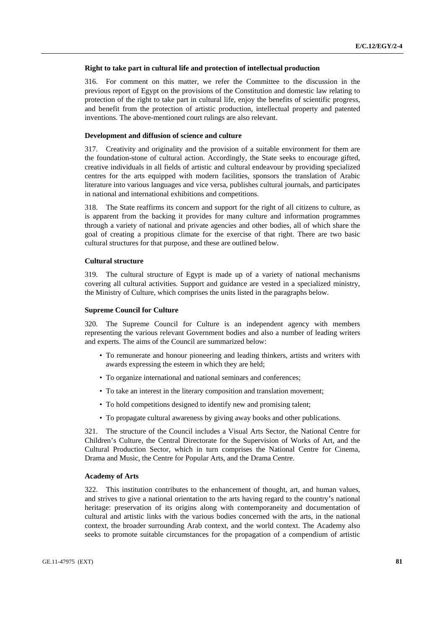#### **Right to take part in cultural life and protection of intellectual production**

316. For comment on this matter, we refer the Committee to the discussion in the previous report of Egypt on the provisions of the Constitution and domestic law relating to protection of the right to take part in cultural life, enjoy the benefits of scientific progress, and benefit from the protection of artistic production, intellectual property and patented inventions. The above-mentioned court rulings are also relevant.

### **Development and diffusion of science and culture**

317. Creativity and originality and the provision of a suitable environment for them are the foundation-stone of cultural action. Accordingly, the State seeks to encourage gifted, creative individuals in all fields of artistic and cultural endeavour by providing specialized centres for the arts equipped with modern facilities, sponsors the translation of Arabic literature into various languages and vice versa, publishes cultural journals, and participates in national and international exhibitions and competitions.

318. The State reaffirms its concern and support for the right of all citizens to culture, as is apparent from the backing it provides for many culture and information programmes through a variety of national and private agencies and other bodies, all of which share the goal of creating a propitious climate for the exercise of that right. There are two basic cultural structures for that purpose, and these are outlined below.

# **Cultural structure**

319. The cultural structure of Egypt is made up of a variety of national mechanisms covering all cultural activities. Support and guidance are vested in a specialized ministry, the Ministry of Culture, which comprises the units listed in the paragraphs below.

### **Supreme Council for Culture**

320. The Supreme Council for Culture is an independent agency with members representing the various relevant Government bodies and also a number of leading writers and experts. The aims of the Council are summarized below:

- To remunerate and honour pioneering and leading thinkers, artists and writers with awards expressing the esteem in which they are held;
- To organize international and national seminars and conferences;
- To take an interest in the literary composition and translation movement;
- To hold competitions designed to identify new and promising talent;
- To propagate cultural awareness by giving away books and other publications.

321. The structure of the Council includes a Visual Arts Sector, the National Centre for Children's Culture, the Central Directorate for the Supervision of Works of Art, and the Cultural Production Sector, which in turn comprises the National Centre for Cinema, Drama and Music, the Centre for Popular Arts, and the Drama Centre.

### **Academy of Arts**

322. This institution contributes to the enhancement of thought, art, and human values, and strives to give a national orientation to the arts having regard to the country's national heritage: preservation of its origins along with contemporaneity and documentation of cultural and artistic links with the various bodies concerned with the arts, in the national context, the broader surrounding Arab context, and the world context. The Academy also seeks to promote suitable circumstances for the propagation of a compendium of artistic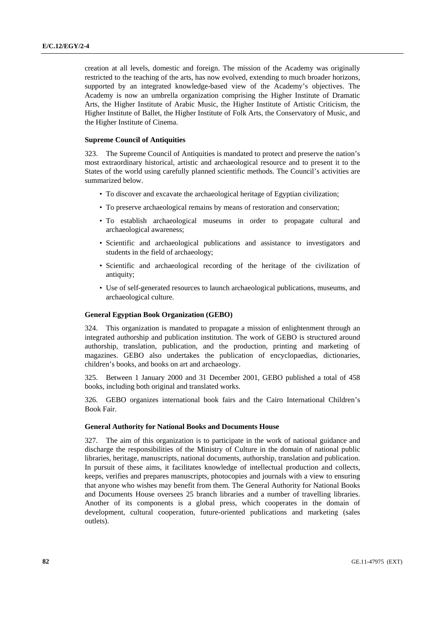creation at all levels, domestic and foreign. The mission of the Academy was originally restricted to the teaching of the arts, has now evolved, extending to much broader horizons, supported by an integrated knowledge-based view of the Academy's objectives. The Academy is now an umbrella organization comprising the Higher Institute of Dramatic Arts, the Higher Institute of Arabic Music, the Higher Institute of Artistic Criticism, the Higher Institute of Ballet, the Higher Institute of Folk Arts, the Conservatory of Music, and the Higher Institute of Cinema.

### **Supreme Council of Antiquities**

323. The Supreme Council of Antiquities is mandated to protect and preserve the nation's most extraordinary historical, artistic and archaeological resource and to present it to the States of the world using carefully planned scientific methods. The Council's activities are summarized below.

- To discover and excavate the archaeological heritage of Egyptian civilization;
- To preserve archaeological remains by means of restoration and conservation;
- To establish archaeological museums in order to propagate cultural and archaeological awareness;
- Scientific and archaeological publications and assistance to investigators and students in the field of archaeology;
- Scientific and archaeological recording of the heritage of the civilization of antiquity;
- Use of self-generated resources to launch archaeological publications, museums, and archaeological culture.

### **General Egyptian Book Organization (GEBO)**

324. This organization is mandated to propagate a mission of enlightenment through an integrated authorship and publication institution. The work of GEBO is structured around authorship, translation, publication, and the production, printing and marketing of magazines. GEBO also undertakes the publication of encyclopaedias, dictionaries, children's books, and books on art and archaeology.

325. Between 1 January 2000 and 31 December 2001, GEBO published a total of 458 books, including both original and translated works.

326. GEBO organizes international book fairs and the Cairo International Children's Book Fair.

#### **General Authority for National Books and Documents House**

327. The aim of this organization is to participate in the work of national guidance and discharge the responsibilities of the Ministry of Culture in the domain of national public libraries, heritage, manuscripts, national documents, authorship, translation and publication. In pursuit of these aims, it facilitates knowledge of intellectual production and collects, keeps, verifies and prepares manuscripts, photocopies and journals with a view to ensuring that anyone who wishes may benefit from them. The General Authority for National Books and Documents House oversees 25 branch libraries and a number of travelling libraries. Another of its components is a global press, which cooperates in the domain of development, cultural cooperation, future-oriented publications and marketing (sales outlets).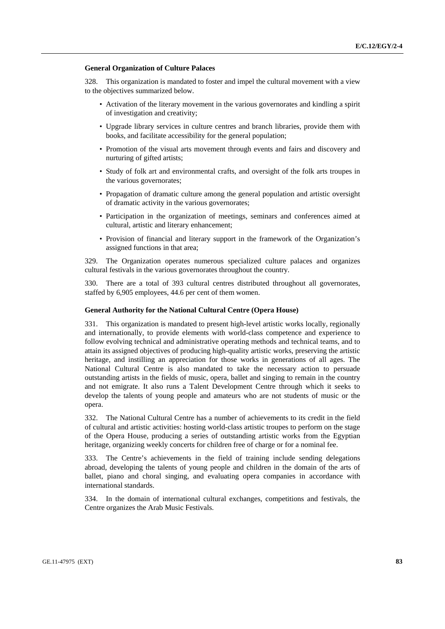#### **General Organization of Culture Palaces**

328. This organization is mandated to foster and impel the cultural movement with a view to the objectives summarized below.

- Activation of the literary movement in the various governorates and kindling a spirit of investigation and creativity;
- Upgrade library services in culture centres and branch libraries, provide them with books, and facilitate accessibility for the general population;
- Promotion of the visual arts movement through events and fairs and discovery and nurturing of gifted artists;
- Study of folk art and environmental crafts, and oversight of the folk arts troupes in the various governorates;
- Propagation of dramatic culture among the general population and artistic oversight of dramatic activity in the various governorates;
- Participation in the organization of meetings, seminars and conferences aimed at cultural, artistic and literary enhancement;
- Provision of financial and literary support in the framework of the Organization's assigned functions in that area;

329. The Organization operates numerous specialized culture palaces and organizes cultural festivals in the various governorates throughout the country.

330. There are a total of 393 cultural centres distributed throughout all governorates, staffed by 6,905 employees, 44.6 per cent of them women.

### **General Authority for the National Cultural Centre (Opera House)**

331. This organization is mandated to present high-level artistic works locally, regionally and internationally, to provide elements with world-class competence and experience to follow evolving technical and administrative operating methods and technical teams, and to attain its assigned objectives of producing high-quality artistic works, preserving the artistic heritage, and instilling an appreciation for those works in generations of all ages. The National Cultural Centre is also mandated to take the necessary action to persuade outstanding artists in the fields of music, opera, ballet and singing to remain in the country and not emigrate. It also runs a Talent Development Centre through which it seeks to develop the talents of young people and amateurs who are not students of music or the opera.

332. The National Cultural Centre has a number of achievements to its credit in the field of cultural and artistic activities: hosting world-class artistic troupes to perform on the stage of the Opera House, producing a series of outstanding artistic works from the Egyptian heritage, organizing weekly concerts for children free of charge or for a nominal fee.

333. The Centre's achievements in the field of training include sending delegations abroad, developing the talents of young people and children in the domain of the arts of ballet, piano and choral singing, and evaluating opera companies in accordance with international standards.

334. In the domain of international cultural exchanges, competitions and festivals, the Centre organizes the Arab Music Festivals.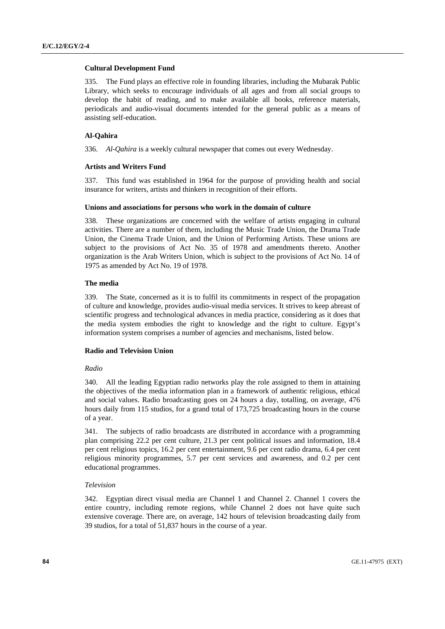### **Cultural Development Fund**

335. The Fund plays an effective role in founding libraries, including the Mubarak Public Library, which seeks to encourage individuals of all ages and from all social groups to develop the habit of reading, and to make available all books, reference materials, periodicals and audio-visual documents intended for the general public as a means of assisting self-education.

### **Al-Qahira**

336. *Al-Qahira* is a weekly cultural newspaper that comes out every Wednesday.

### **Artists and Writers Fund**

337. This fund was established in 1964 for the purpose of providing health and social insurance for writers, artists and thinkers in recognition of their efforts.

### **Unions and associations for persons who work in the domain of culture**

338. These organizations are concerned with the welfare of artists engaging in cultural activities. There are a number of them, including the Music Trade Union, the Drama Trade Union, the Cinema Trade Union, and the Union of Performing Artists. These unions are subject to the provisions of Act No. 35 of 1978 and amendments thereto. Another organization is the Arab Writers Union, which is subject to the provisions of Act No. 14 of 1975 as amended by Act No. 19 of 1978.

### **The media**

339. The State, concerned as it is to fulfil its commitments in respect of the propagation of culture and knowledge, provides audio-visual media services. It strives to keep abreast of scientific progress and technological advances in media practice, considering as it does that the media system embodies the right to knowledge and the right to culture. Egypt's information system comprises a number of agencies and mechanisms, listed below.

### **Radio and Television Union**

#### *Radio*

340. All the leading Egyptian radio networks play the role assigned to them in attaining the objectives of the media information plan in a framework of authentic religious, ethical and social values. Radio broadcasting goes on 24 hours a day, totalling, on average, 476 hours daily from 115 studios, for a grand total of 173,725 broadcasting hours in the course of a year.

341. The subjects of radio broadcasts are distributed in accordance with a programming plan comprising 22.2 per cent culture, 21.3 per cent political issues and information, 18.4 per cent religious topics, 16.2 per cent entertainment, 9.6 per cent radio drama, 6.4 per cent religious minority programmes, 5.7 per cent services and awareness, and 0.2 per cent educational programmes.

### *Television*

342. Egyptian direct visual media are Channel 1 and Channel 2. Channel 1 covers the entire country, including remote regions, while Channel 2 does not have quite such extensive coverage. There are, on average, 142 hours of television broadcasting daily from 39 studios, for a total of 51,837 hours in the course of a year.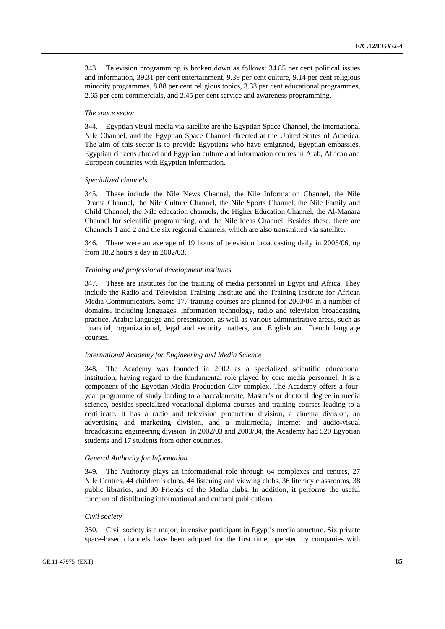343. Television programming is broken down as follows: 34.85 per cent political issues and information, 39.31 per cent entertainment, 9.39 per cent culture, 9.14 per cent religious minority programmes, 8.88 per cent religious topics, 3.33 per cent educational programmes, 2.65 per cent commercials, and 2.45 per cent service and awareness programming.

### *The space sector*

344. Egyptian visual media via satellite are the Egyptian Space Channel, the international Nile Channel, and the Egyptian Space Channel directed at the United States of America. The aim of this sector is to provide Egyptians who have emigrated, Egyptian embassies, Egyptian citizens abroad and Egyptian culture and information centres in Arab, African and European countries with Egyptian information.

### *Specialized channels*

345. These include the Nile News Channel, the Nile Information Channel, the Nile Drama Channel, the Nile Culture Channel, the Nile Sports Channel, the Nile Family and Child Channel, the Nile education channels, the Higher Education Channel, the Al-Manara Channel for scientific programming, and the Nile Ideas Channel. Besides these, there are Channels 1 and 2 and the six regional channels, which are also transmitted via satellite.

346. There were an average of 19 hours of television broadcasting daily in 2005/06, up from 18.2 hours a day in 2002/03.

#### *Training and professional development institutes*

347. These are institutes for the training of media personnel in Egypt and Africa. They include the Radio and Television Training Institute and the Training Institute for African Media Communicators. Some 177 training courses are planned for 2003/04 in a number of domains, including languages, information technology, radio and television broadcasting practice, Arabic language and presentation, as well as various administrative areas, such as financial, organizational, legal and security matters, and English and French language courses.

### *International Academy for Engineering and Media Science*

348. The Academy was founded in 2002 as a specialized scientific educational institution, having regard to the fundamental role played by core media personnel. It is a component of the Egyptian Media Production City complex. The Academy offers a fouryear programme of study leading to a baccalaureate, Master's or doctoral degree in media science, besides specialized vocational diploma courses and training courses leading to a certificate. It has a radio and television production division, a cinema division, an advertising and marketing division, and a multimedia, Internet and audio-visual broadcasting engineering division. In 2002/03 and 2003/04, the Academy had 520 Egyptian students and 17 students from other countries.

### *General Authority for Information*

349. The Authority plays an informational role through 64 complexes and centres, 27 Nile Centres, 44 children's clubs, 44 listening and viewing clubs, 36 literacy classrooms, 38 public libraries, and 30 Friends of the Media clubs. In addition, it performs the useful function of distributing informational and cultural publications.

#### *Civil society*

350. Civil society is a major, intensive participant in Egypt's media structure. Six private space-based channels have been adopted for the first time, operated by companies with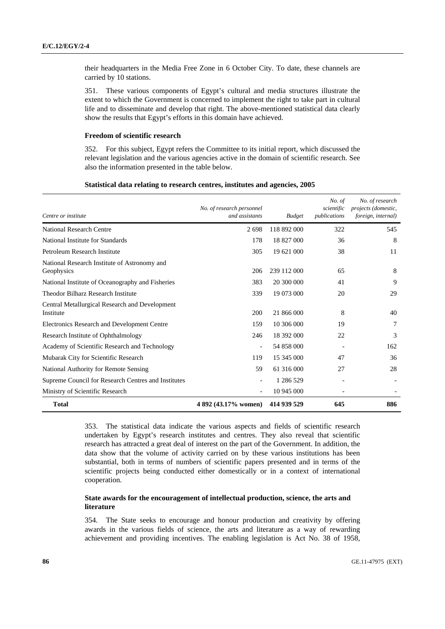their headquarters in the Media Free Zone in 6 October City. To date, these channels are carried by 10 stations.

351. These various components of Egypt's cultural and media structures illustrate the extent to which the Government is concerned to implement the right to take part in cultural life and to disseminate and develop that right. The above-mentioned statistical data clearly show the results that Egypt's efforts in this domain have achieved.

### **Freedom of scientific research**

352. For this subject, Egypt refers the Committee to its initial report, which discussed the relevant legislation and the various agencies active in the domain of scientific research. See also the information presented in the table below.

| Statistical data relating to research centres, institutes and agencies, 2005 |  |
|------------------------------------------------------------------------------|--|
|                                                                              |  |

| Centre or institute                                         | No. of research personnel<br>and assistants | <b>Budget</b> | No. of<br>scientific<br>publications | No. of research<br>projects (domestic,<br>foreign, internal) |
|-------------------------------------------------------------|---------------------------------------------|---------------|--------------------------------------|--------------------------------------------------------------|
| <b>National Research Centre</b>                             | 2698                                        | 118 892 000   | 322                                  | 545                                                          |
| National Institute for Standards                            | 178                                         | 18 827 000    | 36                                   | 8                                                            |
| Petroleum Research Institute                                | 305                                         | 19 621 000    | 38                                   | 11                                                           |
| National Research Institute of Astronomy and<br>Geophysics  | 206                                         | 239 112 000   | 65                                   | 8                                                            |
| National Institute of Oceanography and Fisheries            | 383                                         | 20 300 000    | 41                                   | 9                                                            |
| Theodor Bilharz Research Institute                          | 339                                         | 19 073 000    | 20                                   | 29                                                           |
| Central Metallurgical Research and Development<br>Institute | 200                                         | 21 866 000    | 8                                    | 40                                                           |
| Electronics Research and Development Centre                 | 159                                         | 10 306 000    | 19                                   | 7                                                            |
| Research Institute of Ophthalmology                         | 246                                         | 18 392 000    | 22                                   | 3                                                            |
| Academy of Scientific Research and Technology               | $\overline{\phantom{a}}$                    | 54 858 000    |                                      | 162                                                          |
| Mubarak City for Scientific Research                        | 119                                         | 15 345 000    | 47                                   | 36                                                           |
| National Authority for Remote Sensing                       | 59                                          | 61 316 000    | 27                                   | 28                                                           |
| Supreme Council for Research Centres and Institutes         | $\overline{\phantom{a}}$                    | 1 286 529     |                                      | $\overline{\phantom{a}}$                                     |
| Ministry of Scientific Research                             | $\overline{\phantom{a}}$                    | 10 945 000    |                                      |                                                              |
| <b>Total</b>                                                | 4 892 (43.17% women)                        | 414 939 529   | 645                                  | 886                                                          |

353. The statistical data indicate the various aspects and fields of scientific research undertaken by Egypt's research institutes and centres. They also reveal that scientific research has attracted a great deal of interest on the part of the Government. In addition, the data show that the volume of activity carried on by these various institutions has been substantial, both in terms of numbers of scientific papers presented and in terms of the scientific projects being conducted either domestically or in a context of international cooperation.

### **State awards for the encouragement of intellectual production, science, the arts and literature**

354. The State seeks to encourage and honour production and creativity by offering awards in the various fields of science, the arts and literature as a way of rewarding achievement and providing incentives. The enabling legislation is Act No. 38 of 1958,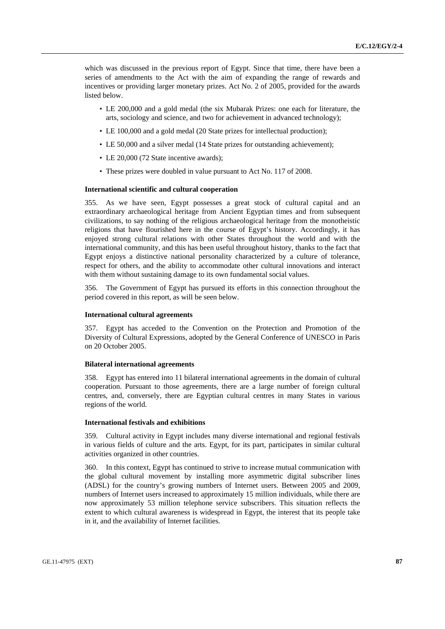which was discussed in the previous report of Egypt. Since that time, there have been a series of amendments to the Act with the aim of expanding the range of rewards and incentives or providing larger monetary prizes. Act No. 2 of 2005, provided for the awards listed below.

- LE 200,000 and a gold medal (the six Mubarak Prizes: one each for literature, the arts, sociology and science, and two for achievement in advanced technology);
- LE 100,000 and a gold medal (20 State prizes for intellectual production);
- LE 50,000 and a silver medal (14 State prizes for outstanding achievement);
- LE 20,000 (72 State incentive awards);
- These prizes were doubled in value pursuant to Act No. 117 of 2008.

### **International scientific and cultural cooperation**

355. As we have seen, Egypt possesses a great stock of cultural capital and an extraordinary archaeological heritage from Ancient Egyptian times and from subsequent civilizations, to say nothing of the religious archaeological heritage from the monotheistic religions that have flourished here in the course of Egypt's history. Accordingly, it has enjoyed strong cultural relations with other States throughout the world and with the international community, and this has been useful throughout history, thanks to the fact that Egypt enjoys a distinctive national personality characterized by a culture of tolerance, respect for others, and the ability to accommodate other cultural innovations and interact with them without sustaining damage to its own fundamental social values.

356. The Government of Egypt has pursued its efforts in this connection throughout the period covered in this report, as will be seen below.

### **International cultural agreements**

357. Egypt has acceded to the Convention on the Protection and Promotion of the Diversity of Cultural Expressions, adopted by the General Conference of UNESCO in Paris on 20 October 2005.

#### **Bilateral international agreements**

358. Egypt has entered into 11 bilateral international agreements in the domain of cultural cooperation. Pursuant to those agreements, there are a large number of foreign cultural centres, and, conversely, there are Egyptian cultural centres in many States in various regions of the world.

### **International festivals and exhibitions**

359. Cultural activity in Egypt includes many diverse international and regional festivals in various fields of culture and the arts. Egypt, for its part, participates in similar cultural activities organized in other countries.

360. In this context, Egypt has continued to strive to increase mutual communication with the global cultural movement by installing more asymmetric digital subscriber lines (ADSL) for the country's growing numbers of Internet users. Between 2005 and 2009, numbers of Internet users increased to approximately 15 million individuals, while there are now approximately 53 million telephone service subscribers. This situation reflects the extent to which cultural awareness is widespread in Egypt, the interest that its people take in it, and the availability of Internet facilities.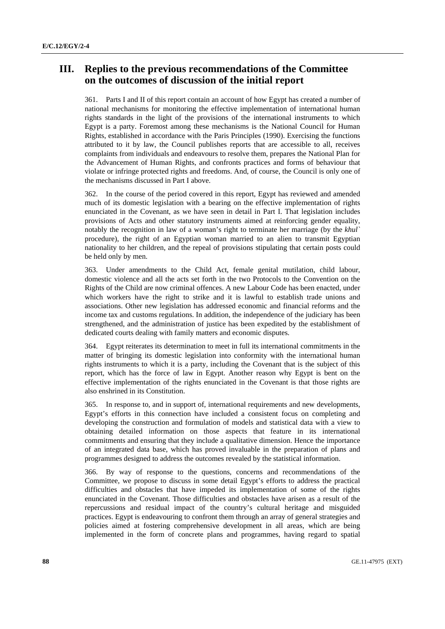# **III. Replies to the previous recommendations of the Committee on the outcomes of discussion of the initial report**

361. Parts I and II of this report contain an account of how Egypt has created a number of national mechanisms for monitoring the effective implementation of international human rights standards in the light of the provisions of the international instruments to which Egypt is a party. Foremost among these mechanisms is the National Council for Human Rights, established in accordance with the Paris Principles (1990). Exercising the functions attributed to it by law, the Council publishes reports that are accessible to all, receives complaints from individuals and endeavours to resolve them, prepares the National Plan for the Advancement of Human Rights, and confronts practices and forms of behaviour that violate or infringe protected rights and freedoms. And, of course, the Council is only one of the mechanisms discussed in Part I above.

362. In the course of the period covered in this report, Egypt has reviewed and amended much of its domestic legislation with a bearing on the effective implementation of rights enunciated in the Covenant, as we have seen in detail in Part I. That legislation includes provisions of Acts and other statutory instruments aimed at reinforcing gender equality, notably the recognition in law of a woman's right to terminate her marriage (by the *khul`* procedure), the right of an Egyptian woman married to an alien to transmit Egyptian nationality to her children, and the repeal of provisions stipulating that certain posts could be held only by men.

363. Under amendments to the Child Act, female genital mutilation, child labour, domestic violence and all the acts set forth in the two Protocols to the Convention on the Rights of the Child are now criminal offences. A new Labour Code has been enacted, under which workers have the right to strike and it is lawful to establish trade unions and associations. Other new legislation has addressed economic and financial reforms and the income tax and customs regulations. In addition, the independence of the judiciary has been strengthened, and the administration of justice has been expedited by the establishment of dedicated courts dealing with family matters and economic disputes.

364. Egypt reiterates its determination to meet in full its international commitments in the matter of bringing its domestic legislation into conformity with the international human rights instruments to which it is a party, including the Covenant that is the subject of this report, which has the force of law in Egypt. Another reason why Egypt is bent on the effective implementation of the rights enunciated in the Covenant is that those rights are also enshrined in its Constitution.

365. In response to, and in support of, international requirements and new developments, Egypt's efforts in this connection have included a consistent focus on completing and developing the construction and formulation of models and statistical data with a view to obtaining detailed information on those aspects that feature in its international commitments and ensuring that they include a qualitative dimension. Hence the importance of an integrated data base, which has proved invaluable in the preparation of plans and programmes designed to address the outcomes revealed by the statistical information.

366. By way of response to the questions, concerns and recommendations of the Committee, we propose to discuss in some detail Egypt's efforts to address the practical difficulties and obstacles that have impeded its implementation of some of the rights enunciated in the Covenant. Those difficulties and obstacles have arisen as a result of the repercussions and residual impact of the country's cultural heritage and misguided practices. Egypt is endeavouring to confront them through an array of general strategies and policies aimed at fostering comprehensive development in all areas, which are being implemented in the form of concrete plans and programmes, having regard to spatial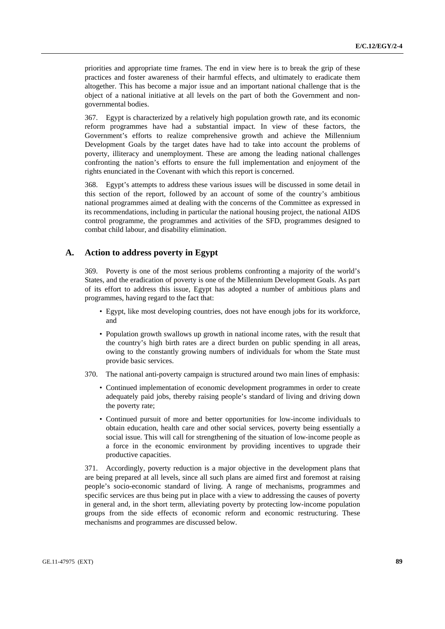priorities and appropriate time frames. The end in view here is to break the grip of these practices and foster awareness of their harmful effects, and ultimately to eradicate them altogether. This has become a major issue and an important national challenge that is the object of a national initiative at all levels on the part of both the Government and nongovernmental bodies.

367. Egypt is characterized by a relatively high population growth rate, and its economic reform programmes have had a substantial impact. In view of these factors, the Government's efforts to realize comprehensive growth and achieve the Millennium Development Goals by the target dates have had to take into account the problems of poverty, illiteracy and unemployment. These are among the leading national challenges confronting the nation's efforts to ensure the full implementation and enjoyment of the rights enunciated in the Covenant with which this report is concerned.

368. Egypt's attempts to address these various issues will be discussed in some detail in this section of the report, followed by an account of some of the country's ambitious national programmes aimed at dealing with the concerns of the Committee as expressed in its recommendations, including in particular the national housing project, the national AIDS control programme, the programmes and activities of the SFD, programmes designed to combat child labour, and disability elimination.

# **A. Action to address poverty in Egypt**

369. Poverty is one of the most serious problems confronting a majority of the world's States, and the eradication of poverty is one of the Millennium Development Goals. As part of its effort to address this issue, Egypt has adopted a number of ambitious plans and programmes, having regard to the fact that:

- Egypt, like most developing countries, does not have enough jobs for its workforce, and
- Population growth swallows up growth in national income rates, with the result that the country's high birth rates are a direct burden on public spending in all areas, owing to the constantly growing numbers of individuals for whom the State must provide basic services.
- 370. The national anti-poverty campaign is structured around two main lines of emphasis:
	- Continued implementation of economic development programmes in order to create adequately paid jobs, thereby raising people's standard of living and driving down the poverty rate;
	- Continued pursuit of more and better opportunities for low-income individuals to obtain education, health care and other social services, poverty being essentially a social issue. This will call for strengthening of the situation of low-income people as a force in the economic environment by providing incentives to upgrade their productive capacities.

371. Accordingly, poverty reduction is a major objective in the development plans that are being prepared at all levels, since all such plans are aimed first and foremost at raising people's socio-economic standard of living. A range of mechanisms, programmes and specific services are thus being put in place with a view to addressing the causes of poverty in general and, in the short term, alleviating poverty by protecting low-income population groups from the side effects of economic reform and economic restructuring. These mechanisms and programmes are discussed below.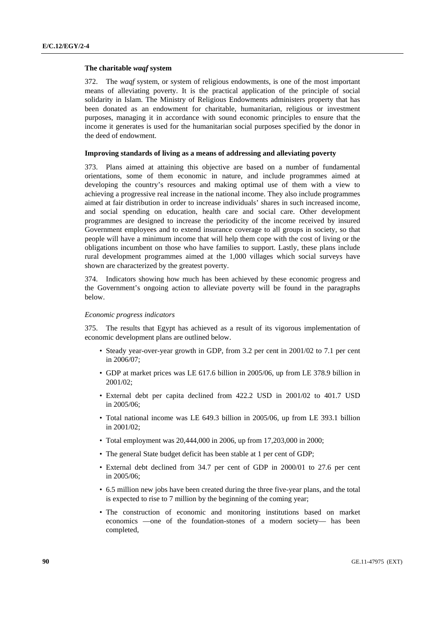#### **The charitable** *waqf* **system**

372. The *waqf* system, or system of religious endowments, is one of the most important means of alleviating poverty. It is the practical application of the principle of social solidarity in Islam. The Ministry of Religious Endowments administers property that has been donated as an endowment for charitable, humanitarian, religious or investment purposes, managing it in accordance with sound economic principles to ensure that the income it generates is used for the humanitarian social purposes specified by the donor in the deed of endowment.

### **Improving standards of living as a means of addressing and alleviating poverty**

373. Plans aimed at attaining this objective are based on a number of fundamental orientations, some of them economic in nature, and include programmes aimed at developing the country's resources and making optimal use of them with a view to achieving a progressive real increase in the national income. They also include programmes aimed at fair distribution in order to increase individuals' shares in such increased income, and social spending on education, health care and social care. Other development programmes are designed to increase the periodicity of the income received by insured Government employees and to extend insurance coverage to all groups in society, so that people will have a minimum income that will help them cope with the cost of living or the obligations incumbent on those who have families to support. Lastly, these plans include rural development programmes aimed at the 1,000 villages which social surveys have shown are characterized by the greatest poverty.

374. Indicators showing how much has been achieved by these economic progress and the Government's ongoing action to alleviate poverty will be found in the paragraphs below.

### *Economic progress indicators*

375. The results that Egypt has achieved as a result of its vigorous implementation of economic development plans are outlined below.

- Steady year-over-year growth in GDP, from 3.2 per cent in 2001/02 to 7.1 per cent in 2006/07;
- GDP at market prices was LE 617.6 billion in 2005/06, up from LE 378.9 billion in 2001/02;
- External debt per capita declined from 422.2 USD in 2001/02 to 401.7 USD in 2005/06;
- Total national income was LE 649.3 billion in 2005/06, up from LE 393.1 billion in 2001/02;
- Total employment was 20,444,000 in 2006, up from 17,203,000 in 2000;
- The general State budget deficit has been stable at 1 per cent of GDP;
- External debt declined from 34.7 per cent of GDP in 2000/01 to 27.6 per cent in 2005/06;
- 6.5 million new jobs have been created during the three five-year plans, and the total is expected to rise to 7 million by the beginning of the coming year;
- The construction of economic and monitoring institutions based on market economics —one of the foundation-stones of a modern society— has been completed,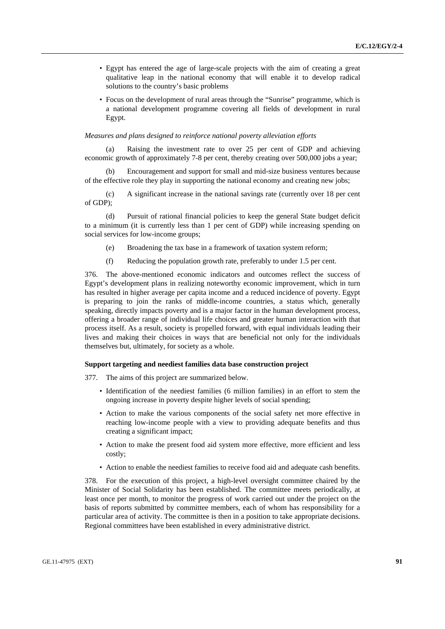- Egypt has entered the age of large-scale projects with the aim of creating a great qualitative leap in the national economy that will enable it to develop radical solutions to the country's basic problems
- Focus on the development of rural areas through the "Sunrise" programme, which is a national development programme covering all fields of development in rural Egypt.

#### *Measures and plans designed to reinforce national poverty alleviation efforts*

Raising the investment rate to over 25 per cent of GDP and achieving economic growth of approximately 7-8 per cent, thereby creating over 500,000 jobs a year;

 (b) Encouragement and support for small and mid-size business ventures because of the effective role they play in supporting the national economy and creating new jobs;

 (c) A significant increase in the national savings rate (currently over 18 per cent of GDP);

 (d) Pursuit of rational financial policies to keep the general State budget deficit to a minimum (it is currently less than 1 per cent of GDP) while increasing spending on social services for low-income groups;

- (e) Broadening the tax base in a framework of taxation system reform;
- (f) Reducing the population growth rate, preferably to under 1.5 per cent.

376. The above-mentioned economic indicators and outcomes reflect the success of Egypt's development plans in realizing noteworthy economic improvement, which in turn has resulted in higher average per capita income and a reduced incidence of poverty. Egypt is preparing to join the ranks of middle-income countries, a status which, generally speaking, directly impacts poverty and is a major factor in the human development process, offering a broader range of individual life choices and greater human interaction with that process itself. As a result, society is propelled forward, with equal individuals leading their lives and making their choices in ways that are beneficial not only for the individuals themselves but, ultimately, for society as a whole.

### **Support targeting and neediest families data base construction project**

377. The aims of this project are summarized below.

- Identification of the neediest families (6 million families) in an effort to stem the ongoing increase in poverty despite higher levels of social spending;
- Action to make the various components of the social safety net more effective in reaching low-income people with a view to providing adequate benefits and thus creating a significant impact;
- Action to make the present food aid system more effective, more efficient and less costly;
- Action to enable the neediest families to receive food aid and adequate cash benefits.

378. For the execution of this project, a high-level oversight committee chaired by the Minister of Social Solidarity has been established. The committee meets periodically, at least once per month, to monitor the progress of work carried out under the project on the basis of reports submitted by committee members, each of whom has responsibility for a particular area of activity. The committee is then in a position to take appropriate decisions. Regional committees have been established in every administrative district.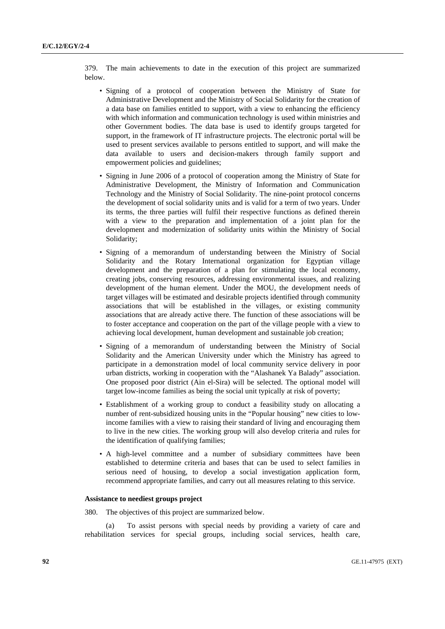379. The main achievements to date in the execution of this project are summarized below.

- Signing of a protocol of cooperation between the Ministry of State for Administrative Development and the Ministry of Social Solidarity for the creation of a data base on families entitled to support, with a view to enhancing the efficiency with which information and communication technology is used within ministries and other Government bodies. The data base is used to identify groups targeted for support, in the framework of IT infrastructure projects. The electronic portal will be used to present services available to persons entitled to support, and will make the data available to users and decision-makers through family support and empowerment policies and guidelines;
- Signing in June 2006 of a protocol of cooperation among the Ministry of State for Administrative Development, the Ministry of Information and Communication Technology and the Ministry of Social Solidarity. The nine-point protocol concerns the development of social solidarity units and is valid for a term of two years. Under its terms, the three parties will fulfil their respective functions as defined therein with a view to the preparation and implementation of a joint plan for the development and modernization of solidarity units within the Ministry of Social Solidarity;
- Signing of a memorandum of understanding between the Ministry of Social Solidarity and the Rotary International organization for Egyptian village development and the preparation of a plan for stimulating the local economy, creating jobs, conserving resources, addressing environmental issues, and realizing development of the human element. Under the MOU, the development needs of target villages will be estimated and desirable projects identified through community associations that will be established in the villages, or existing community associations that are already active there. The function of these associations will be to foster acceptance and cooperation on the part of the village people with a view to achieving local development, human development and sustainable job creation;
- Signing of a memorandum of understanding between the Ministry of Social Solidarity and the American University under which the Ministry has agreed to participate in a demonstration model of local community service delivery in poor urban districts, working in cooperation with the "Alashanek Ya Balady" association. One proposed poor district (Ain el-Sira) will be selected. The optional model will target low-income families as being the social unit typically at risk of poverty;
- Establishment of a working group to conduct a feasibility study on allocating a number of rent-subsidized housing units in the "Popular housing" new cities to lowincome families with a view to raising their standard of living and encouraging them to live in the new cities. The working group will also develop criteria and rules for the identification of qualifying families;
- A high-level committee and a number of subsidiary committees have been established to determine criteria and bases that can be used to select families in serious need of housing, to develop a social investigation application form, recommend appropriate families, and carry out all measures relating to this service.

### **Assistance to neediest groups project**

380. The objectives of this project are summarized below.

 (a) To assist persons with special needs by providing a variety of care and rehabilitation services for special groups, including social services, health care,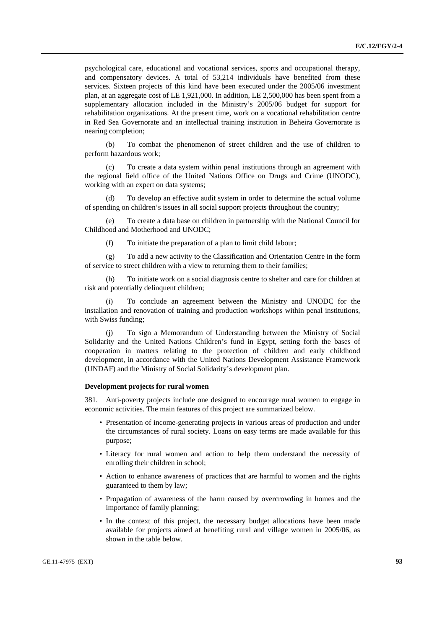psychological care, educational and vocational services, sports and occupational therapy, and compensatory devices. A total of 53,214 individuals have benefited from these services. Sixteen projects of this kind have been executed under the 2005/06 investment plan, at an aggregate cost of LE 1,921,000. In addition, LE 2,500,000 has been spent from a supplementary allocation included in the Ministry's 2005/06 budget for support for rehabilitation organizations. At the present time, work on a vocational rehabilitation centre in Red Sea Governorate and an intellectual training institution in Beheira Governorate is nearing completion;

 (b) To combat the phenomenon of street children and the use of children to perform hazardous work;

To create a data system within penal institutions through an agreement with the regional field office of the United Nations Office on Drugs and Crime (UNODC), working with an expert on data systems;

To develop an effective audit system in order to determine the actual volume of spending on children's issues in all social support projects throughout the country;

 (e) To create a data base on children in partnership with the National Council for Childhood and Motherhood and UNODC;

(f) To initiate the preparation of a plan to limit child labour;

 (g) To add a new activity to the Classification and Orientation Centre in the form of service to street children with a view to returning them to their families;

 (h) To initiate work on a social diagnosis centre to shelter and care for children at risk and potentially delinquent children;

 (i) To conclude an agreement between the Ministry and UNODC for the installation and renovation of training and production workshops within penal institutions, with Swiss funding;

 (j) To sign a Memorandum of Understanding between the Ministry of Social Solidarity and the United Nations Children's fund in Egypt, setting forth the bases of cooperation in matters relating to the protection of children and early childhood development, in accordance with the United Nations Development Assistance Framework (UNDAF) and the Ministry of Social Solidarity's development plan.

#### **Development projects for rural women**

381. Anti-poverty projects include one designed to encourage rural women to engage in economic activities. The main features of this project are summarized below.

- Presentation of income-generating projects in various areas of production and under the circumstances of rural society. Loans on easy terms are made available for this purpose;
- Literacy for rural women and action to help them understand the necessity of enrolling their children in school;
- Action to enhance awareness of practices that are harmful to women and the rights guaranteed to them by law;
- Propagation of awareness of the harm caused by overcrowding in homes and the importance of family planning;
- In the context of this project, the necessary budget allocations have been made available for projects aimed at benefiting rural and village women in 2005/06, as shown in the table below.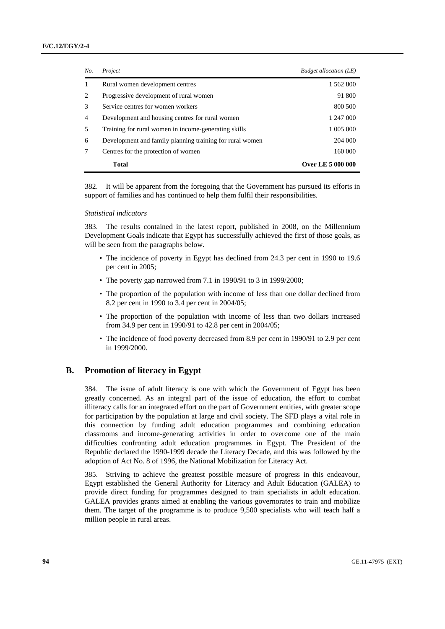| No.            | Project                                                  | <b>Budget allocation (LE)</b> |
|----------------|----------------------------------------------------------|-------------------------------|
| 1              | Rural women development centres                          | 1 562 800                     |
| 2              | Progressive development of rural women                   | 91 800                        |
| 3              | Service centres for women workers                        | 800 500                       |
| $\overline{4}$ | Development and housing centres for rural women          | 1 247 000                     |
| 5              | Training for rural women in income-generating skills     | 1 005 000                     |
| 6              | Development and family planning training for rural women | 204 000                       |
|                | Centres for the protection of women                      | 160 000                       |
|                | <b>Total</b>                                             | <b>Over LE 5 000 000</b>      |

382. It will be apparent from the foregoing that the Government has pursued its efforts in support of families and has continued to help them fulfil their responsibilities.

### *Statistical indicators*

383. The results contained in the latest report, published in 2008, on the Millennium Development Goals indicate that Egypt has successfully achieved the first of those goals, as will be seen from the paragraphs below.

- The incidence of poverty in Egypt has declined from 24.3 per cent in 1990 to 19.6 per cent in 2005;
- The poverty gap narrowed from 7.1 in 1990/91 to 3 in 1999/2000;
- The proportion of the population with income of less than one dollar declined from 8.2 per cent in 1990 to 3.4 per cent in 2004/05;
- The proportion of the population with income of less than two dollars increased from 34.9 per cent in 1990/91 to 42.8 per cent in 2004/05;
- The incidence of food poverty decreased from 8.9 per cent in 1990/91 to 2.9 per cent in 1999/2000.

### **B. Promotion of literacy in Egypt**

384. The issue of adult literacy is one with which the Government of Egypt has been greatly concerned. As an integral part of the issue of education, the effort to combat illiteracy calls for an integrated effort on the part of Government entities, with greater scope for participation by the population at large and civil society. The SFD plays a vital role in this connection by funding adult education programmes and combining education classrooms and income-generating activities in order to overcome one of the main difficulties confronting adult education programmes in Egypt. The President of the Republic declared the 1990-1999 decade the Literacy Decade, and this was followed by the adoption of Act No. 8 of 1996, the National Mobilization for Literacy Act.

385. Striving to achieve the greatest possible measure of progress in this endeavour, Egypt established the General Authority for Literacy and Adult Education (GALEA) to provide direct funding for programmes designed to train specialists in adult education. GALEA provides grants aimed at enabling the various governorates to train and mobilize them. The target of the programme is to produce 9,500 specialists who will teach half a million people in rural areas.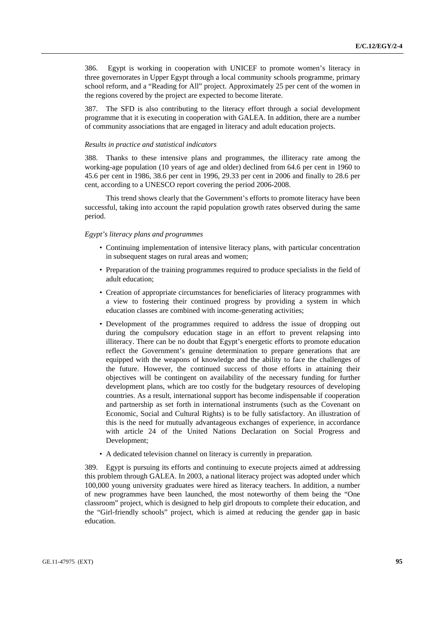386. Egypt is working in cooperation with UNICEF to promote women's literacy in three governorates in Upper Egypt through a local community schools programme, primary school reform, and a "Reading for All" project. Approximately 25 per cent of the women in the regions covered by the project are expected to become literate.

387. The SFD is also contributing to the literacy effort through a social development programme that it is executing in cooperation with GALEA. In addition, there are a number of community associations that are engaged in literacy and adult education projects.

### *Results in practice and statistical indicators*

388. Thanks to these intensive plans and programmes, the illiteracy rate among the working-age population (10 years of age and older) declined from 64.6 per cent in 1960 to 45.6 per cent in 1986, 38.6 per cent in 1996, 29.33 per cent in 2006 and finally to 28.6 per cent, according to a UNESCO report covering the period 2006-2008.

 This trend shows clearly that the Government's efforts to promote literacy have been successful, taking into account the rapid population growth rates observed during the same period.

### *Egypt's literacy plans and programmes*

- Continuing implementation of intensive literacy plans, with particular concentration in subsequent stages on rural areas and women;
- Preparation of the training programmes required to produce specialists in the field of adult education;
- Creation of appropriate circumstances for beneficiaries of literacy programmes with a view to fostering their continued progress by providing a system in which education classes are combined with income-generating activities;
- Development of the programmes required to address the issue of dropping out during the compulsory education stage in an effort to prevent relapsing into illiteracy. There can be no doubt that Egypt's energetic efforts to promote education reflect the Government's genuine determination to prepare generations that are equipped with the weapons of knowledge and the ability to face the challenges of the future. However, the continued success of those efforts in attaining their objectives will be contingent on availability of the necessary funding for further development plans, which are too costly for the budgetary resources of developing countries. As a result, international support has become indispensable if cooperation and partnership as set forth in international instruments (such as the Covenant on Economic, Social and Cultural Rights) is to be fully satisfactory. An illustration of this is the need for mutually advantageous exchanges of experience, in accordance with article 24 of the United Nations Declaration on Social Progress and Development;
- A dedicated television channel on literacy is currently in preparation.

389. Egypt is pursuing its efforts and continuing to execute projects aimed at addressing this problem through GALEA. In 2003, a national literacy project was adopted under which 100,000 young university graduates were hired as literacy teachers. In addition, a number of new programmes have been launched, the most noteworthy of them being the "One classroom" project, which is designed to help girl dropouts to complete their education, and the "Girl-friendly schools" project, which is aimed at reducing the gender gap in basic education.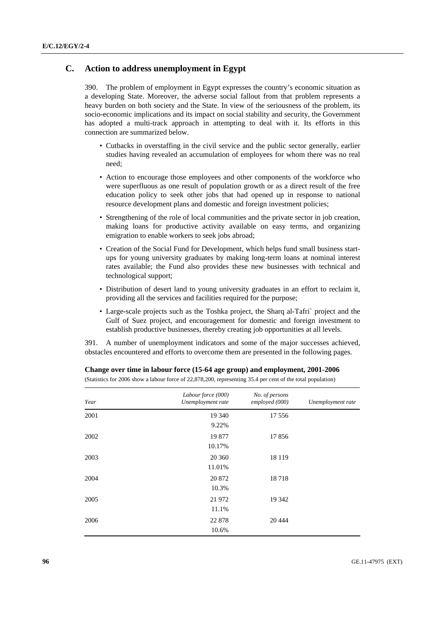# **C. Action to address unemployment in Egypt**

390. The problem of employment in Egypt expresses the country's economic situation as a developing State. Moreover, the adverse social fallout from that problem represents a heavy burden on both society and the State. In view of the seriousness of the problem, its socio-economic implications and its impact on social stability and security, the Government has adopted a multi-track approach in attempting to deal with it. Its efforts in this connection are summarized below.

- Cutbacks in overstaffing in the civil service and the public sector generally, earlier studies having revealed an accumulation of employees for whom there was no real need;
- Action to encourage those employees and other components of the workforce who were superfluous as one result of population growth or as a direct result of the free education policy to seek other jobs that had opened up in response to national resource development plans and domestic and foreign investment policies;
- Strengthening of the role of local communities and the private sector in job creation, making loans for productive activity available on easy terms, and organizing emigration to enable workers to seek jobs abroad;
- Creation of the Social Fund for Development, which helps fund small business startups for young university graduates by making long-term loans at nominal interest rates available; the Fund also provides these new businesses with technical and technological support;
- Distribution of desert land to young university graduates in an effort to reclaim it, providing all the services and facilities required for the purpose;
- Large-scale projects such as the Toshka project, the Sharq al-Tafri` project and the Gulf of Suez project, and encouragement for domestic and foreign investment to establish productive businesses, thereby creating job opportunities at all levels.

391. A number of unemployment indicators and some of the major successes achieved, obstacles encountered and efforts to overcome them are presented in the following pages.

| Year | Labour force (000)<br>Unemployment rate | No. of persons<br>employed (000) | Unemployment rate |
|------|-----------------------------------------|----------------------------------|-------------------|
| 2001 | 19 340<br>9.22%                         | 17 556                           |                   |
| 2002 | 19 877<br>10.17%                        | 17856                            |                   |
| 2003 | 20 360<br>11.01%                        | 18 119                           |                   |
| 2004 | 20 872<br>10.3%                         | 18718                            |                   |
| 2005 | 21 972<br>11.1%                         | 19 342                           |                   |
| 2006 | 22 878<br>10.6%                         | 20 4 44                          |                   |

 **Change over time in labour force (15-64 age group) and employment, 2001-2006**  (Statistics for 2006 show a labour force of 22,878,200, representing 35.4 per cent of the total population)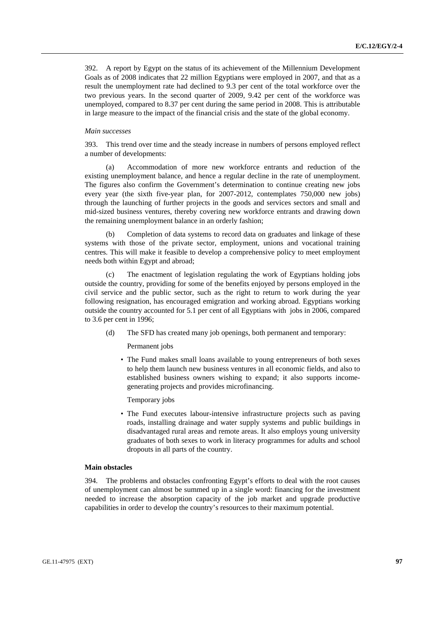392. A report by Egypt on the status of its achievement of the Millennium Development Goals as of 2008 indicates that 22 million Egyptians were employed in 2007, and that as a result the unemployment rate had declined to 9.3 per cent of the total workforce over the two previous years. In the second quarter of 2009, 9.42 per cent of the workforce was unemployed, compared to 8.37 per cent during the same period in 2008. This is attributable in large measure to the impact of the financial crisis and the state of the global economy.

#### *Main successes*

393. This trend over time and the steady increase in numbers of persons employed reflect a number of developments:

 (a) Accommodation of more new workforce entrants and reduction of the existing unemployment balance, and hence a regular decline in the rate of unemployment. The figures also confirm the Government's determination to continue creating new jobs every year (the sixth five-year plan, for 2007-2012, contemplates 750,000 new jobs) through the launching of further projects in the goods and services sectors and small and mid-sized business ventures, thereby covering new workforce entrants and drawing down the remaining unemployment balance in an orderly fashion;

Completion of data systems to record data on graduates and linkage of these systems with those of the private sector, employment, unions and vocational training centres. This will make it feasible to develop a comprehensive policy to meet employment needs both within Egypt and abroad;

 (c) The enactment of legislation regulating the work of Egyptians holding jobs outside the country, providing for some of the benefits enjoyed by persons employed in the civil service and the public sector, such as the right to return to work during the year following resignation, has encouraged emigration and working abroad. Egyptians working outside the country accounted for 5.1 per cent of all Egyptians with jobs in 2006, compared to 3.6 per cent in 1996;

(d) The SFD has created many job openings, both permanent and temporary:

### Permanent jobs

• The Fund makes small loans available to young entrepreneurs of both sexes to help them launch new business ventures in all economic fields, and also to established business owners wishing to expand; it also supports incomegenerating projects and provides microfinancing.

### Temporary jobs

• The Fund executes labour-intensive infrastructure projects such as paving roads, installing drainage and water supply systems and public buildings in disadvantaged rural areas and remote areas. It also employs young university graduates of both sexes to work in literacy programmes for adults and school dropouts in all parts of the country.

### **Main obstacles**

394. The problems and obstacles confronting Egypt's efforts to deal with the root causes of unemployment can almost be summed up in a single word: financing for the investment needed to increase the absorption capacity of the job market and upgrade productive capabilities in order to develop the country's resources to their maximum potential.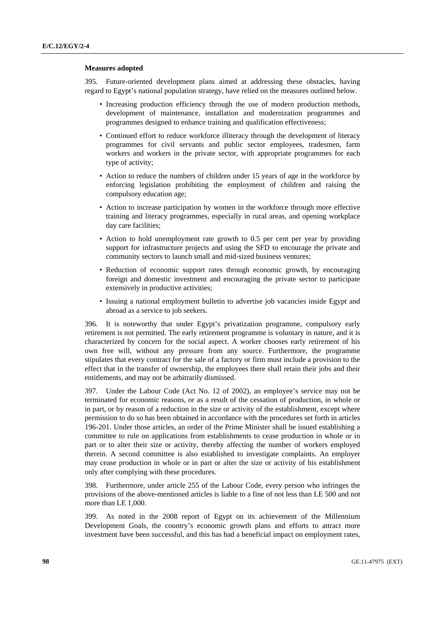### **Measures adopted**

395. Future-oriented development plans aimed at addressing these obstacles, having regard to Egypt's national population strategy, have relied on the measures outlined below.

- Increasing production efficiency through the use of modern production methods, development of maintenance, installation and modernization programmes and programmes designed to enhance training and qualification effectiveness;
- Continued effort to reduce workforce illiteracy through the development of literacy programmes for civil servants and public sector employees, tradesmen, farm workers and workers in the private sector, with appropriate programmes for each type of activity;
- Action to reduce the numbers of children under 15 years of age in the workforce by enforcing legislation prohibiting the employment of children and raising the compulsory education age;
- Action to increase participation by women in the workforce through more effective training and literacy programmes, especially in rural areas, and opening workplace day care facilities;
- Action to hold unemployment rate growth to 0.5 per cent per year by providing support for infrastructure projects and using the SFD to encourage the private and community sectors to launch small and mid-sized business ventures;
- Reduction of economic support rates through economic growth, by encouraging foreign and domestic investment and encouraging the private sector to participate extensively in productive activities;
- Issuing a national employment bulletin to advertise job vacancies inside Egypt and abroad as a service to job seekers.

396. It is noteworthy that under Egypt's privatization programme, compulsory early retirement is not permitted. The early retirement programme is voluntary in nature, and it is characterized by concern for the social aspect. A worker chooses early retirement of his own free will, without any pressure from any source. Furthermore, the programme stipulates that every contract for the sale of a factory or firm must include a provision to the effect that in the transfer of ownership, the employees there shall retain their jobs and their entitlements, and may not be arbitrarily dismissed.

397. Under the Labour Code (Act No. 12 of 2002), an employee's service may not be terminated for economic reasons, or as a result of the cessation of production, in whole or in part, or by reason of a reduction in the size or activity of the establishment, except where permission to do so has been obtained in accordance with the procedures set forth in articles 196-201. Under those articles, an order of the Prime Minister shall be issued establishing a committee to rule on applications from establishments to cease production in whole or in part or to alter their size or activity, thereby affecting the number of workers employed therein. A second committee is also established to investigate complaints. An employer may cease production in whole or in part or alter the size or activity of his establishment only after complying with these procedures.

398. Furthermore, under article 255 of the Labour Code, every person who infringes the provisions of the above-mentioned articles is liable to a fine of not less than LE 500 and not more than LE 1,000.

399. As noted in the 2008 report of Egypt on its achievement of the Millennium Development Goals, the country's economic growth plans and efforts to attract more investment have been successful, and this has had a beneficial impact on employment rates,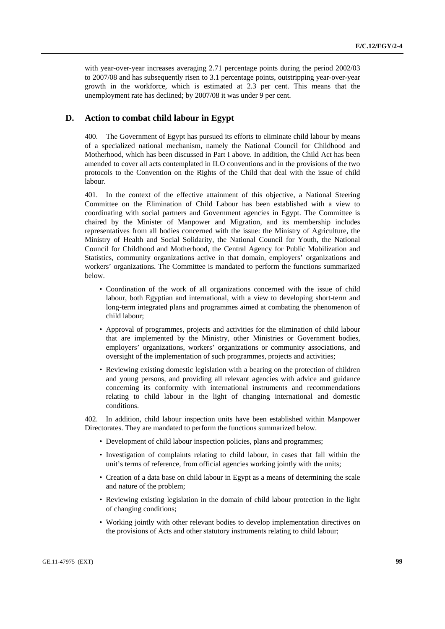with year-over-year increases averaging 2.71 percentage points during the period 2002/03 to 2007/08 and has subsequently risen to 3.1 percentage points, outstripping year-over-year growth in the workforce, which is estimated at 2.3 per cent. This means that the unemployment rate has declined; by 2007/08 it was under 9 per cent.

# **D. Action to combat child labour in Egypt**

400. The Government of Egypt has pursued its efforts to eliminate child labour by means of a specialized national mechanism, namely the National Council for Childhood and Motherhood, which has been discussed in Part I above. In addition, the Child Act has been amended to cover all acts contemplated in ILO conventions and in the provisions of the two protocols to the Convention on the Rights of the Child that deal with the issue of child labour.

401. In the context of the effective attainment of this objective, a National Steering Committee on the Elimination of Child Labour has been established with a view to coordinating with social partners and Government agencies in Egypt. The Committee is chaired by the Minister of Manpower and Migration, and its membership includes representatives from all bodies concerned with the issue: the Ministry of Agriculture, the Ministry of Health and Social Solidarity, the National Council for Youth, the National Council for Childhood and Motherhood, the Central Agency for Public Mobilization and Statistics, community organizations active in that domain, employers' organizations and workers' organizations. The Committee is mandated to perform the functions summarized below.

- Coordination of the work of all organizations concerned with the issue of child labour, both Egyptian and international, with a view to developing short-term and long-term integrated plans and programmes aimed at combating the phenomenon of child labour;
- Approval of programmes, projects and activities for the elimination of child labour that are implemented by the Ministry, other Ministries or Government bodies, employers' organizations, workers' organizations or community associations, and oversight of the implementation of such programmes, projects and activities;
- Reviewing existing domestic legislation with a bearing on the protection of children and young persons, and providing all relevant agencies with advice and guidance concerning its conformity with international instruments and recommendations relating to child labour in the light of changing international and domestic conditions.

402. In addition, child labour inspection units have been established within Manpower Directorates. They are mandated to perform the functions summarized below.

- Development of child labour inspection policies, plans and programmes;
- Investigation of complaints relating to child labour, in cases that fall within the unit's terms of reference, from official agencies working jointly with the units;
- Creation of a data base on child labour in Egypt as a means of determining the scale and nature of the problem;
- Reviewing existing legislation in the domain of child labour protection in the light of changing conditions;
- Working jointly with other relevant bodies to develop implementation directives on the provisions of Acts and other statutory instruments relating to child labour;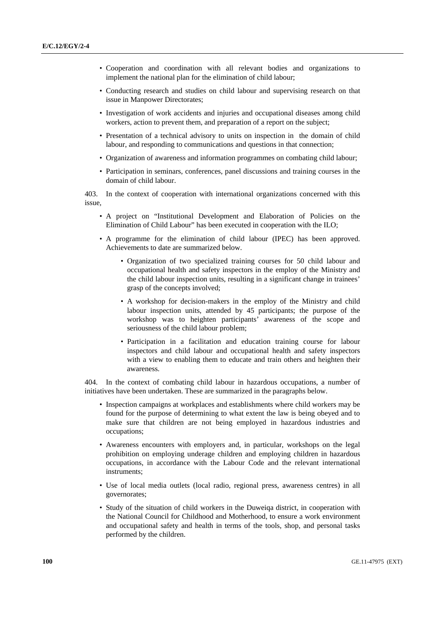- Cooperation and coordination with all relevant bodies and organizations to implement the national plan for the elimination of child labour;
- Conducting research and studies on child labour and supervising research on that issue in Manpower Directorates;
- Investigation of work accidents and injuries and occupational diseases among child workers, action to prevent them, and preparation of a report on the subject;
- Presentation of a technical advisory to units on inspection in the domain of child labour, and responding to communications and questions in that connection;
- Organization of awareness and information programmes on combating child labour;
- Participation in seminars, conferences, panel discussions and training courses in the domain of child labour.

403. In the context of cooperation with international organizations concerned with this issue,

- A project on "Institutional Development and Elaboration of Policies on the Elimination of Child Labour" has been executed in cooperation with the ILO;
- A programme for the elimination of child labour (IPEC) has been approved. Achievements to date are summarized below.
	- Organization of two specialized training courses for 50 child labour and occupational health and safety inspectors in the employ of the Ministry and the child labour inspection units, resulting in a significant change in trainees' grasp of the concepts involved;
	- A workshop for decision-makers in the employ of the Ministry and child labour inspection units, attended by 45 participants; the purpose of the workshop was to heighten participants' awareness of the scope and seriousness of the child labour problem;
	- Participation in a facilitation and education training course for labour inspectors and child labour and occupational health and safety inspectors with a view to enabling them to educate and train others and heighten their awareness.

404. In the context of combating child labour in hazardous occupations, a number of initiatives have been undertaken. These are summarized in the paragraphs below.

- Inspection campaigns at workplaces and establishments where child workers may be found for the purpose of determining to what extent the law is being obeyed and to make sure that children are not being employed in hazardous industries and occupations;
- Awareness encounters with employers and, in particular, workshops on the legal prohibition on employing underage children and employing children in hazardous occupations, in accordance with the Labour Code and the relevant international instruments;
- Use of local media outlets (local radio, regional press, awareness centres) in all governorates;
- Study of the situation of child workers in the Duweiqa district, in cooperation with the National Council for Childhood and Motherhood, to ensure a work environment and occupational safety and health in terms of the tools, shop, and personal tasks performed by the children.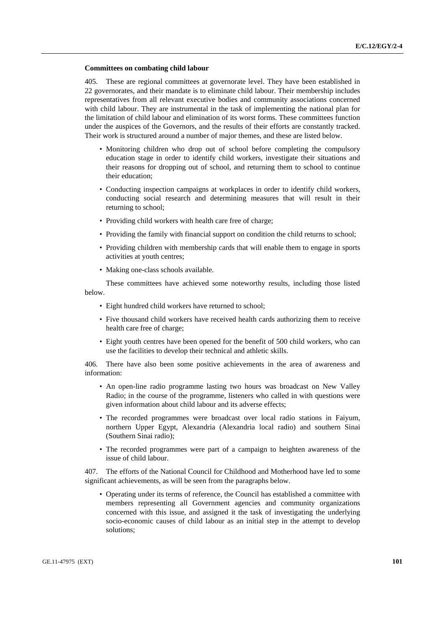### **Committees on combating child labour**

405. These are regional committees at governorate level. They have been established in 22 governorates, and their mandate is to eliminate child labour. Their membership includes representatives from all relevant executive bodies and community associations concerned with child labour. They are instrumental in the task of implementing the national plan for the limitation of child labour and elimination of its worst forms. These committees function under the auspices of the Governors, and the results of their efforts are constantly tracked. Their work is structured around a number of major themes, and these are listed below.

- Monitoring children who drop out of school before completing the compulsory education stage in order to identify child workers, investigate their situations and their reasons for dropping out of school, and returning them to school to continue their education;
- Conducting inspection campaigns at workplaces in order to identify child workers, conducting social research and determining measures that will result in their returning to school;
- Providing child workers with health care free of charge;
- Providing the family with financial support on condition the child returns to school;
- Providing children with membership cards that will enable them to engage in sports activities at youth centres;
- Making one-class schools available.

 These committees have achieved some noteworthy results, including those listed below.

- Eight hundred child workers have returned to school;
- Five thousand child workers have received health cards authorizing them to receive health care free of charge;
- Eight youth centres have been opened for the benefit of 500 child workers, who can use the facilities to develop their technical and athletic skills.

406. There have also been some positive achievements in the area of awareness and information:

- An open-line radio programme lasting two hours was broadcast on New Valley Radio; in the course of the programme, listeners who called in with questions were given information about child labour and its adverse effects;
- The recorded programmes were broadcast over local radio stations in Faiyum, northern Upper Egypt, Alexandria (Alexandria local radio) and southern Sinai (Southern Sinai radio);
- The recorded programmes were part of a campaign to heighten awareness of the issue of child labour.

407. The efforts of the National Council for Childhood and Motherhood have led to some significant achievements, as will be seen from the paragraphs below.

• Operating under its terms of reference, the Council has established a committee with members representing all Government agencies and community organizations concerned with this issue, and assigned it the task of investigating the underlying socio-economic causes of child labour as an initial step in the attempt to develop solutions;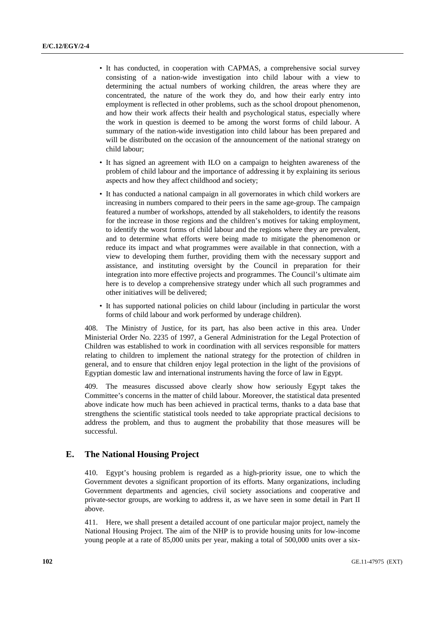- It has conducted, in cooperation with CAPMAS, a comprehensive social survey consisting of a nation-wide investigation into child labour with a view to determining the actual numbers of working children, the areas where they are concentrated, the nature of the work they do, and how their early entry into employment is reflected in other problems, such as the school dropout phenomenon, and how their work affects their health and psychological status, especially where the work in question is deemed to be among the worst forms of child labour. A summary of the nation-wide investigation into child labour has been prepared and will be distributed on the occasion of the announcement of the national strategy on child labour;
- It has signed an agreement with ILO on a campaign to heighten awareness of the problem of child labour and the importance of addressing it by explaining its serious aspects and how they affect childhood and society;
- It has conducted a national campaign in all governorates in which child workers are increasing in numbers compared to their peers in the same age-group. The campaign featured a number of workshops, attended by all stakeholders, to identify the reasons for the increase in those regions and the children's motives for taking employment, to identify the worst forms of child labour and the regions where they are prevalent, and to determine what efforts were being made to mitigate the phenomenon or reduce its impact and what programmes were available in that connection, with a view to developing them further, providing them with the necessary support and assistance, and instituting oversight by the Council in preparation for their integration into more effective projects and programmes. The Council's ultimate aim here is to develop a comprehensive strategy under which all such programmes and other initiatives will be delivered;
- It has supported national policies on child labour (including in particular the worst forms of child labour and work performed by underage children).

408. The Ministry of Justice, for its part, has also been active in this area. Under Ministerial Order No. 2235 of 1997, a General Administration for the Legal Protection of Children was established to work in coordination with all services responsible for matters relating to children to implement the national strategy for the protection of children in general, and to ensure that children enjoy legal protection in the light of the provisions of Egyptian domestic law and international instruments having the force of law in Egypt.

409. The measures discussed above clearly show how seriously Egypt takes the Committee's concerns in the matter of child labour. Moreover, the statistical data presented above indicate how much has been achieved in practical terms, thanks to a data base that strengthens the scientific statistical tools needed to take appropriate practical decisions to address the problem, and thus to augment the probability that those measures will be successful.

# **E. The National Housing Project**

410. Egypt's housing problem is regarded as a high-priority issue, one to which the Government devotes a significant proportion of its efforts. Many organizations, including Government departments and agencies, civil society associations and cooperative and private-sector groups, are working to address it, as we have seen in some detail in Part II above.

411. Here, we shall present a detailed account of one particular major project, namely the National Housing Project. The aim of the NHP is to provide housing units for low-income young people at a rate of 85,000 units per year, making a total of 500,000 units over a six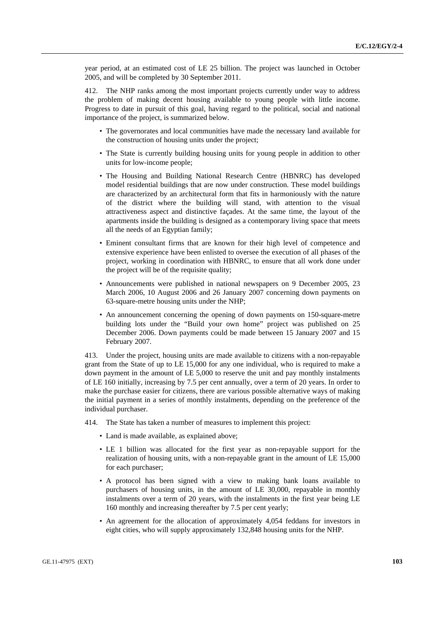year period, at an estimated cost of LE 25 billion. The project was launched in October 2005, and will be completed by 30 September 2011.

412. The NHP ranks among the most important projects currently under way to address the problem of making decent housing available to young people with little income. Progress to date in pursuit of this goal, having regard to the political, social and national importance of the project, is summarized below.

- The governorates and local communities have made the necessary land available for the construction of housing units under the project;
- The State is currently building housing units for young people in addition to other units for low-income people;
- The Housing and Building National Research Centre (HBNRC) has developed model residential buildings that are now under construction. These model buildings are characterized by an architectural form that fits in harmoniously with the nature of the district where the building will stand, with attention to the visual attractiveness aspect and distinctive façades. At the same time, the layout of the apartments inside the building is designed as a contemporary living space that meets all the needs of an Egyptian family;
- Eminent consultant firms that are known for their high level of competence and extensive experience have been enlisted to oversee the execution of all phases of the project, working in coordination with HBNRC, to ensure that all work done under the project will be of the requisite quality;
- Announcements were published in national newspapers on 9 December 2005, 23 March 2006, 10 August 2006 and 26 January 2007 concerning down payments on 63-square-metre housing units under the NHP;
- An announcement concerning the opening of down payments on 150-square-metre building lots under the "Build your own home" project was published on 25 December 2006. Down payments could be made between 15 January 2007 and 15 February 2007.

413. Under the project, housing units are made available to citizens with a non-repayable grant from the State of up to LE 15,000 for any one individual, who is required to make a down payment in the amount of LE 5,000 to reserve the unit and pay monthly instalments of LE 160 initially, increasing by 7.5 per cent annually, over a term of 20 years. In order to make the purchase easier for citizens, there are various possible alternative ways of making the initial payment in a series of monthly instalments, depending on the preference of the individual purchaser.

414. The State has taken a number of measures to implement this project:

- Land is made available, as explained above;
- LE 1 billion was allocated for the first year as non-repayable support for the realization of housing units, with a non-repayable grant in the amount of LE 15,000 for each purchaser;
- A protocol has been signed with a view to making bank loans available to purchasers of housing units, in the amount of LE 30,000, repayable in monthly instalments over a term of 20 years, with the instalments in the first year being LE 160 monthly and increasing thereafter by 7.5 per cent yearly;
- An agreement for the allocation of approximately 4,054 feddans for investors in eight cities, who will supply approximately 132,848 housing units for the NHP.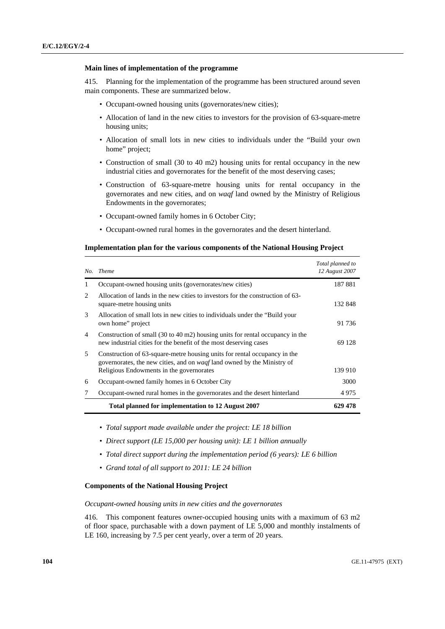### **Main lines of implementation of the programme**

415. Planning for the implementation of the programme has been structured around seven main components. These are summarized below.

- Occupant-owned housing units (governorates/new cities);
- Allocation of land in the new cities to investors for the provision of 63-square-metre housing units;
- Allocation of small lots in new cities to individuals under the "Build your own home" project;
- Construction of small (30 to 40 m2) housing units for rental occupancy in the new industrial cities and governorates for the benefit of the most deserving cases;
- Construction of 63-square-metre housing units for rental occupancy in the governorates and new cities, and on *waqf* land owned by the Ministry of Religious Endowments in the governorates;
- Occupant-owned family homes in 6 October City;
- Occupant-owned rural homes in the governorates and the desert hinterland.

### **Implementation plan for the various components of the National Housing Project**

|               | No. Theme                                                                                                                                                             | Total planned to<br>12 August 2007 |
|---------------|-----------------------------------------------------------------------------------------------------------------------------------------------------------------------|------------------------------------|
| 1             | Occupant-owned housing units (governorates/new cities)                                                                                                                | 187881                             |
| 2             | Allocation of lands in the new cities to investors for the construction of 63-<br>square-metre housing units                                                          | 132 848                            |
| $\mathcal{F}$ | Allocation of small lots in new cities to individuals under the "Build your"<br>own home" project                                                                     | 91 736                             |
| 4             | Construction of small $(30 \text{ to } 40 \text{ m2})$ housing units for rental occupancy in the<br>new industrial cities for the benefit of the most deserving cases | 69 128                             |
| 5             | Construction of 63-square-metre housing units for rental occupancy in the<br>governorates, the new cities, and on <i>waqf</i> land owned by the Ministry of           |                                    |
|               | Religious Endowments in the governorates                                                                                                                              | 139 910                            |
| 6             | Occupant-owned family homes in 6 October City                                                                                                                         | 3000                               |
| 7             | Occupant-owned rural homes in the governorates and the desert hinterland                                                                                              | 4975                               |
|               | Total planned for implementation to 12 August 2007                                                                                                                    | 629 478                            |

- *Total support made available under the project: LE 18 billion*
- *Direct support (LE 15,000 per housing unit): LE 1 billion annually*
- *Total direct support during the implementation period (6 years): LE 6 billion*
- *Grand total of all support to 2011: LE 24 billion*

### **Components of the National Housing Project**

 *Occupant-owned housing units in new cities and the governorates* 

416. This component features owner-occupied housing units with a maximum of 63 m2 of floor space, purchasable with a down payment of LE 5,000 and monthly instalments of LE 160, increasing by 7.5 per cent yearly, over a term of 20 years.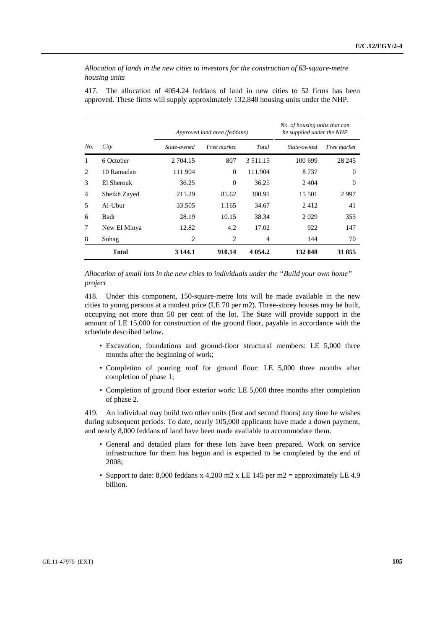*Allocation of lands in the new cities to investors for the construction of 63-square-metre housing units* 

417. The allocation of 4054.24 feddans of land in new cities to 52 firms has been approved. These firms will supply approximately 132,848 housing units under the NHP.

|     |                |             | Approved land area (feddans) |               |             | No. of housing units that can<br>be supplied under the NHP |  |
|-----|----------------|-------------|------------------------------|---------------|-------------|------------------------------------------------------------|--|
| No. | City           | State-owned | Free market                  | Total         | State-owned | Free market                                                |  |
| 1   | 6 October      | 2 704.15    | 807                          | 3 5 1 1 . 1 5 | 100 699     | 28 24 5                                                    |  |
| 2   | 10 Ramadan     | 111.904     | $\Omega$                     | 111.904       | 8 7 3 7     | $\Omega$                                                   |  |
| 3   | El Sherouk     | 36.25       | $\Omega$                     | 36.25         | 2404        | $\Omega$                                                   |  |
| 4   | Sheikh Zayed   | 215.29      | 85.62                        | 300.91        | 15.501      | 2997                                                       |  |
| 5   | $Al$ -U $b$ ur | 33.505      | 1.165                        | 34.67         | 2412        | 41                                                         |  |
| 6   | Badr           | 28.19       | 10.15                        | 38.34         | 2029        | 355                                                        |  |
| 7   | New El Minya   | 12.82       | 4.2                          | 17.02         | 922         | 147                                                        |  |
| 8   | Sohag          | 2           | 2                            | 4             | 144         | 70                                                         |  |
|     | <b>Total</b>   | 3 144.1     | 910.14                       | 4 0 5 4 .2    | 132 848     | 31855                                                      |  |

 *Allocation of small lots in the new cities to individuals under the "Build your own home" project* 

418. Under this component, 150-square-metre lots will be made available in the new cities to young persons at a modest price (LE 70 per m2). Three-storey houses may be built, occupying not more than 50 per cent of the lot. The State will provide support in the amount of LE 15,000 for construction of the ground floor, payable in accordance with the schedule described below.

- Excavation, foundations and ground-floor structural members: LE 5,000 three months after the beginning of work;
- Completion of pouring roof for ground floor: LE 5,000 three months after completion of phase 1;
- Completion of ground floor exterior work: LE 5,000 three months after completion of phase 2.

419. An individual may build two other units (first and second floors) any time he wishes during subsequent periods. To date, nearly 105,000 applicants have made a down payment, and nearly 8,000 feddans of land have been made available to accommodate them.

- General and detailed plans for these lots have been prepared. Work on service infrastructure for them has begun and is expected to be completed by the end of 2008;
- Support to date: 8,000 feddans x 4,200 m2 x LE 145 per m2 = approximately LE 4.9 billion.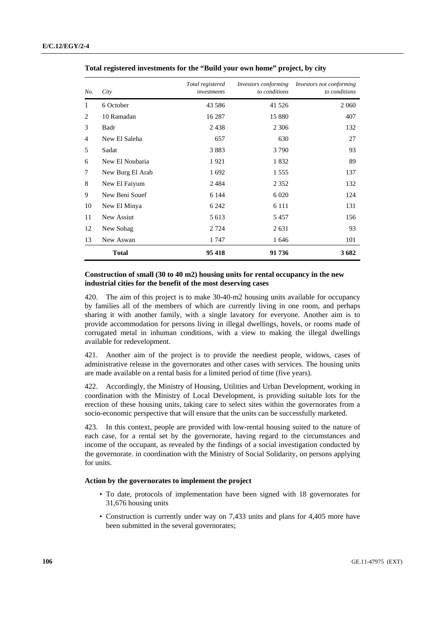| No.            | City             | Total registered<br>investments | Investors conforming<br>to conditions | Investors not conforming<br>to conditions |
|----------------|------------------|---------------------------------|---------------------------------------|-------------------------------------------|
| 1              | 6 October        | 43 5 8 6                        | 41 5 26                               | 2 0 6 0                                   |
| $\overline{c}$ | 10 Ramadan       | 16 287                          | 15 880                                | 407                                       |
| 3              | Badr             | 2438                            | 2 3 0 6                               | 132                                       |
| 4              | New El Saleha    | 657                             | 630                                   | 27                                        |
| 5              | Sadat            | 3883                            | 3790                                  | 93                                        |
| 6              | New El Noubaria  | 1921                            | 1832                                  | 89                                        |
| 7              | New Burg El Arab | 1692                            | 1 5 5 5                               | 137                                       |
| 8              | New El Faiyum    | 2 4 8 4                         | 2 3 5 2                               | 132                                       |
| 9              | New Beni Souef   | 6 1 4 4                         | 6 0 20                                | 124                                       |
| 10             | New El Minya     | 6 2 4 2                         | 6 1 1 1                               | 131                                       |
| 11             | New Assiut       | 5 6 1 3                         | 5457                                  | 156                                       |
| 12             | New Sohag        | 2 7 2 4                         | 2 6 3 1                               | 93                                        |
| 13             | New Aswan        | 1747                            | 1646                                  | 101                                       |
|                | <b>Total</b>     | 95 418                          | 91736                                 | 3682                                      |

 **Total registered investments for the "Build your own home" project, by city** 

### **Construction of small (30 to 40 m2) housing units for rental occupancy in the new industrial cities for the benefit of the most deserving cases**

420. The aim of this project is to make 30-40-m2 housing units available for occupancy by families all of the members of which are currently living in one room, and perhaps sharing it with another family, with a single lavatory for everyone. Another aim is to provide accommodation for persons living in illegal dwellings, hovels, or rooms made of corrugated metal in inhuman conditions, with a view to making the illegal dwellings available for redevelopment.

421. Another aim of the project is to provide the neediest people, widows, cases of administrative release in the governorates and other cases with services. The housing units are made available on a rental basis for a limited period of time (five years).

422. Accordingly, the Ministry of Housing, Utilities and Urban Development, working in coordination with the Ministry of Local Development, is providing suitable lots for the erection of these housing units, taking care to select sites within the governorates from a socio-economic perspective that will ensure that the units can be successfully marketed.

423. In this context, people are provided with low-rental housing suited to the nature of each case, for a rental set by the governorate, having regard to the circumstances and income of the occupant, as revealed by the findings of a social investigation conducted by the governorate. in coordination with the Ministry of Social Solidarity, on persons applying for units.

### **Action by the governorates to implement the project**

- To date, protocols of implementation have been signed with 18 governorates for 31,676 housing units
- Construction is currently under way on 7,433 units and plans for 4,405 more have been submitted in the several governorates;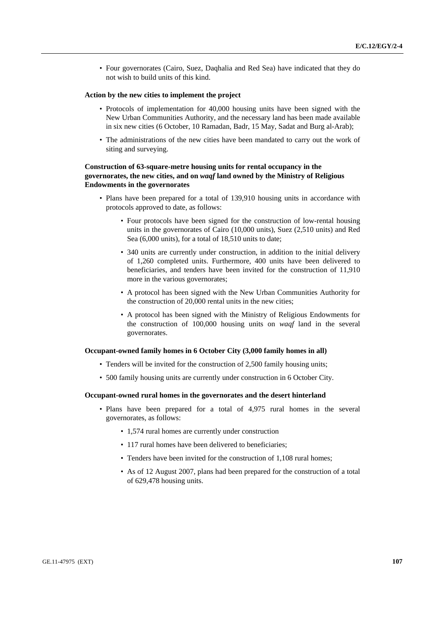• Four governorates (Cairo, Suez, Daqhalia and Red Sea) have indicated that they do not wish to build units of this kind.

### **Action by the new cities to implement the project**

- Protocols of implementation for 40,000 housing units have been signed with the New Urban Communities Authority, and the necessary land has been made available in six new cities (6 October, 10 Ramadan, Badr, 15 May, Sadat and Burg al-Arab);
- The administrations of the new cities have been mandated to carry out the work of siting and surveying.

### **Construction of 63-square-metre housing units for rental occupancy in the governorates, the new cities, and on** *waqf* **land owned by the Ministry of Religious Endowments in the governorates**

- Plans have been prepared for a total of 139,910 housing units in accordance with protocols approved to date, as follows:
	- Four protocols have been signed for the construction of low-rental housing units in the governorates of Cairo (10,000 units), Suez (2,510 units) and Red Sea (6,000 units), for a total of 18,510 units to date;
	- 340 units are currently under construction, in addition to the initial delivery of 1,260 completed units. Furthermore, 400 units have been delivered to beneficiaries, and tenders have been invited for the construction of 11,910 more in the various governorates;
	- A protocol has been signed with the New Urban Communities Authority for the construction of 20,000 rental units in the new cities;
	- A protocol has been signed with the Ministry of Religious Endowments for the construction of 100,000 housing units on *waqf* land in the several governorates.

### **Occupant-owned family homes in 6 October City (3,000 family homes in all)**

- Tenders will be invited for the construction of 2,500 family housing units;
- 500 family housing units are currently under construction in 6 October City.

#### **Occupant-owned rural homes in the governorates and the desert hinterland**

- Plans have been prepared for a total of 4,975 rural homes in the several governorates, as follows:
	- 1,574 rural homes are currently under construction
	- 117 rural homes have been delivered to beneficiaries;
	- Tenders have been invited for the construction of 1,108 rural homes;
	- As of 12 August 2007, plans had been prepared for the construction of a total of 629,478 housing units.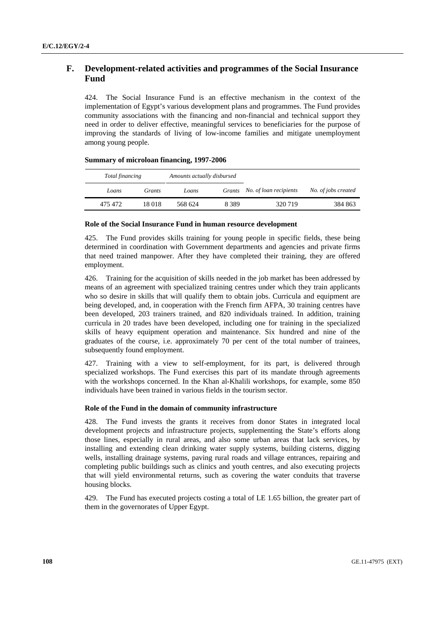# **F. Development-related activities and programmes of the Social Insurance Fund**

424. The Social Insurance Fund is an effective mechanism in the context of the implementation of Egypt's various development plans and programmes. The Fund provides community associations with the financing and non-financial and technical support they need in order to deliver effective, meaningful services to beneficiaries for the purpose of improving the standards of living of low-income families and mitigate unemployment among young people.

| <b>Summary of microloan financing, 1997-2006</b> |
|--------------------------------------------------|
|--------------------------------------------------|

| Total financing | Amounts actually disbursed |         |         |                               |                     |
|-----------------|----------------------------|---------|---------|-------------------------------|---------------------|
| Loans           | Grants                     | Loans   |         | Grants No. of loan recipients | No. of jobs created |
| 475 472         | 18 018                     | 568 624 | 8 3 8 9 | 320 719                       | 384 863             |

### **Role of the Social Insurance Fund in human resource development**

425. The Fund provides skills training for young people in specific fields, these being determined in coordination with Government departments and agencies and private firms that need trained manpower. After they have completed their training, they are offered employment.

426. Training for the acquisition of skills needed in the job market has been addressed by means of an agreement with specialized training centres under which they train applicants who so desire in skills that will qualify them to obtain jobs. Curricula and equipment are being developed, and, in cooperation with the French firm AFPA, 30 training centres have been developed, 203 trainers trained, and 820 individuals trained. In addition, training curricula in 20 trades have been developed, including one for training in the specialized skills of heavy equipment operation and maintenance. Six hundred and nine of the graduates of the course, i.e. approximately 70 per cent of the total number of trainees, subsequently found employment.

427. Training with a view to self-employment, for its part, is delivered through specialized workshops. The Fund exercises this part of its mandate through agreements with the workshops concerned. In the Khan al-Khalili workshops, for example, some 850 individuals have been trained in various fields in the tourism sector.

### **Role of the Fund in the domain of community infrastructure**

428. The Fund invests the grants it receives from donor States in integrated local development projects and infrastructure projects, supplementing the State's efforts along those lines, especially in rural areas, and also some urban areas that lack services, by installing and extending clean drinking water supply systems, building cisterns, digging wells, installing drainage systems, paving rural roads and village entrances, repairing and completing public buildings such as clinics and youth centres, and also executing projects that will yield environmental returns, such as covering the water conduits that traverse housing blocks.

429. The Fund has executed projects costing a total of LE 1.65 billion, the greater part of them in the governorates of Upper Egypt.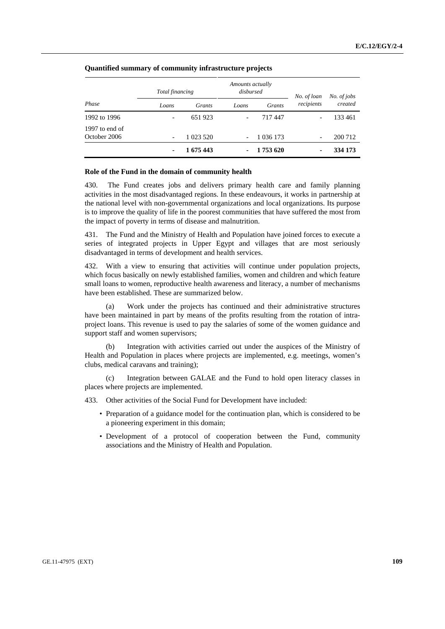|                                | Total financing          |           | Amounts actually<br>disbursed |               | No. of loan              | No. of jobs |
|--------------------------------|--------------------------|-----------|-------------------------------|---------------|--------------------------|-------------|
| Phase                          | Loans                    | Grants    | Loans                         | Grants        | recipients               | created     |
| 1992 to 1996                   | $\overline{\phantom{a}}$ | 651923    | $\overline{\phantom{a}}$      | 717447        | $\qquad \qquad$          | 133 461     |
| 1997 to end of<br>October 2006 | $\overline{\phantom{a}}$ | 1 023 520 | $\overline{\phantom{a}}$      | 1 0 3 6 1 7 3 | $\overline{\phantom{a}}$ | 200 712     |
|                                | ۰                        | 1 675 443 | ٠                             | 1753 620      | ٠                        | 334 173     |

# **Quantified summary of community infrastructure projects**

#### **Role of the Fund in the domain of community health**

430. The Fund creates jobs and delivers primary health care and family planning activities in the most disadvantaged regions. In these endeavours, it works in partnership at the national level with non-governmental organizations and local organizations. Its purpose is to improve the quality of life in the poorest communities that have suffered the most from the impact of poverty in terms of disease and malnutrition.

431. The Fund and the Ministry of Health and Population have joined forces to execute a series of integrated projects in Upper Egypt and villages that are most seriously disadvantaged in terms of development and health services.

432. With a view to ensuring that activities will continue under population projects, which focus basically on newly established families, women and children and which feature small loans to women, reproductive health awareness and literacy, a number of mechanisms have been established. These are summarized below.

 (a) Work under the projects has continued and their administrative structures have been maintained in part by means of the profits resulting from the rotation of intraproject loans. This revenue is used to pay the salaries of some of the women guidance and support staff and women supervisors;

 (b) Integration with activities carried out under the auspices of the Ministry of Health and Population in places where projects are implemented, e.g. meetings, women's clubs, medical caravans and training);

 (c) Integration between GALAE and the Fund to hold open literacy classes in places where projects are implemented.

433. Other activities of the Social Fund for Development have included:

- Preparation of a guidance model for the continuation plan, which is considered to be a pioneering experiment in this domain;
- Development of a protocol of cooperation between the Fund, community associations and the Ministry of Health and Population.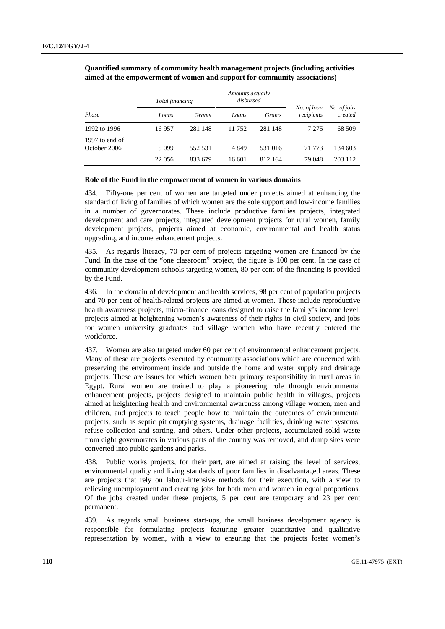|                                | Total financing |         | Amounts actually<br>disbursed |         |                           |                        |
|--------------------------------|-----------------|---------|-------------------------------|---------|---------------------------|------------------------|
| Phase                          | Loans           | Grants  | Loans                         | Grants  | No. of loan<br>recipients | No. of jobs<br>created |
| 1992 to 1996                   | 16957           | 281 148 | 11 752                        | 281 148 | 7 275                     | 68 509                 |
| 1997 to end of<br>October 2006 | 5 0 9 9         | 552 531 | 4 8 4 9                       | 531 016 | 71 773                    | 134 603                |
|                                | 22 056          | 833 679 | 16.601                        | 812 164 | 79 048                    | 203 112                |

 **Quantified summary of community health management projects (including activities aimed at the empowerment of women and support for community associations)** 

### **Role of the Fund in the empowerment of women in various domains**

434. Fifty-one per cent of women are targeted under projects aimed at enhancing the standard of living of families of which women are the sole support and low-income families in a number of governorates. These include productive families projects, integrated development and care projects, integrated development projects for rural women, family development projects, projects aimed at economic, environmental and health status upgrading, and income enhancement projects.

435. As regards literacy, 70 per cent of projects targeting women are financed by the Fund. In the case of the "one classroom" project, the figure is 100 per cent. In the case of community development schools targeting women, 80 per cent of the financing is provided by the Fund.

436. In the domain of development and health services, 98 per cent of population projects and 70 per cent of health-related projects are aimed at women. These include reproductive health awareness projects, micro-finance loans designed to raise the family's income level, projects aimed at heightening women's awareness of their rights in civil society, and jobs for women university graduates and village women who have recently entered the workforce.

437. Women are also targeted under 60 per cent of environmental enhancement projects. Many of these are projects executed by community associations which are concerned with preserving the environment inside and outside the home and water supply and drainage projects. These are issues for which women bear primary responsibility in rural areas in Egypt. Rural women are trained to play a pioneering role through environmental enhancement projects, projects designed to maintain public health in villages, projects aimed at heightening health and environmental awareness among village women, men and children, and projects to teach people how to maintain the outcomes of environmental projects, such as septic pit emptying systems, drainage facilities, drinking water systems, refuse collection and sorting, and others. Under other projects, accumulated solid waste from eight governorates in various parts of the country was removed, and dump sites were converted into public gardens and parks.

438. Public works projects, for their part, are aimed at raising the level of services, environmental quality and living standards of poor families in disadvantaged areas. These are projects that rely on labour-intensive methods for their execution, with a view to relieving unemployment and creating jobs for both men and women in equal proportions. Of the jobs created under these projects, 5 per cent are temporary and 23 per cent permanent.

439. As regards small business start-ups, the small business development agency is responsible for formulating projects featuring greater quantitative and qualitative representation by women, with a view to ensuring that the projects foster women's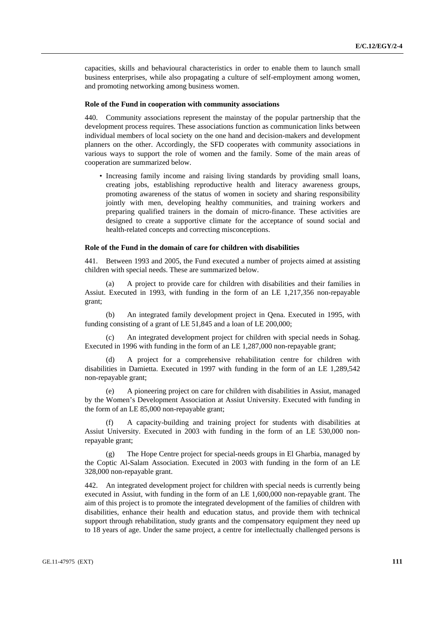capacities, skills and behavioural characteristics in order to enable them to launch small business enterprises, while also propagating a culture of self-employment among women, and promoting networking among business women.

#### **Role of the Fund in cooperation with community associations**

440. Community associations represent the mainstay of the popular partnership that the development process requires. These associations function as communication links between individual members of local society on the one hand and decision-makers and development planners on the other. Accordingly, the SFD cooperates with community associations in various ways to support the role of women and the family. Some of the main areas of cooperation are summarized below.

• Increasing family income and raising living standards by providing small loans, creating jobs, establishing reproductive health and literacy awareness groups, promoting awareness of the status of women in society and sharing responsibility jointly with men, developing healthy communities, and training workers and preparing qualified trainers in the domain of micro-finance. These activities are designed to create a supportive climate for the acceptance of sound social and health-related concepts and correcting misconceptions.

#### **Role of the Fund in the domain of care for children with disabilities**

441. Between 1993 and 2005, the Fund executed a number of projects aimed at assisting children with special needs. These are summarized below.

A project to provide care for children with disabilities and their families in Assiut. Executed in 1993, with funding in the form of an LE 1,217,356 non-repayable grant;

 (b) An integrated family development project in Qena. Executed in 1995, with funding consisting of a grant of LE 51,845 and a loan of LE 200,000;

 (c) An integrated development project for children with special needs in Sohag. Executed in 1996 with funding in the form of an LE 1,287,000 non-repayable grant;

A project for a comprehensive rehabilitation centre for children with disabilities in Damietta. Executed in 1997 with funding in the form of an LE 1,289,542 non-repayable grant;

 (e) A pioneering project on care for children with disabilities in Assiut, managed by the Women's Development Association at Assiut University. Executed with funding in the form of an LE 85,000 non-repayable grant;

 (f) A capacity-building and training project for students with disabilities at Assiut University. Executed in 2003 with funding in the form of an LE 530,000 nonrepayable grant;

 (g) The Hope Centre project for special-needs groups in El Gharbia, managed by the Coptic Al-Salam Association. Executed in 2003 with funding in the form of an LE 328,000 non-repayable grant.

442. An integrated development project for children with special needs is currently being executed in Assiut, with funding in the form of an LE 1,600,000 non-repayable grant. The aim of this project is to promote the integrated development of the families of children with disabilities, enhance their health and education status, and provide them with technical support through rehabilitation, study grants and the compensatory equipment they need up to 18 years of age. Under the same project, a centre for intellectually challenged persons is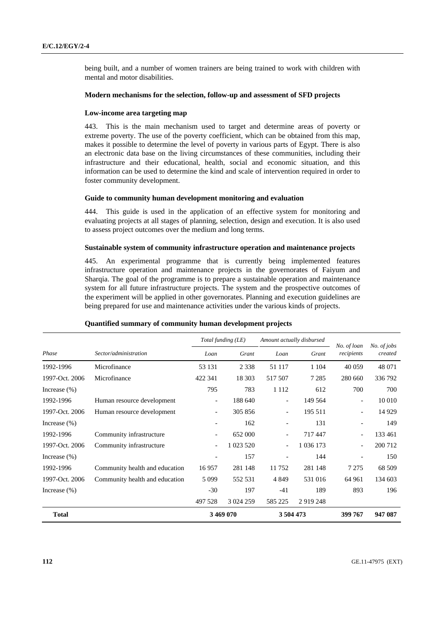being built, and a number of women trainers are being trained to work with children with mental and motor disabilities.

# **Modern mechanisms for the selection, follow-up and assessment of SFD projects**

#### **Low-income area targeting map**

443. This is the main mechanism used to target and determine areas of poverty or extreme poverty. The use of the poverty coefficient, which can be obtained from this map, makes it possible to determine the level of poverty in various parts of Egypt. There is also an electronic data base on the living circumstances of these communities, including their infrastructure and their educational, health, social and economic situation, and this information can be used to determine the kind and scale of intervention required in order to foster community development.

#### **Guide to community human development monitoring and evaluation**

444. This guide is used in the application of an effective system for monitoring and evaluating projects at all stages of planning, selection, design and execution. It is also used to assess project outcomes over the medium and long terms.

#### **Sustainable system of community infrastructure operation and maintenance projects**

445. An experimental programme that is currently being implemented features infrastructure operation and maintenance projects in the governorates of Faiyum and Sharqia. The goal of the programme is to prepare a sustainable operation and maintenance system for all future infrastructure projects. The system and the prospective outcomes of the experiment will be applied in other governorates. Planning and execution guidelines are being prepared for use and maintenance activities under the various kinds of projects.

|                 |                                | Total funding (LE)       |           | Amount actually disbursed |             |                           |                        |
|-----------------|--------------------------------|--------------------------|-----------|---------------------------|-------------|---------------------------|------------------------|
| Phase           | Sector/administration          | Loan                     | Grant     | Loan                      | Grant       | No. of loan<br>recipients | No. of jobs<br>created |
| 1992-1996       | Microfinance                   | 53 131                   | 2 3 3 8   | 51 117                    | 1 1 0 4     | 40 059                    | 48 071                 |
| 1997-Oct. 2006  | Microfinance                   | 422 341                  | 18 30 3   | 517 507                   | 7 2 8 5     | 280 660                   | 336 792                |
| Increase $(\%)$ |                                | 795                      | 783       | 1 1 1 2                   | 612         | 700                       | 700                    |
| 1992-1996       | Human resource development     | $\overline{\phantom{a}}$ | 188 640   | $\overline{\phantom{a}}$  | 149 564     | $\overline{\phantom{a}}$  | 10 010                 |
| 1997-Oct. 2006  | Human resource development     | $\overline{\phantom{a}}$ | 305 856   | $\overline{\phantom{a}}$  | 195 511     |                           | 14 9 29                |
| Increase $(\%)$ |                                |                          | 162       | $\qquad \qquad -$         | 131         |                           | 149                    |
| 1992-1996       | Community infrastructure       | $\overline{\phantom{a}}$ | 652 000   | $\overline{\phantom{a}}$  | 717447      | $\overline{\phantom{a}}$  | 133 461                |
| 1997-Oct. 2006  | Community infrastructure       | $\overline{\phantom{a}}$ | 1 023 520 |                           | 1 036 173   |                           | 200 712                |
| Increase $(\%)$ |                                | $\overline{\phantom{a}}$ | 157       | $\overline{\phantom{a}}$  | 144         |                           | 150                    |
| 1992-1996       | Community health and education | 16957                    | 281 148   | 11 752                    | 281 148     | 7 2 7 5                   | 68 509                 |
| 1997-Oct. 2006  | Community health and education | 5 0 9 9                  | 552 531   | 4 8 4 9                   | 531 016     | 64 961                    | 134 603                |
| Increase $(\%)$ |                                | $-30$                    | 197       | $-41$                     | 189         | 893                       | 196                    |
|                 |                                | 497 528                  | 3 024 259 | 585 225                   | 2 9 19 2 48 |                           |                        |
| <b>Total</b>    |                                | 3 469 070                |           | 3 504 473                 |             | 399 767                   | 947 087                |

# **Quantified summary of community human development projects**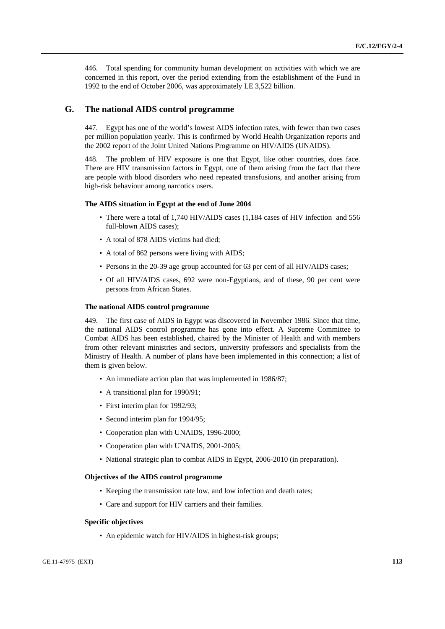446. Total spending for community human development on activities with which we are concerned in this report, over the period extending from the establishment of the Fund in 1992 to the end of October 2006, was approximately LE 3,522 billion.

# **G. The national AIDS control programme**

447. Egypt has one of the world's lowest AIDS infection rates, with fewer than two cases per million population yearly. This is confirmed by World Health Organization reports and the 2002 report of the Joint United Nations Programme on HIV/AIDS (UNAIDS).

448. The problem of HIV exposure is one that Egypt, like other countries, does face. There are HIV transmission factors in Egypt, one of them arising from the fact that there are people with blood disorders who need repeated transfusions, and another arising from high-risk behaviour among narcotics users.

# **The AIDS situation in Egypt at the end of June 2004**

- There were a total of 1,740 HIV/AIDS cases (1,184 cases of HIV infection and 556 full-blown AIDS cases);
- A total of 878 AIDS victims had died;
- A total of 862 persons were living with AIDS;
- Persons in the 20-39 age group accounted for 63 per cent of all HIV/AIDS cases;
- Of all HIV/AIDS cases, 692 were non-Egyptians, and of these, 90 per cent were persons from African States.

# **The national AIDS control programme**

449. The first case of AIDS in Egypt was discovered in November 1986. Since that time, the national AIDS control programme has gone into effect. A Supreme Committee to Combat AIDS has been established, chaired by the Minister of Health and with members from other relevant ministries and sectors, university professors and specialists from the Ministry of Health. A number of plans have been implemented in this connection; a list of them is given below.

- An immediate action plan that was implemented in 1986/87;
- A transitional plan for 1990/91;
- First interim plan for 1992/93;
- Second interim plan for 1994/95;
- Cooperation plan with UNAIDS, 1996-2000;
- Cooperation plan with UNAIDS, 2001-2005;
- National strategic plan to combat AIDS in Egypt, 2006-2010 (in preparation).

# **Objectives of the AIDS control programme**

- Keeping the transmission rate low, and low infection and death rates;
- Care and support for HIV carriers and their families.

#### **Specific objectives**

• An epidemic watch for HIV/AIDS in highest-risk groups;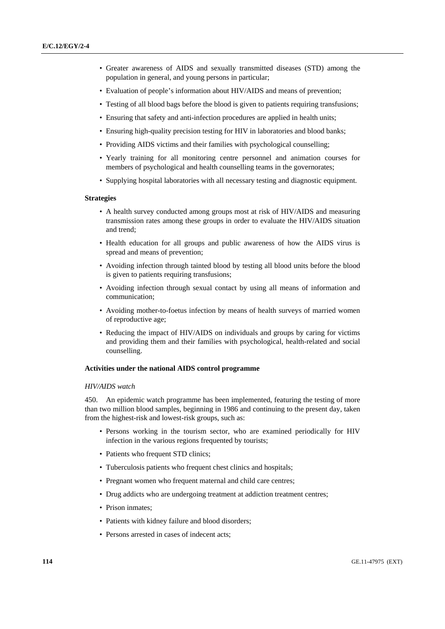- Greater awareness of AIDS and sexually transmitted diseases (STD) among the population in general, and young persons in particular;
- Evaluation of people's information about HIV/AIDS and means of prevention;
- Testing of all blood bags before the blood is given to patients requiring transfusions;
- Ensuring that safety and anti-infection procedures are applied in health units;
- Ensuring high-quality precision testing for HIV in laboratories and blood banks;
- Providing AIDS victims and their families with psychological counselling;
- Yearly training for all monitoring centre personnel and animation courses for members of psychological and health counselling teams in the governorates;
- Supplying hospital laboratories with all necessary testing and diagnostic equipment.

#### **Strategies**

- A health survey conducted among groups most at risk of HIV/AIDS and measuring transmission rates among these groups in order to evaluate the HIV/AIDS situation and trend;
- Health education for all groups and public awareness of how the AIDS virus is spread and means of prevention;
- Avoiding infection through tainted blood by testing all blood units before the blood is given to patients requiring transfusions;
- Avoiding infection through sexual contact by using all means of information and communication;
- Avoiding mother-to-foetus infection by means of health surveys of married women of reproductive age;
- Reducing the impact of HIV/AIDS on individuals and groups by caring for victims and providing them and their families with psychological, health-related and social counselling.

#### **Activities under the national AIDS control programme**

#### *HIV/AIDS watch*

450. An epidemic watch programme has been implemented, featuring the testing of more than two million blood samples, beginning in 1986 and continuing to the present day, taken from the highest-risk and lowest-risk groups, such as:

- Persons working in the tourism sector, who are examined periodically for HIV infection in the various regions frequented by tourists;
- Patients who frequent STD clinics;
- Tuberculosis patients who frequent chest clinics and hospitals;
- Pregnant women who frequent maternal and child care centres;
- Drug addicts who are undergoing treatment at addiction treatment centres;
- Prison inmates:
- Patients with kidney failure and blood disorders;
- Persons arrested in cases of indecent acts;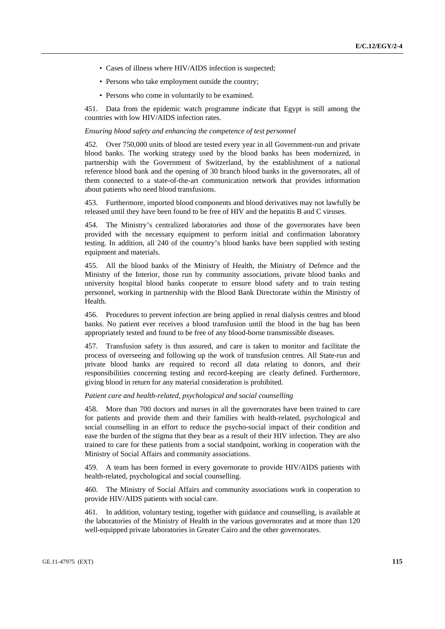- Cases of illness where HIV/AIDS infection is suspected;
- Persons who take employment outside the country;
- Persons who come in voluntarily to be examined.

451. Data from the epidemic watch programme indicate that Egypt is still among the countries with low HIV/AIDS infection rates.

#### *Ensuring blood safety and enhancing the competence of test personnel*

452. Over 750,000 units of blood are tested every year in all Government-run and private blood banks. The working strategy used by the blood banks has been modernized, in partnership with the Government of Switzerland, by the establishment of a national reference blood bank and the opening of 30 branch blood banks in the governorates, all of them connected to a state-of-the-art communication network that provides information about patients who need blood transfusions.

453. Furthermore, imported blood components and blood derivatives may not lawfully be released until they have been found to be free of HIV and the hepatitis B and C viruses.

454. The Ministry's centralized laboratories and those of the governorates have been provided with the necessary equipment to perform initial and confirmation laboratory testing. In addition, all 240 of the country's blood banks have been supplied with testing equipment and materials.

455. All the blood banks of the Ministry of Health, the Ministry of Defence and the Ministry of the Interior, those run by community associations, private blood banks and university hospital blood banks cooperate to ensure blood safety and to train testing personnel, working in partnership with the Blood Bank Directorate within the Ministry of Health.

456. Procedures to prevent infection are being applied in renal dialysis centres and blood banks. No patient ever receives a blood transfusion until the blood in the bag has been appropriately tested and found to be free of any blood-borne transmissible diseases.

457. Transfusion safety is thus assured, and care is taken to monitor and facilitate the process of overseeing and following up the work of transfusion centres. All State-run and private blood banks are required to record all data relating to donors, and their responsibilities concerning testing and record-keeping are clearly defined. Furthermore, giving blood in return for any material consideration is prohibited.

# *Patient care and health-related, psychological and social counselling*

458. More than 700 doctors and nurses in all the governorates have been trained to care for patients and provide them and their families with health-related, psychological and social counselling in an effort to reduce the psycho-social impact of their condition and ease the burden of the stigma that they bear as a result of their HIV infection. They are also trained to care for these patients from a social standpoint, working in cooperation with the Ministry of Social Affairs and community associations.

459. A team has been formed in every governorate to provide HIV/AIDS patients with health-related, psychological and social counselling.

460. The Ministry of Social Affairs and community associations work in cooperation to provide HIV/AIDS patients with social care.

461. In addition, voluntary testing, together with guidance and counselling, is available at the laboratories of the Ministry of Health in the various governorates and at more than 120 well-equipped private laboratories in Greater Cairo and the other governorates.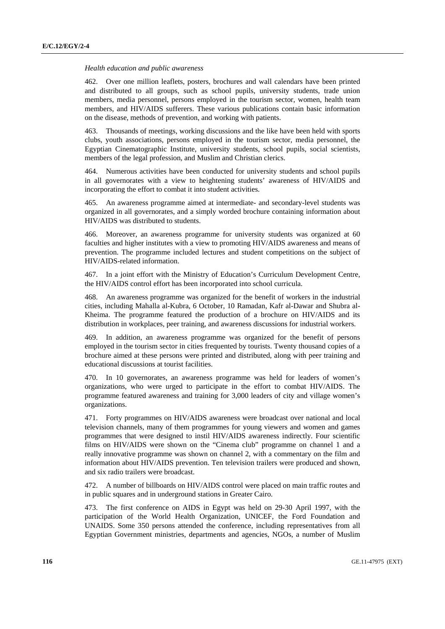#### *Health education and public awareness*

462. Over one million leaflets, posters, brochures and wall calendars have been printed and distributed to all groups, such as school pupils, university students, trade union members, media personnel, persons employed in the tourism sector, women, health team members, and HIV/AIDS sufferers. These various publications contain basic information on the disease, methods of prevention, and working with patients.

463. Thousands of meetings, working discussions and the like have been held with sports clubs, youth associations, persons employed in the tourism sector, media personnel, the Egyptian Cinematographic Institute, university students, school pupils, social scientists, members of the legal profession, and Muslim and Christian clerics.

464. Numerous activities have been conducted for university students and school pupils in all governorates with a view to heightening students' awareness of HIV/AIDS and incorporating the effort to combat it into student activities.

465. An awareness programme aimed at intermediate- and secondary-level students was organized in all governorates, and a simply worded brochure containing information about HIV/AIDS was distributed to students.

466. Moreover, an awareness programme for university students was organized at 60 faculties and higher institutes with a view to promoting HIV/AIDS awareness and means of prevention. The programme included lectures and student competitions on the subject of HIV/AIDS-related information.

467. In a joint effort with the Ministry of Education's Curriculum Development Centre, the HIV/AIDS control effort has been incorporated into school curricula.

468. An awareness programme was organized for the benefit of workers in the industrial cities, including Mahalla al-Kubra, 6 October, 10 Ramadan, Kafr al-Dawar and Shubra al-Kheima. The programme featured the production of a brochure on HIV/AIDS and its distribution in workplaces, peer training, and awareness discussions for industrial workers.

469. In addition, an awareness programme was organized for the benefit of persons employed in the tourism sector in cities frequented by tourists. Twenty thousand copies of a brochure aimed at these persons were printed and distributed, along with peer training and educational discussions at tourist facilities.

470. In 10 governorates, an awareness programme was held for leaders of women's organizations, who were urged to participate in the effort to combat HIV/AIDS. The programme featured awareness and training for 3,000 leaders of city and village women's organizations.

471. Forty programmes on HIV/AIDS awareness were broadcast over national and local television channels, many of them programmes for young viewers and women and games programmes that were designed to instil HIV/AIDS awareness indirectly. Four scientific films on HIV/AIDS were shown on the "Cinema club" programme on channel 1 and a really innovative programme was shown on channel 2, with a commentary on the film and information about HIV/AIDS prevention. Ten television trailers were produced and shown, and six radio trailers were broadcast.

472. A number of billboards on HIV/AIDS control were placed on main traffic routes and in public squares and in underground stations in Greater Cairo.

473. The first conference on AIDS in Egypt was held on 29-30 April 1997, with the participation of the World Health Organization, UNICEF, the Ford Foundation and UNAIDS. Some 350 persons attended the conference, including representatives from all Egyptian Government ministries, departments and agencies, NGOs, a number of Muslim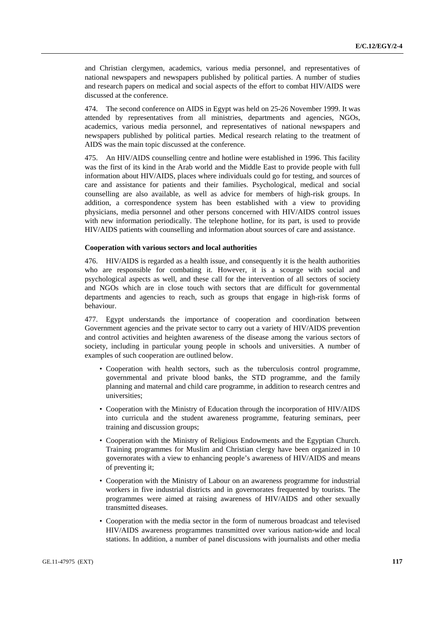and Christian clergymen, academics, various media personnel, and representatives of national newspapers and newspapers published by political parties. A number of studies and research papers on medical and social aspects of the effort to combat HIV/AIDS were discussed at the conference.

474. The second conference on AIDS in Egypt was held on 25-26 November 1999. It was attended by representatives from all ministries, departments and agencies, NGOs, academics, various media personnel, and representatives of national newspapers and newspapers published by political parties. Medical research relating to the treatment of AIDS was the main topic discussed at the conference.

475. An HIV/AIDS counselling centre and hotline were established in 1996. This facility was the first of its kind in the Arab world and the Middle East to provide people with full information about HIV/AIDS, places where individuals could go for testing, and sources of care and assistance for patients and their families. Psychological, medical and social counselling are also available, as well as advice for members of high-risk groups. In addition, a correspondence system has been established with a view to providing physicians, media personnel and other persons concerned with HIV/AIDS control issues with new information periodically. The telephone hotline, for its part, is used to provide HIV/AIDS patients with counselling and information about sources of care and assistance.

#### **Cooperation with various sectors and local authorities**

476. HIV/AIDS is regarded as a health issue, and consequently it is the health authorities who are responsible for combating it. However, it is a scourge with social and psychological aspects as well, and these call for the intervention of all sectors of society and NGOs which are in close touch with sectors that are difficult for governmental departments and agencies to reach, such as groups that engage in high-risk forms of behaviour.

477. Egypt understands the importance of cooperation and coordination between Government agencies and the private sector to carry out a variety of HIV/AIDS prevention and control activities and heighten awareness of the disease among the various sectors of society, including in particular young people in schools and universities. A number of examples of such cooperation are outlined below.

- Cooperation with health sectors, such as the tuberculosis control programme, governmental and private blood banks, the STD programme, and the family planning and maternal and child care programme, in addition to research centres and universities;
- Cooperation with the Ministry of Education through the incorporation of HIV/AIDS into curricula and the student awareness programme, featuring seminars, peer training and discussion groups;
- Cooperation with the Ministry of Religious Endowments and the Egyptian Church. Training programmes for Muslim and Christian clergy have been organized in 10 governorates with a view to enhancing people's awareness of HIV/AIDS and means of preventing it;
- Cooperation with the Ministry of Labour on an awareness programme for industrial workers in five industrial districts and in governorates frequented by tourists. The programmes were aimed at raising awareness of HIV/AIDS and other sexually transmitted diseases.
- Cooperation with the media sector in the form of numerous broadcast and televised HIV/AIDS awareness programmes transmitted over various nation-wide and local stations. In addition, a number of panel discussions with journalists and other media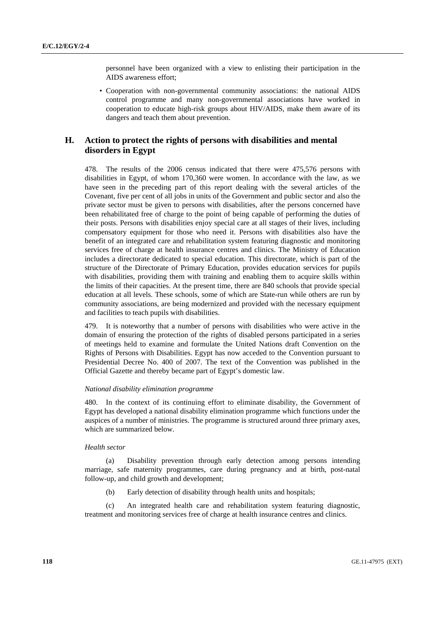personnel have been organized with a view to enlisting their participation in the AIDS awareness effort;

• Cooperation with non-governmental community associations: the national AIDS control programme and many non-governmental associations have worked in cooperation to educate high-risk groups about HIV/AIDS, make them aware of its dangers and teach them about prevention.

# **H. Action to protect the rights of persons with disabilities and mental disorders in Egypt**

478. The results of the 2006 census indicated that there were 475,576 persons with disabilities in Egypt, of whom 170,360 were women. In accordance with the law, as we have seen in the preceding part of this report dealing with the several articles of the Covenant, five per cent of all jobs in units of the Government and public sector and also the private sector must be given to persons with disabilities, after the persons concerned have been rehabilitated free of charge to the point of being capable of performing the duties of their posts. Persons with disabilities enjoy special care at all stages of their lives, including compensatory equipment for those who need it. Persons with disabilities also have the benefit of an integrated care and rehabilitation system featuring diagnostic and monitoring services free of charge at health insurance centres and clinics. The Ministry of Education includes a directorate dedicated to special education. This directorate, which is part of the structure of the Directorate of Primary Education, provides education services for pupils with disabilities, providing them with training and enabling them to acquire skills within the limits of their capacities. At the present time, there are 840 schools that provide special education at all levels. These schools, some of which are State-run while others are run by community associations, are being modernized and provided with the necessary equipment and facilities to teach pupils with disabilities.

479. It is noteworthy that a number of persons with disabilities who were active in the domain of ensuring the protection of the rights of disabled persons participated in a series of meetings held to examine and formulate the United Nations draft Convention on the Rights of Persons with Disabilities. Egypt has now acceded to the Convention pursuant to Presidential Decree No. 400 of 2007. The text of the Convention was published in the Official Gazette and thereby became part of Egypt's domestic law.

#### *National disability elimination programme*

480. In the context of its continuing effort to eliminate disability, the Government of Egypt has developed a national disability elimination programme which functions under the auspices of a number of ministries. The programme is structured around three primary axes, which are summarized below.

# *Health sector*

 (a) Disability prevention through early detection among persons intending marriage, safe maternity programmes, care during pregnancy and at birth, post-natal follow-up, and child growth and development;

(b) Early detection of disability through health units and hospitals;

 (c) An integrated health care and rehabilitation system featuring diagnostic, treatment and monitoring services free of charge at health insurance centres and clinics.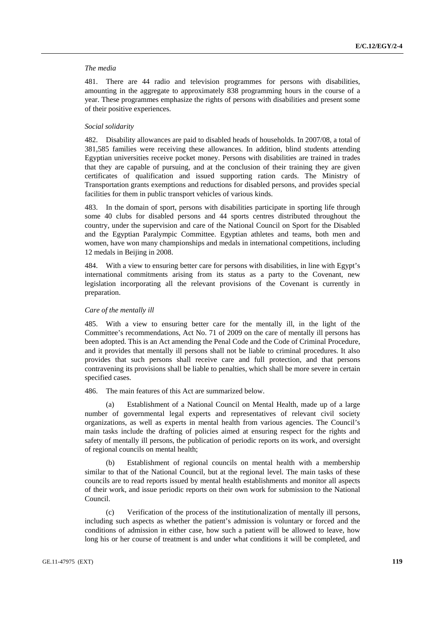#### *The media*

481. There are 44 radio and television programmes for persons with disabilities, amounting in the aggregate to approximately 838 programming hours in the course of a year. These programmes emphasize the rights of persons with disabilities and present some of their positive experiences.

# *Social solidarity*

482. Disability allowances are paid to disabled heads of households. In 2007/08, a total of 381,585 families were receiving these allowances. In addition, blind students attending Egyptian universities receive pocket money. Persons with disabilities are trained in trades that they are capable of pursuing, and at the conclusion of their training they are given certificates of qualification and issued supporting ration cards. The Ministry of Transportation grants exemptions and reductions for disabled persons, and provides special facilities for them in public transport vehicles of various kinds.

483. In the domain of sport, persons with disabilities participate in sporting life through some 40 clubs for disabled persons and 44 sports centres distributed throughout the country, under the supervision and care of the National Council on Sport for the Disabled and the Egyptian Paralympic Committee. Egyptian athletes and teams, both men and women, have won many championships and medals in international competitions, including 12 medals in Beijing in 2008.

484. With a view to ensuring better care for persons with disabilities, in line with Egypt's international commitments arising from its status as a party to the Covenant, new legislation incorporating all the relevant provisions of the Covenant is currently in preparation.

#### *Care of the mentally ill*

485. With a view to ensuring better care for the mentally ill, in the light of the Committee's recommendations, Act No. 71 of 2009 on the care of mentally ill persons has been adopted. This is an Act amending the Penal Code and the Code of Criminal Procedure, and it provides that mentally ill persons shall not be liable to criminal procedures. It also provides that such persons shall receive care and full protection, and that persons contravening its provisions shall be liable to penalties, which shall be more severe in certain specified cases.

486. The main features of this Act are summarized below.

 (a) Establishment of a National Council on Mental Health, made up of a large number of governmental legal experts and representatives of relevant civil society organizations, as well as experts in mental health from various agencies. The Council's main tasks include the drafting of policies aimed at ensuring respect for the rights and safety of mentally ill persons, the publication of periodic reports on its work, and oversight of regional councils on mental health;

Establishment of regional councils on mental health with a membership similar to that of the National Council, but at the regional level. The main tasks of these councils are to read reports issued by mental health establishments and monitor all aspects of their work, and issue periodic reports on their own work for submission to the National Council.

 (c) Verification of the process of the institutionalization of mentally ill persons, including such aspects as whether the patient's admission is voluntary or forced and the conditions of admission in either case, how such a patient will be allowed to leave, how long his or her course of treatment is and under what conditions it will be completed, and